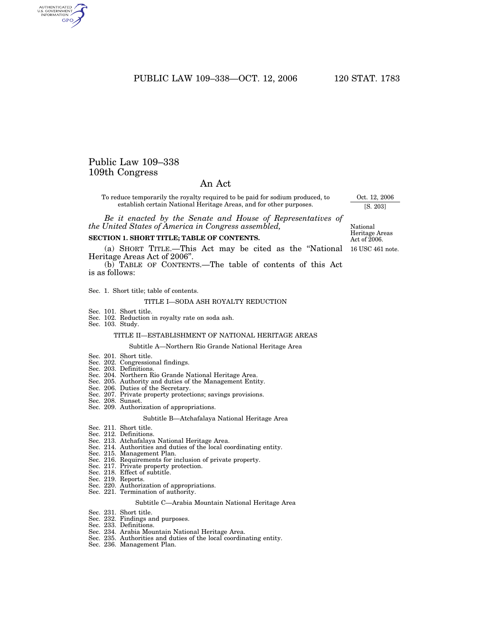PUBLIC LAW 109-338-OCT. 12, 2006 120 STAT. 1783

# Public Law 109–338 109th Congress

# An Act

To reduce temporarily the royalty required to be paid for sodium produced, to establish certain National Heritage Areas, and for other purposes.

*Be it enacted by the Senate and House of Representatives of the United States of America in Congress assembled,*

#### **SECTION 1. SHORT TITLE; TABLE OF CONTENTS.**

(a) SHORT TITLE.—This Act may be cited as the ''National 16 USC 461 note. Heritage Areas Act of 2006''.

(b) TABLE OF CONTENTS.—The table of contents of this Act is as follows:

Sec. 1. Short title; table of contents.

#### TITLE I—SODA ASH ROYALTY REDUCTION

- Sec. 101. Short title.
- Sec. 102. Reduction in royalty rate on soda ash.
- Sec. 103. Study.

# TITLE II—ESTABLISHMENT OF NATIONAL HERITAGE AREAS

### Subtitle A—Northern Rio Grande National Heritage Area

- Sec. 201. Short title.
- Sec. 202. Congressional findings.
- Sec. 203. Definitions.
- Sec. 204. Northern Rio Grande National Heritage Area.
- Sec. 205. Authority and duties of the Management Entity.
- Sec. 206. Duties of the Secretary.
- Sec. 207. Private property protections; savings provisions.
- Sec. 208. Sunset.
- Sec. 209. Authorization of appropriations.

#### Subtitle B—Atchafalaya National Heritage Area

- Sec. 211. Short title. Sec. 212. Definitions.
- Sec. 213. Atchafalaya National Heritage Area.
- Sec. 214. Authorities and duties of the local coordinating entity.
- Sec. 215. Management Plan.
- Sec. 216. Requirements for inclusion of private property.
- Sec. 217. Private property protection.
- Sec. 218. Effect of subtitle.
- Sec. 219. Reports.
- Sec. 220. Authorization of appropriations.
- Sec. 221. Termination of authority.

#### Subtitle C—Arabia Mountain National Heritage Area

- Sec. 231. Short title.
- Sec. 232. Findings and purposes.
- Sec. 233. Definitions.
- Sec. 234. Arabia Mountain National Heritage Area.
- Sec. 235. Authorities and duties of the local coordinating entity.
- Sec. 236. Management Plan.

National Heritage Areas Act of 2006.

Oct. 12, 2006 [S. 203]

AUTHENTICATED<br>U.S. GOVERNMENT<br>INFORMATION GPO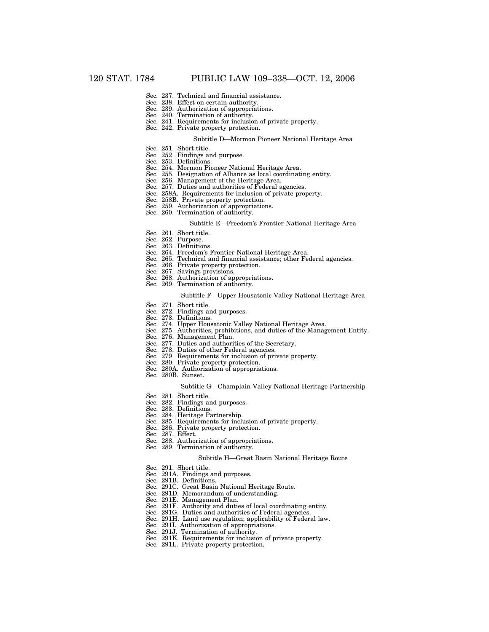- Sec. 237. Technical and financial assistance.
- Sec. 238. Effect on certain authority.
- Sec. 239. Authorization of appropriations.
- Sec. 240. Termination of authority.
- Sec. 241. Requirements for inclusion of private property. Sec. 242. Private property protection.

#### Subtitle D—Mormon Pioneer National Heritage Area

- Sec. 251. Short title.
- Sec. 252. Findings and purpose.
- Sec. 253. Definitions.
- Sec. 254. Mormon Pioneer National Heritage Area.
- Sec. 255. Designation of Alliance as local coordinating entity.
- Sec. 256. Management of the Heritage Area.
- Sec. 257. Duties and authorities of Federal agencies.
- Sec. 258A. Requirements for inclusion of private property.
- Sec. 258B. Private property protection.
- Sec. 259. Authorization of appropriations.
- Sec. 260. Termination of authority.

#### Subtitle E—Freedom's Frontier National Heritage Area

- Sec. 261. Short title.
- Sec. 262. Purpose.
- Sec. 263. Definitions.
- Sec. 264. Freedom's Frontier National Heritage Area.
- Sec. 265. Technical and financial assistance; other Federal agencies.
- Sec. 266. Private property protection.
- Sec. 267. Savings provisions.
- Sec. 268. Authorization of appropriations.
- Sec. 269. Termination of authority.

#### Subtitle F—Upper Housatonic Valley National Heritage Area

- Sec. 271. Short title.
- Sec. 272. Findings and purposes.
- Sec. 273. Definitions.
- Sec. 274. Upper Housatonic Valley National Heritage Area.
- Sec. 275. Authorities, prohibitions, and duties of the Management Entity.
- Sec. 276. Management Plan.
- Sec. 277. Duties and authorities of the Secretary.
- Sec. 278. Duties of other Federal agencies.
- Sec. 279. Requirements for inclusion of private property.
- Sec. 280. Private property protection.
- Sec. 280A. Authorization of appropriations.
- Sec. 280B. Sunset.

#### Subtitle G—Champlain Valley National Heritage Partnership

- Sec. 281. Short title.
- Sec. 282. Findings and purposes.
- Sec. 283. Definitions.
- Sec. 284. Heritage Partnership.
- Sec. 285. Requirements for inclusion of private property.
- Sec. 286. Private property protection.
- Sec. 287. Effect.
- Sec. 288. Authorization of appropriations.
- Sec. 289. Termination of authority.

#### Subtitle H—Great Basin National Heritage Route

- Sec. 291. Short title.
- Sec. 291A. Findings and purposes.
- Sec. 291B. Definitions.
- Sec. 291C. Great Basin National Heritage Route.
- Sec. 291D. Memorandum of understanding.
- Sec. 291E. Management Plan.
- Sec. 291F. Authority and duties of local coordinating entity.
- Sec. 291G. Duties and authorities of Federal agencies.
- Sec. 291H. Land use regulation; applicability of Federal law.
- Sec. 291I. Authorization of appropriations.
- Sec. 291J. Termination of authority.
- Sec. 291K. Requirements for inclusion of private property.
- Sec. 291L. Private property protection.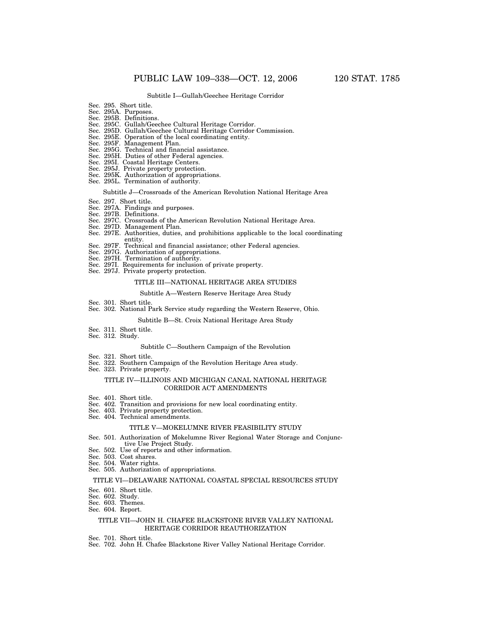#### Subtitle I—Gullah/Geechee Heritage Corridor

- Sec. 295. Short title. Sec. 295A. Purposes.
- 
- Sec. 295B. Definitions.<br>Sec. 295C. Gullah/Gee
- Gullah/Geechee Cultural Heritage Corridor.
- Sec. 295D. Gullah/Geechee Cultural Heritage Corridor Commission.
- Sec. 295E. Operation of the local coordinating entity.
- Sec. 295F. Management Plan.
- Sec. 295G. Technical and financial assistance.
- Sec. 295H. Duties of other Federal agencies.
- Sec. 295I. Coastal Heritage Centers.
- 
- Sec. 295J. Private property protection. Sec. 295K. Authorization of appropriations. Sec. 295L. Termination of authority.
- 

#### Subtitle J—Crossroads of the American Revolution National Heritage Area

- Sec. 297. Short title.
- Sec. 297A. Findings and purposes.

#### Sec. 297B. Definitions.

- Sec. 297C. Crossroads of the American Revolution National Heritage Area.
- Sec. 297D. Management Plan.
- Sec. 297E. Authorities, duties, and prohibitions applicable to the local coordinating entity.
- Sec. 297F. Technical and financial assistance; other Federal agencies.
- Sec. 297G. Authorization of appropriations.
- Sec. 297H. Termination of authority.
- Sec. 297I. Requirements for inclusion of private property.
- Sec. 297J. Private property protection.

#### TITLE III—NATIONAL HERITAGE AREA STUDIES

#### Subtitle A—Western Reserve Heritage Area Study

- Sec. 301. Short title.
- Sec. 302. National Park Service study regarding the Western Reserve, Ohio.

#### Subtitle B—St. Croix National Heritage Area Study

- 
- Sec. 311. Short title. Sec. 312. Study.

#### Subtitle C—Southern Campaign of the Revolution

- Sec. 321. Short title.
- Sec. 322. Southern Campaign of the Revolution Heritage Area study.
- Sec. 323. Private property.

#### TITLE IV—ILLINOIS AND MICHIGAN CANAL NATIONAL HERITAGE CORRIDOR ACT AMENDMENTS

- Sec. 401. Short title.
- Sec. 402. Transition and provisions for new local coordinating entity.
- Sec. 403. Private property protection.
- Sec. 404. Technical amendments.

#### TITLE V—MOKELUMNE RIVER FEASIBILITY STUDY

- Sec. 501. Authorization of Mokelumne River Regional Water Storage and Conjunctive Use Project Study.
- Sec. 502. Use of reports and other information.
- Sec. 503. Cost shares.
- Sec. 504. Water rights.
- Sec. 505. Authorization of appropriations.

# TITLE VI—DELAWARE NATIONAL COASTAL SPECIAL RESOURCES STUDY

- Sec. 601. Short title.
- Sec. 602. Study.
- Sec. 603. Themes.
- Sec. 604. Report.

#### TITLE VII—JOHN H. CHAFEE BLACKSTONE RIVER VALLEY NATIONAL HERITAGE CORRIDOR REAUTHORIZATION

- Sec. 701. Short title.
- Sec. 702. John H. Chafee Blackstone River Valley National Heritage Corridor.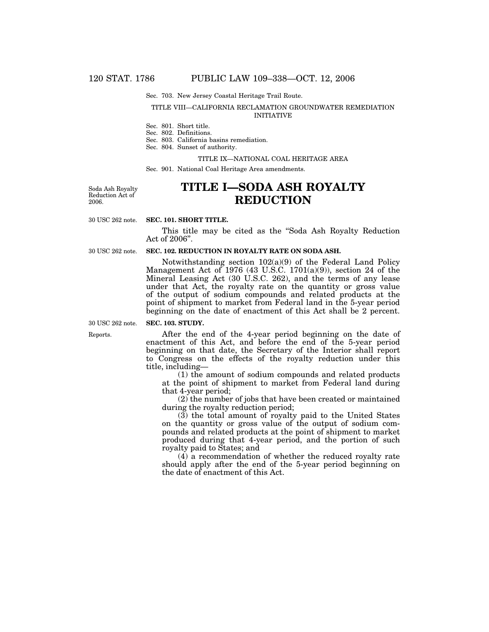Sec. 703. New Jersey Coastal Heritage Trail Route.

#### TITLE VIII—CALIFORNIA RECLAMATION GROUNDWATER REMEDIATION INITIATIVE

Sec. 801. Short title.

Sec. 802. Definitions.

Sec. 803. California basins remediation.

Sec. 804. Sunset of authority.

TITLE IX—NATIONAL COAL HERITAGE AREA

Sec. 901. National Coal Heritage Area amendments.

Soda Ash Royalty Reduction Act of 2006.

# **TITLE I—SODA ASH ROYALTY REDUCTION**

30 USC 262 note.

# **SEC. 101. SHORT TITLE.**

This title may be cited as the "Soda Ash Royalty Reduction" Act of 2006''.

30 USC 262 note.

# **SEC. 102. REDUCTION IN ROYALTY RATE ON SODA ASH.**

Notwithstanding section 102(a)(9) of the Federal Land Policy Management Act of 1976 (43 U.S.C. 1701(a)(9)), section 24 of the Mineral Leasing Act (30 U.S.C. 262), and the terms of any lease under that Act, the royalty rate on the quantity or gross value of the output of sodium compounds and related products at the point of shipment to market from Federal land in the 5-year period beginning on the date of enactment of this Act shall be 2 percent.

30 USC 262 note.

# **SEC. 103. STUDY.**

After the end of the 4-year period beginning on the date of enactment of this Act, and before the end of the 5-year period beginning on that date, the Secretary of the Interior shall report to Congress on the effects of the royalty reduction under this title, including—

(1) the amount of sodium compounds and related products at the point of shipment to market from Federal land during that 4-year period;

(2) the number of jobs that have been created or maintained during the royalty reduction period;

(3) the total amount of royalty paid to the United States on the quantity or gross value of the output of sodium compounds and related products at the point of shipment to market produced during that 4-year period, and the portion of such royalty paid to States; and

(4) a recommendation of whether the reduced royalty rate should apply after the end of the 5-year period beginning on the date of enactment of this Act.

Reports.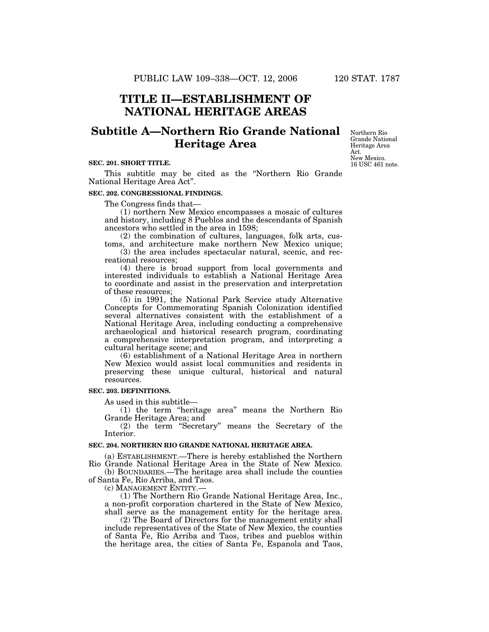# **TITLE II—ESTABLISHMENT OF NATIONAL HERITAGE AREAS**

# **Subtitle A—Northern Rio Grande National Heritage Area**

# **SEC. 201. SHORT TITLE.**

This subtitle may be cited as the ''Northern Rio Grande National Heritage Area Act''.

# **SEC. 202. CONGRESSIONAL FINDINGS.**

The Congress finds that—

(1) northern New Mexico encompasses a mosaic of cultures and history, including 8 Pueblos and the descendants of Spanish ancestors who settled in the area in 1598;

(2) the combination of cultures, languages, folk arts, customs, and architecture make northern New Mexico unique;

 $(3)$  the area includes spectacular natural, scenic, and recreational resources;

(4) there is broad support from local governments and interested individuals to establish a National Heritage Area to coordinate and assist in the preservation and interpretation of these resources;

(5) in 1991, the National Park Service study Alternative Concepts for Commemorating Spanish Colonization identified several alternatives consistent with the establishment of a National Heritage Area, including conducting a comprehensive archaeological and historical research program, coordinating a comprehensive interpretation program, and interpreting a cultural heritage scene; and

(6) establishment of a National Heritage Area in northern New Mexico would assist local communities and residents in preserving these unique cultural, historical and natural resources.

# **SEC. 203. DEFINITIONS.**

As used in this subtitle—

(1) the term ''heritage area'' means the Northern Rio Grande Heritage Area; and

(2) the term ''Secretary'' means the Secretary of the Interior.

# **SEC. 204. NORTHERN RIO GRANDE NATIONAL HERITAGE AREA.**

(a) ESTABLISHMENT.—There is hereby established the Northern Rio Grande National Heritage Area in the State of New Mexico.

(b) BOUNDARIES.—The heritage area shall include the counties of Santa Fe, Rio Arriba, and Taos.

(c) MANAGEMENT ENTITY.—

(1) The Northern Rio Grande National Heritage Area, Inc., a non-profit corporation chartered in the State of New Mexico, shall serve as the management entity for the heritage area.

(2) The Board of Directors for the management entity shall include representatives of the State of New Mexico, the counties of Santa Fe, Rio Arriba and Taos, tribes and pueblos within the heritage area, the cities of Santa Fe, Espanola and Taos,

Northern Rio Grande National Heritage Area Act. New Mexico. 16 USC 461 note.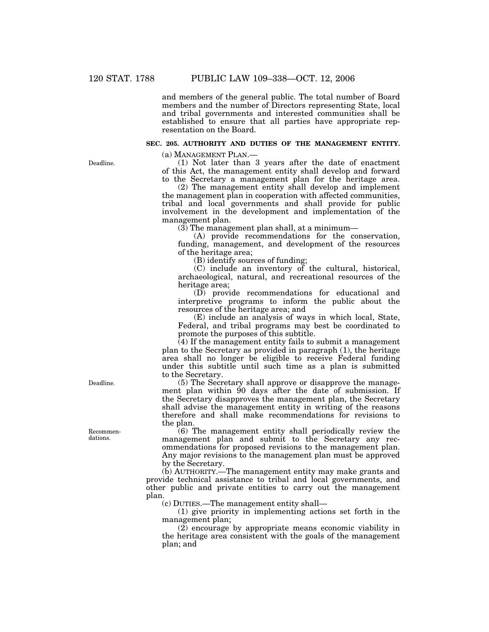and members of the general public. The total number of Board members and the number of Directors representing State, local and tribal governments and interested communities shall be established to ensure that all parties have appropriate representation on the Board.

# **SEC. 205. AUTHORITY AND DUTIES OF THE MANAGEMENT ENTITY.**

(a) MANAGEMENT PLAN.—

(1) Not later than 3 years after the date of enactment of this Act, the management entity shall develop and forward to the Secretary a management plan for the heritage area.

(2) The management entity shall develop and implement the management plan in cooperation with affected communities, tribal and local governments and shall provide for public involvement in the development and implementation of the management plan.

(3) The management plan shall, at a minimum—

(A) provide recommendations for the conservation, funding, management, and development of the resources of the heritage area;

(B) identify sources of funding;

(C) include an inventory of the cultural, historical, archaeological, natural, and recreational resources of the heritage area;

(D) provide recommendations for educational and interpretive programs to inform the public about the resources of the heritage area; and

(E) include an analysis of ways in which local, State, Federal, and tribal programs may best be coordinated to promote the purposes of this subtitle.

(4) If the management entity fails to submit a management plan to the Secretary as provided in paragraph (1), the heritage area shall no longer be eligible to receive Federal funding under this subtitle until such time as a plan is submitted to the Secretary.

(5) The Secretary shall approve or disapprove the management plan within 90 days after the date of submission. If the Secretary disapproves the management plan, the Secretary shall advise the management entity in writing of the reasons therefore and shall make recommendations for revisions to the plan.

(6) The management entity shall periodically review the management plan and submit to the Secretary any recommendations for proposed revisions to the management plan. Any major revisions to the management plan must be approved by the Secretary.

(b) AUTHORITY.—The management entity may make grants and provide technical assistance to tribal and local governments, and other public and private entities to carry out the management plan.

(c) DUTIES.—The management entity shall—

(1) give priority in implementing actions set forth in the management plan;

(2) encourage by appropriate means economic viability in the heritage area consistent with the goals of the management plan; and

Deadline.

Recommendations.

Deadline.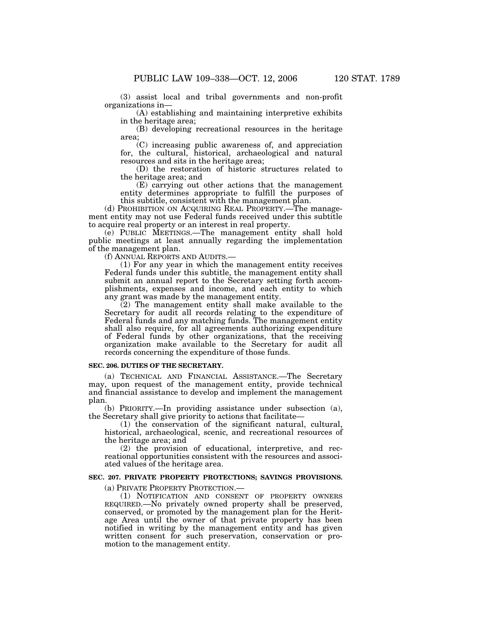(3) assist local and tribal governments and non-profit organizations in—

(A) establishing and maintaining interpretive exhibits in the heritage area;

(B) developing recreational resources in the heritage area;

(C) increasing public awareness of, and appreciation for, the cultural, historical, archaeological and natural resources and sits in the heritage area;

(D) the restoration of historic structures related to the heritage area; and

(E) carrying out other actions that the management entity determines appropriate to fulfill the purposes of this subtitle, consistent with the management plan.

(d) PROHIBITION ON ACQUIRING REAL PROPERTY.—The management entity may not use Federal funds received under this subtitle to acquire real property or an interest in real property.

(e) PUBLIC MEETINGS.—The management entity shall hold public meetings at least annually regarding the implementation of the management plan.

(f) ANNUAL REPORTS AND AUDITS.—

(1) For any year in which the management entity receives Federal funds under this subtitle, the management entity shall submit an annual report to the Secretary setting forth accomplishments, expenses and income, and each entity to which any grant was made by the management entity.

(2) The management entity shall make available to the Secretary for audit all records relating to the expenditure of Federal funds and any matching funds. The management entity shall also require, for all agreements authorizing expenditure of Federal funds by other organizations, that the receiving organization make available to the Secretary for audit all records concerning the expenditure of those funds.

# **SEC. 206. DUTIES OF THE SECRETARY.**

(a) TECHNICAL AND FINANCIAL ASSISTANCE.—The Secretary may, upon request of the management entity, provide technical and financial assistance to develop and implement the management plan.

(b) PRIORITY.—In providing assistance under subsection (a), the Secretary shall give priority to actions that facilitate—

(1) the conservation of the significant natural, cultural, historical, archaeological, scenic, and recreational resources of the heritage area; and

(2) the provision of educational, interpretive, and recreational opportunities consistent with the resources and associated values of the heritage area.

# **SEC. 207. PRIVATE PROPERTY PROTECTIONS; SAVINGS PROVISIONS.**

(a) PRIVATE PROPERTY PROTECTION.—

(1) NOTIFICATION AND CONSENT OF PROPERTY OWNERS REQUIRED.—No privately owned property shall be preserved, conserved, or promoted by the management plan for the Heritage Area until the owner of that private property has been notified in writing by the management entity and has given written consent for such preservation, conservation or promotion to the management entity.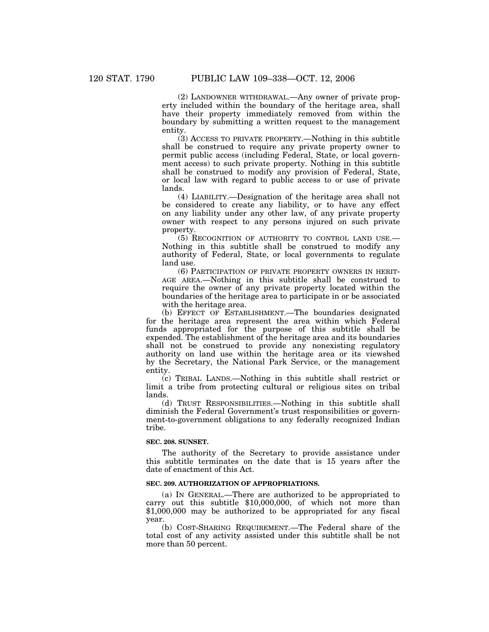(2) LANDOWNER WITHDRAWAL.—Any owner of private property included within the boundary of the heritage area, shall have their property immediately removed from within the boundary by submitting a written request to the management entity.

(3) ACCESS TO PRIVATE PROPERTY.—Nothing in this subtitle shall be construed to require any private property owner to permit public access (including Federal, State, or local government access) to such private property. Nothing in this subtitle shall be construed to modify any provision of Federal, State, or local law with regard to public access to or use of private lands.

(4) LIABILITY.—Designation of the heritage area shall not be considered to create any liability, or to have any effect on any liability under any other law, of any private property owner with respect to any persons injured on such private property.

(5) RECOGNITION OF AUTHORITY TO CONTROL LAND USE.— Nothing in this subtitle shall be construed to modify any authority of Federal, State, or local governments to regulate land use.

(6) PARTICIPATION OF PRIVATE PROPERTY OWNERS IN HERIT-AGE AREA.—Nothing in this subtitle shall be construed to require the owner of any private property located within the boundaries of the heritage area to participate in or be associated with the heritage area.

(b) EFFECT OF ESTABLISHMENT.—The boundaries designated for the heritage area represent the area within which Federal funds appropriated for the purpose of this subtitle shall be expended. The establishment of the heritage area and its boundaries shall not be construed to provide any nonexisting regulatory authority on land use within the heritage area or its viewshed by the Secretary, the National Park Service, or the management entity.

(c) TRIBAL LANDS.—Nothing in this subtitle shall restrict or limit a tribe from protecting cultural or religious sites on tribal lands.

(d) TRUST RESPONSIBILITIES.—Nothing in this subtitle shall diminish the Federal Government's trust responsibilities or government-to-government obligations to any federally recognized Indian tribe.

### **SEC. 208. SUNSET.**

The authority of the Secretary to provide assistance under this subtitle terminates on the date that is 15 years after the date of enactment of this Act.

# **SEC. 209. AUTHORIZATION OF APPROPRIATIONS.**

(a) IN GENERAL.—There are authorized to be appropriated to carry out this subtitle \$10,000,000, of which not more than \$1,000,000 may be authorized to be appropriated for any fiscal year.

(b) COST-SHARING REQUIREMENT.—The Federal share of the total cost of any activity assisted under this subtitle shall be not more than 50 percent.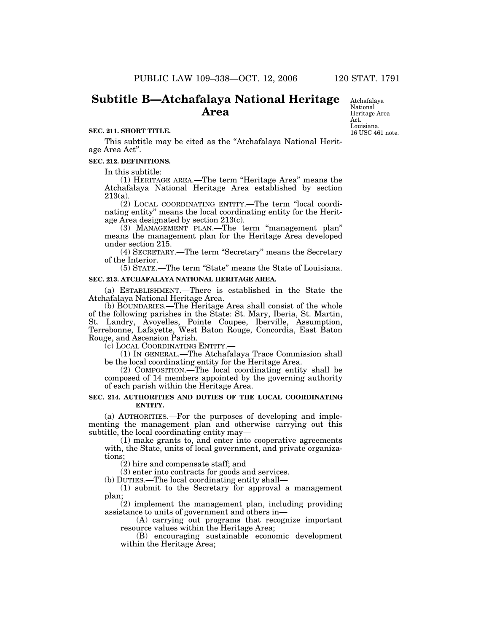# **Subtitle B—Atchafalaya National Heritage Area**

# **SEC. 211. SHORT TITLE.**

This subtitle may be cited as the "Atchafalaya National Heritage Area Act''.

# **SEC. 212. DEFINITIONS.**

In this subtitle:

(1) HERITAGE AREA.—The term ''Heritage Area'' means the Atchafalaya National Heritage Area established by section 213(a).

(2) LOCAL COORDINATING ENTITY.—The term ''local coordinating entity'' means the local coordinating entity for the Heritage Area designated by section 213(c).

(3) MANAGEMENT PLAN.—The term ''management plan'' means the management plan for the Heritage Area developed under section 215.

(4) SECRETARY.—The term ''Secretary'' means the Secretary of the Interior.

(5) STATE.—The term ''State'' means the State of Louisiana.

#### **SEC. 213. ATCHAFALAYA NATIONAL HERITAGE AREA.**

(a) ESTABLISHMENT.—There is established in the State the Atchafalaya National Heritage Area.

(b) BOUNDARIES.—The Heritage Area shall consist of the whole of the following parishes in the State: St. Mary, Iberia, St. Martin, St. Landry, Avoyelles, Pointe Coupee, Iberville, Assumption, Terrebonne, Lafayette, West Baton Rouge, Concordia, East Baton Rouge, and Ascension Parish.

(c) LOCAL COORDINATING ENTITY.—

(1) IN GENERAL.—The Atchafalaya Trace Commission shall be the local coordinating entity for the Heritage Area.

(2) COMPOSITION.—The local coordinating entity shall be composed of 14 members appointed by the governing authority of each parish within the Heritage Area.

# **SEC. 214. AUTHORITIES AND DUTIES OF THE LOCAL COORDINATING ENTITY.**

(a) AUTHORITIES.—For the purposes of developing and implementing the management plan and otherwise carrying out this subtitle, the local coordinating entity may—

(1) make grants to, and enter into cooperative agreements with, the State, units of local government, and private organizations;

(2) hire and compensate staff; and

(3) enter into contracts for goods and services.

(b) DUTIES.—The local coordinating entity shall—

(1) submit to the Secretary for approval a management plan;

(2) implement the management plan, including providing assistance to units of government and others in—

(A) carrying out programs that recognize important resource values within the Heritage Area;

(B) encouraging sustainable economic development within the Heritage Area;

Atchafalaya National Heritage Area Act. Louisiana. 16 USC 461 note.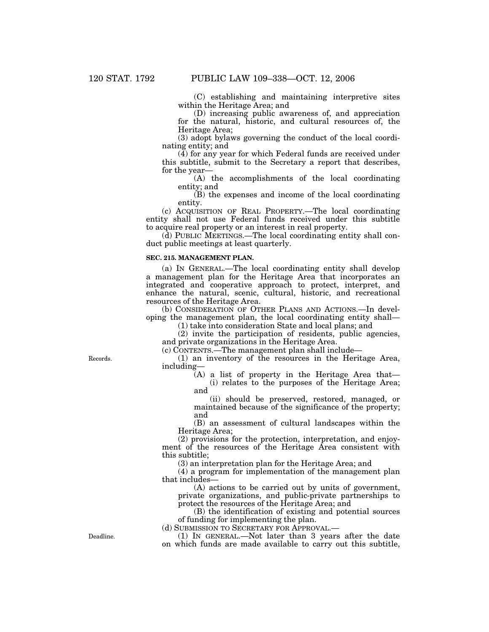(C) establishing and maintaining interpretive sites within the Heritage Area; and

(D) increasing public awareness of, and appreciation for the natural, historic, and cultural resources of, the Heritage Area;

(3) adopt bylaws governing the conduct of the local coordinating entity; and

(4) for any year for which Federal funds are received under this subtitle, submit to the Secretary a report that describes, for the year-

(A) the accomplishments of the local coordinating entity; and

(B) the expenses and income of the local coordinating entity.

(c) ACQUISITION OF REAL PROPERTY.—The local coordinating entity shall not use Federal funds received under this subtitle to acquire real property or an interest in real property.

(d) PUBLIC MEETINGS.—The local coordinating entity shall conduct public meetings at least quarterly.

#### **SEC. 215. MANAGEMENT PLAN.**

(a) IN GENERAL.—The local coordinating entity shall develop a management plan for the Heritage Area that incorporates an integrated and cooperative approach to protect, interpret, and enhance the natural, scenic, cultural, historic, and recreational resources of the Heritage Area.

(b) CONSIDERATION OF OTHER PLANS AND ACTIONS.—In developing the management plan, the local coordinating entity shall—

(1) take into consideration State and local plans; and

(2) invite the participation of residents, public agencies, and private organizations in the Heritage Area.

(c) CONTENTS.—The management plan shall include—

(1) an inventory of the resources in the Heritage Area, including—

(A) a list of property in the Heritage Area that—

(i) relates to the purposes of the Heritage Area; and

(ii) should be preserved, restored, managed, or maintained because of the significance of the property; and

(B) an assessment of cultural landscapes within the Heritage Area;

(2) provisions for the protection, interpretation, and enjoyment of the resources of the Heritage Area consistent with this subtitle;

(3) an interpretation plan for the Heritage Area; and

(4) a program for implementation of the management plan that includes—

(A) actions to be carried out by units of government, private organizations, and public-private partnerships to protect the resources of the Heritage Area; and

(B) the identification of existing and potential sources of funding for implementing the plan.

(d) SUBMISSION TO SECRETARY FOR APPROVAL.—

(1) IN GENERAL.—Not later than 3 years after the date on which funds are made available to carry out this subtitle,

Records.

Deadline.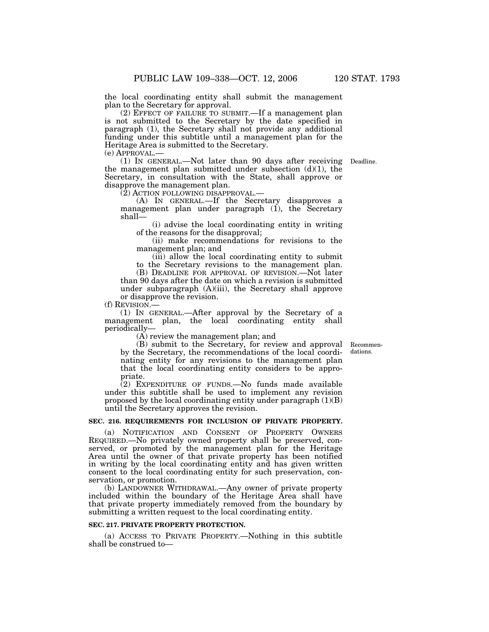the local coordinating entity shall submit the management plan to the Secretary for approval.

(2) EFFECT OF FAILURE TO SUBMIT.—If a management plan is not submitted to the Secretary by the date specified in paragraph (1), the Secretary shall not provide any additional funding under this subtitle until a management plan for the Heritage Area is submitted to the Secretary.

(e) APPROVAL.— (1) IN GENERAL.—Not later than 90 days after receiving Deadline. the management plan submitted under subsection  $(d)(1)$ , the Secretary, in consultation with the State, shall approve or disapprove the management plan.<br>(2) ACTION FOLLOWING DISAPPROVAL.

(A) IN GENERAL.—If the Secretary disapproves a management plan under paragraph  $(i)$ , the Secretary shall—

(i) advise the local coordinating entity in writing of the reasons for the disapproval;

(ii) make recommendations for revisions to the management plan; and

(iii) allow the local coordinating entity to submit to the Secretary revisions to the management plan.

(B) DEADLINE FOR APPROVAL OF REVISION.—Not later than 90 days after the date on which a revision is submitted under subparagraph (A)(iii), the Secretary shall approve or disapprove the revision.

(f) REVISION.—

(1) IN GENERAL.—After approval by the Secretary of a management plan, the local coordinating entity shall periodically—

(A) review the management plan; and

Recommendations.

(B) submit to the Secretary, for review and approval by the Secretary, the recommendations of the local coordinating entity for any revisions to the management plan that the local coordinating entity considers to be appropriate.

(2) EXPENDITURE OF FUNDS.—No funds made available under this subtitle shall be used to implement any revision proposed by the local coordinating entity under paragraph  $(1)(B)$ until the Secretary approves the revision.

# **SEC. 216. REQUIREMENTS FOR INCLUSION OF PRIVATE PROPERTY.**

(a) NOTIFICATION AND CONSENT OF PROPERTY OWNERS REQUIRED.—No privately owned property shall be preserved, conserved, or promoted by the management plan for the Heritage Area until the owner of that private property has been notified in writing by the local coordinating entity and has given written consent to the local coordinating entity for such preservation, conservation, or promotion.

(b) LANDOWNER WITHDRAWAL.—Any owner of private property included within the boundary of the Heritage Area shall have that private property immediately removed from the boundary by submitting a written request to the local coordinating entity.

# **SEC. 217. PRIVATE PROPERTY PROTECTION.**

(a) ACCESS TO PRIVATE PROPERTY.—Nothing in this subtitle shall be construed to—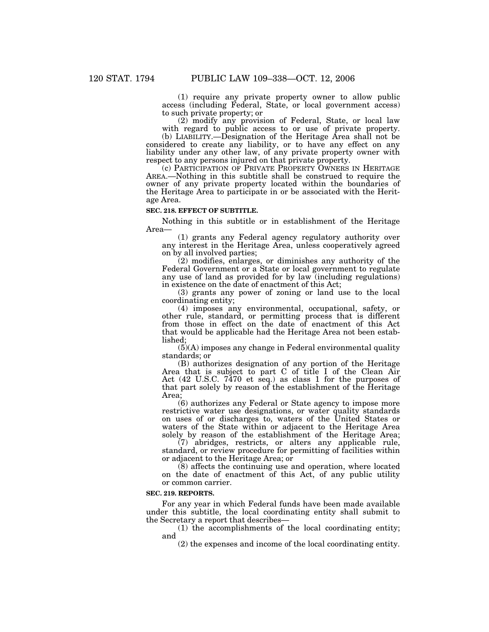(1) require any private property owner to allow public access (including Federal, State, or local government access) to such private property; or

(2) modify any provision of Federal, State, or local law with regard to public access to or use of private property.

(b) LIABILITY.—Designation of the Heritage Area shall not be considered to create any liability, or to have any effect on any liability under any other law, of any private property owner with respect to any persons injured on that private property.

(c) PARTICIPATION OF PRIVATE PROPERTY OWNERS IN HERITAGE AREA.—Nothing in this subtitle shall be construed to require the owner of any private property located within the boundaries of the Heritage Area to participate in or be associated with the Heritage Area.

# **SEC. 218. EFFECT OF SUBTITLE.**

Nothing in this subtitle or in establishment of the Heritage Area—

(1) grants any Federal agency regulatory authority over any interest in the Heritage Area, unless cooperatively agreed on by all involved parties;

(2) modifies, enlarges, or diminishes any authority of the Federal Government or a State or local government to regulate any use of land as provided for by law (including regulations) in existence on the date of enactment of this Act;

(3) grants any power of zoning or land use to the local coordinating entity;

(4) imposes any environmental, occupational, safety, or other rule, standard, or permitting process that is different from those in effect on the date of enactment of this Act that would be applicable had the Heritage Area not been established;

(5)(A) imposes any change in Federal environmental quality standards; or

(B) authorizes designation of any portion of the Heritage Area that is subject to part C of title I of the Clean Air Act (42 U.S.C. 7470 et seq.) as class 1 for the purposes of that part solely by reason of the establishment of the Heritage Area;

(6) authorizes any Federal or State agency to impose more restrictive water use designations, or water quality standards on uses of or discharges to, waters of the United States or waters of the State within or adjacent to the Heritage Area solely by reason of the establishment of the Heritage Area;

(7) abridges, restricts, or alters any applicable rule, standard, or review procedure for permitting of facilities within or adjacent to the Heritage Area; or

(8) affects the continuing use and operation, where located on the date of enactment of this Act, of any public utility or common carrier.

#### **SEC. 219. REPORTS.**

For any year in which Federal funds have been made available under this subtitle, the local coordinating entity shall submit to the Secretary a report that describes—

(1) the accomplishments of the local coordinating entity; and

(2) the expenses and income of the local coordinating entity.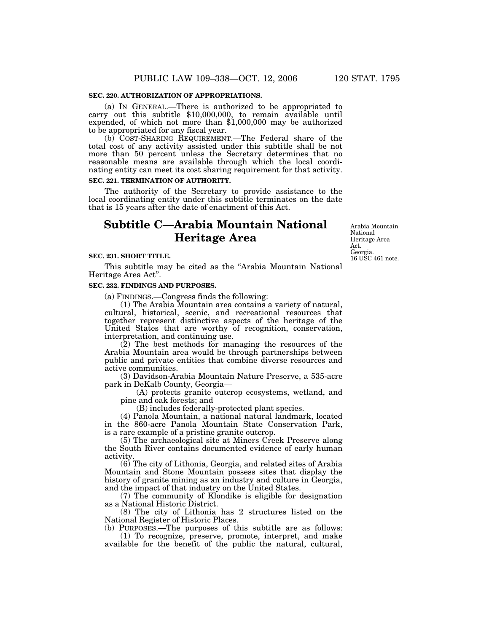(a) IN GENERAL.—There is authorized to be appropriated to carry out this subtitle \$10,000,000, to remain available until expended, of which not more than \$1,000,000 may be authorized to be appropriated for any fiscal year.

(b) COST-SHARING REQUIREMENT.—The Federal share of the total cost of any activity assisted under this subtitle shall be not more than 50 percent unless the Secretary determines that no reasonable means are available through which the local coordinating entity can meet its cost sharing requirement for that activity.

### **SEC. 221. TERMINATION OF AUTHORITY.**

The authority of the Secretary to provide assistance to the local coordinating entity under this subtitle terminates on the date that is 15 years after the date of enactment of this Act.

# **Subtitle C—Arabia Mountain National Heritage Area**

#### **SEC. 231. SHORT TITLE.**

This subtitle may be cited as the ''Arabia Mountain National Heritage Area Act''.

# **SEC. 232. FINDINGS AND PURPOSES.**

(a) FINDINGS.—Congress finds the following:

(1) The Arabia Mountain area contains a variety of natural, cultural, historical, scenic, and recreational resources that together represent distinctive aspects of the heritage of the United States that are worthy of recognition, conservation, interpretation, and continuing use.

(2) The best methods for managing the resources of the Arabia Mountain area would be through partnerships between public and private entities that combine diverse resources and active communities.

(3) Davidson-Arabia Mountain Nature Preserve, a 535-acre park in DeKalb County, Georgia—

(A) protects granite outcrop ecosystems, wetland, and pine and oak forests; and

(B) includes federally-protected plant species.

(4) Panola Mountain, a national natural landmark, located in the 860-acre Panola Mountain State Conservation Park, is a rare example of a pristine granite outcrop.

(5) The archaeological site at Miners Creek Preserve along the South River contains documented evidence of early human activity.

(6) The city of Lithonia, Georgia, and related sites of Arabia Mountain and Stone Mountain possess sites that display the history of granite mining as an industry and culture in Georgia, and the impact of that industry on the United States.

(7) The community of Klondike is eligible for designation as a National Historic District.

(8) The city of Lithonia has 2 structures listed on the National Register of Historic Places.

(b) PURPOSES.—The purposes of this subtitle are as follows: (1) To recognize, preserve, promote, interpret, and make available for the benefit of the public the natural, cultural,

Arabia Mountain National Heritage Area Act. Georgia. 16 USC 461 note.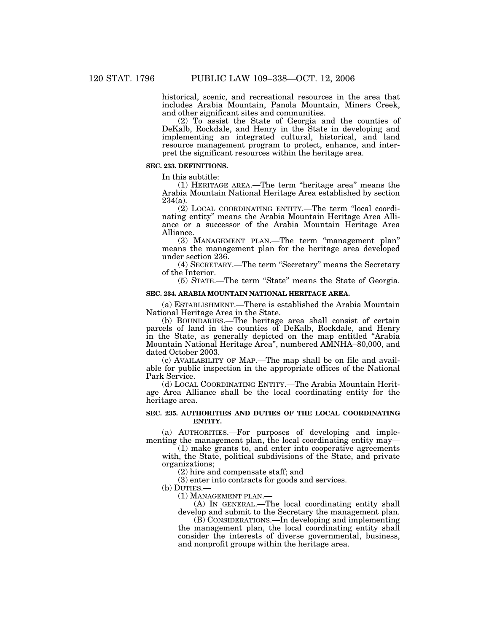historical, scenic, and recreational resources in the area that includes Arabia Mountain, Panola Mountain, Miners Creek, and other significant sites and communities.

(2) To assist the State of Georgia and the counties of DeKalb, Rockdale, and Henry in the State in developing and implementing an integrated cultural, historical, and land resource management program to protect, enhance, and interpret the significant resources within the heritage area.

# **SEC. 233. DEFINITIONS.**

In this subtitle:

(1) HERITAGE AREA.—The term ''heritage area'' means the Arabia Mountain National Heritage Area established by section 234(a).

(2) LOCAL COORDINATING ENTITY.—The term ''local coordinating entity'' means the Arabia Mountain Heritage Area Alliance or a successor of the Arabia Mountain Heritage Area Alliance.

(3) MANAGEMENT PLAN.—The term ''management plan'' means the management plan for the heritage area developed under section 236.

(4) SECRETARY.—The term ''Secretary'' means the Secretary of the Interior.

(5) STATE.—The term ''State'' means the State of Georgia.

# **SEC. 234. ARABIA MOUNTAIN NATIONAL HERITAGE AREA.**

(a) ESTABLISHMENT.—There is established the Arabia Mountain National Heritage Area in the State.

(b) BOUNDARIES.—The heritage area shall consist of certain parcels of land in the counties of DeKalb, Rockdale, and Henry in the State, as generally depicted on the map entitled ''Arabia Mountain National Heritage Area'', numbered AMNHA–80,000, and dated October 2003.

(c) AVAILABILITY OF MAP.—The map shall be on file and available for public inspection in the appropriate offices of the National Park Service.

(d) LOCAL COORDINATING ENTITY.—The Arabia Mountain Heritage Area Alliance shall be the local coordinating entity for the heritage area.

# **SEC. 235. AUTHORITIES AND DUTIES OF THE LOCAL COORDINATING ENTITY.**

(a) AUTHORITIES.—For purposes of developing and implementing the management plan, the local coordinating entity may—

(1) make grants to, and enter into cooperative agreements with, the State, political subdivisions of the State, and private organizations;

(2) hire and compensate staff; and

(3) enter into contracts for goods and services.

(b) DUTIES.

(1) MANAGEMENT PLAN.— (A) IN GENERAL.—The local coordinating entity shall develop and submit to the Secretary the management plan.

(B) CONSIDERATIONS.—In developing and implementing the management plan, the local coordinating entity shall consider the interests of diverse governmental, business, and nonprofit groups within the heritage area.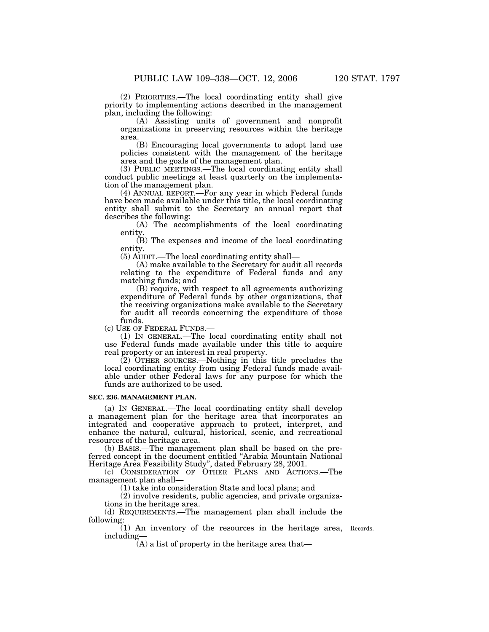(2) PRIORITIES.—The local coordinating entity shall give priority to implementing actions described in the management plan, including the following:

(A) Assisting units of government and nonprofit organizations in preserving resources within the heritage area.

(B) Encouraging local governments to adopt land use policies consistent with the management of the heritage area and the goals of the management plan.

(3) PUBLIC MEETINGS.—The local coordinating entity shall conduct public meetings at least quarterly on the implementation of the management plan.

(4) ANNUAL REPORT.—For any year in which Federal funds have been made available under this title, the local coordinating entity shall submit to the Secretary an annual report that describes the following:

(A) The accomplishments of the local coordinating entity.

(B) The expenses and income of the local coordinating entity.

(5) AUDIT.—The local coordinating entity shall—

(A) make available to the Secretary for audit all records relating to the expenditure of Federal funds and any matching funds; and

(B) require, with respect to all agreements authorizing expenditure of Federal funds by other organizations, that the receiving organizations make available to the Secretary for audit all records concerning the expenditure of those funds.

(c) USE OF FEDERAL FUNDS.—

(1) IN GENERAL.—The local coordinating entity shall not use Federal funds made available under this title to acquire real property or an interest in real property.

(2) OTHER SOURCES.—Nothing in this title precludes the local coordinating entity from using Federal funds made available under other Federal laws for any purpose for which the funds are authorized to be used.

#### **SEC. 236. MANAGEMENT PLAN.**

(a) IN GENERAL.—The local coordinating entity shall develop a management plan for the heritage area that incorporates an integrated and cooperative approach to protect, interpret, and enhance the natural, cultural, historical, scenic, and recreational resources of the heritage area.

(b) BASIS.—The management plan shall be based on the preferred concept in the document entitled ''Arabia Mountain National Heritage Area Feasibility Study'', dated February 28, 2001.

(c) CONSIDERATION OF OTHER PLANS AND ACTIONS.—The management plan shall—

(1) take into consideration State and local plans; and

(2) involve residents, public agencies, and private organizations in the heritage area.

(d) REQUIREMENTS.—The management plan shall include the following:

(1) An inventory of the resources in the heritage area, Records. including—

 $\widetilde{A}$ ) a list of property in the heritage area that—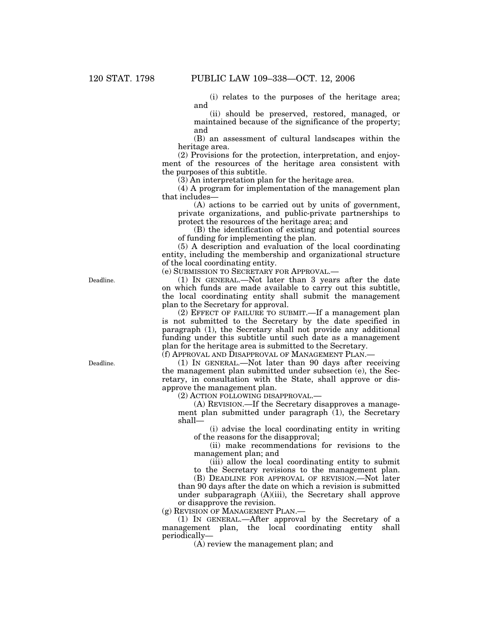(i) relates to the purposes of the heritage area; and

(ii) should be preserved, restored, managed, or maintained because of the significance of the property; and

(B) an assessment of cultural landscapes within the heritage area.

(2) Provisions for the protection, interpretation, and enjoyment of the resources of the heritage area consistent with the purposes of this subtitle.

(3) An interpretation plan for the heritage area.

(4) A program for implementation of the management plan that includes—

(A) actions to be carried out by units of government, private organizations, and public-private partnerships to protect the resources of the heritage area; and

(B) the identification of existing and potential sources of funding for implementing the plan.

(5) A description and evaluation of the local coordinating entity, including the membership and organizational structure of the local coordinating entity.

(e) SUBMISSION TO SECRETARY FOR APPROVAL.—

(1) IN GENERAL.—Not later than 3 years after the date on which funds are made available to carry out this subtitle, the local coordinating entity shall submit the management plan to the Secretary for approval.

(2) EFFECT OF FAILURE TO SUBMIT.—If a management plan is not submitted to the Secretary by the date specified in paragraph (1), the Secretary shall not provide any additional funding under this subtitle until such date as a management plan for the heritage area is submitted to the Secretary.

(f) APPROVAL AND DISAPPROVAL OF MANAGEMENT PLAN.—

(1) IN GENERAL.—Not later than 90 days after receiving the management plan submitted under subsection (e), the Secretary, in consultation with the State, shall approve or disapprove the management plan.

(2) ACTION FOLLOWING DISAPPROVAL.—

(A) REVISION.—If the Secretary disapproves a management plan submitted under paragraph (1), the Secretary shall—

(i) advise the local coordinating entity in writing of the reasons for the disapproval;

(ii) make recommendations for revisions to the management plan; and

(iii) allow the local coordinating entity to submit to the Secretary revisions to the management plan.

(B) DEADLINE FOR APPROVAL OF REVISION.—Not later than 90 days after the date on which a revision is submitted under subparagraph (A)(iii), the Secretary shall approve or disapprove the revision.

(g) REVISION OF MANAGEMENT PLAN.—

(1) IN GENERAL.—After approval by the Secretary of a management plan, the local coordinating entity shall periodically—

(A) review the management plan; and

Deadline.

Deadline.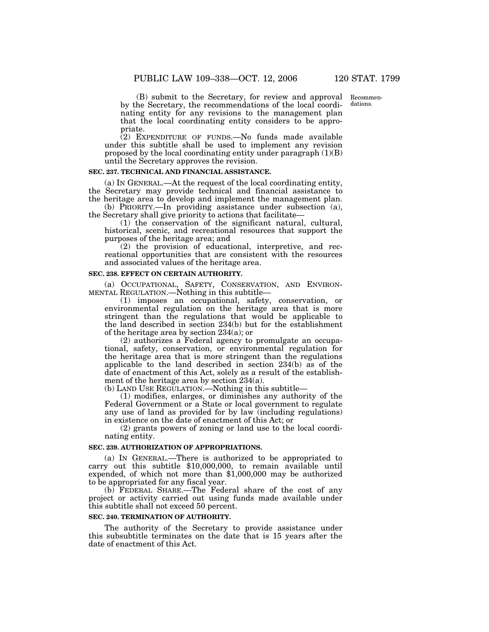Recommendations.

(B) submit to the Secretary, for review and approval by the Secretary, the recommendations of the local coordinating entity for any revisions to the management plan that the local coordinating entity considers to be appropriate.

 $(2)$  EXPENDITURE OF FUNDS.—No funds made available under this subtitle shall be used to implement any revision proposed by the local coordinating entity under paragraph  $(1)(B)$ until the Secretary approves the revision.

# **SEC. 237. TECHNICAL AND FINANCIAL ASSISTANCE.**

(a) IN GENERAL.—At the request of the local coordinating entity, the Secretary may provide technical and financial assistance to the heritage area to develop and implement the management plan.

(b) PRIORITY.—In providing assistance under subsection (a), the Secretary shall give priority to actions that facilitate—

(1) the conservation of the significant natural, cultural, historical, scenic, and recreational resources that support the purposes of the heritage area; and

(2) the provision of educational, interpretive, and recreational opportunities that are consistent with the resources and associated values of the heritage area.

# **SEC. 238. EFFECT ON CERTAIN AUTHORITY.**

(a) OCCUPATIONAL, SAFETY, CONSERVATION, AND ENVIRON-MENTAL REGULATION.—Nothing in this subtitle—

(1) imposes an occupational, safety, conservation, or environmental regulation on the heritage area that is more stringent than the regulations that would be applicable to the land described in section 234(b) but for the establishment of the heritage area by section 234(a); or

(2) authorizes a Federal agency to promulgate an occupational, safety, conservation, or environmental regulation for the heritage area that is more stringent than the regulations applicable to the land described in section 234(b) as of the date of enactment of this Act, solely as a result of the establishment of the heritage area by section 234(a).

(b) LAND USE REGULATION.—Nothing in this subtitle—

(1) modifies, enlarges, or diminishes any authority of the Federal Government or a State or local government to regulate any use of land as provided for by law (including regulations) in existence on the date of enactment of this Act; or

(2) grants powers of zoning or land use to the local coordinating entity.

# **SEC. 239. AUTHORIZATION OF APPROPRIATIONS.**

(a) IN GENERAL.—There is authorized to be appropriated to carry out this subtitle \$10,000,000, to remain available until expended, of which not more than \$1,000,000 may be authorized to be appropriated for any fiscal year.

(b) FEDERAL SHARE.—The Federal share of the cost of any project or activity carried out using funds made available under this subtitle shall not exceed 50 percent.

# **SEC. 240. TERMINATION OF AUTHORITY.**

The authority of the Secretary to provide assistance under this subsubtitle terminates on the date that is 15 years after the date of enactment of this Act.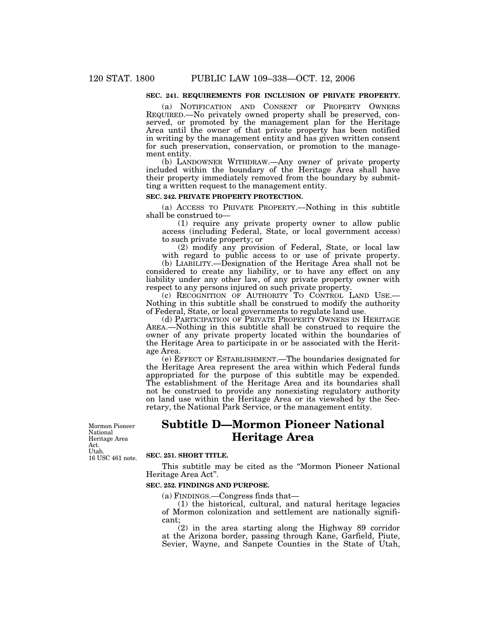# **SEC. 241. REQUIREMENTS FOR INCLUSION OF PRIVATE PROPERTY.**

(a) NOTIFICATION AND CONSENT OF PROPERTY OWNERS REQUIRED.—No privately owned property shall be preserved, conserved, or promoted by the management plan for the Heritage Area until the owner of that private property has been notified in writing by the management entity and has given written consent for such preservation, conservation, or promotion to the management entity.

(b) LANDOWNER WITHDRAW.—Any owner of private property included within the boundary of the Heritage Area shall have their property immediately removed from the boundary by submitting a written request to the management entity.

# **SEC. 242. PRIVATE PROPERTY PROTECTION.**

(a) ACCESS TO PRIVATE PROPERTY.—Nothing in this subtitle shall be construed to—

(1) require any private property owner to allow public access (including Federal, State, or local government access) to such private property; or

(2) modify any provision of Federal, State, or local law with regard to public access to or use of private property.

(b) LIABILITY.—Designation of the Heritage Area shall not be considered to create any liability, or to have any effect on any liability under any other law, of any private property owner with respect to any persons injured on such private property.

(c) RECOGNITION OF AUTHORITY TO CONTROL LAND USE.— Nothing in this subtitle shall be construed to modify the authority of Federal, State, or local governments to regulate land use.

(d) PARTICIPATION OF PRIVATE PROPERTY OWNERS IN HERITAGE AREA.—Nothing in this subtitle shall be construed to require the owner of any private property located within the boundaries of the Heritage Area to participate in or be associated with the Heritage Area.

(e) EFFECT OF ESTABLISHMENT.—The boundaries designated for the Heritage Area represent the area within which Federal funds appropriated for the purpose of this subtitle may be expended. The establishment of the Heritage Area and its boundaries shall not be construed to provide any nonexisting regulatory authority on land use within the Heritage Area or its viewshed by the Secretary, the National Park Service, or the management entity.

Mormon Pioneer National Heritage Area Act. Utah. 16 USC 461 note.

# **Subtitle D—Mormon Pioneer National Heritage Area**

# **SEC. 251. SHORT TITLE.**

This subtitle may be cited as the ''Mormon Pioneer National Heritage Area Act''.

#### **SEC. 252. FINDINGS AND PURPOSE.**

(a) FINDINGS.—Congress finds that—

(1) the historical, cultural, and natural heritage legacies of Mormon colonization and settlement are nationally significant;

(2) in the area starting along the Highway 89 corridor at the Arizona border, passing through Kane, Garfield, Piute, Sevier, Wayne, and Sanpete Counties in the State of Utah,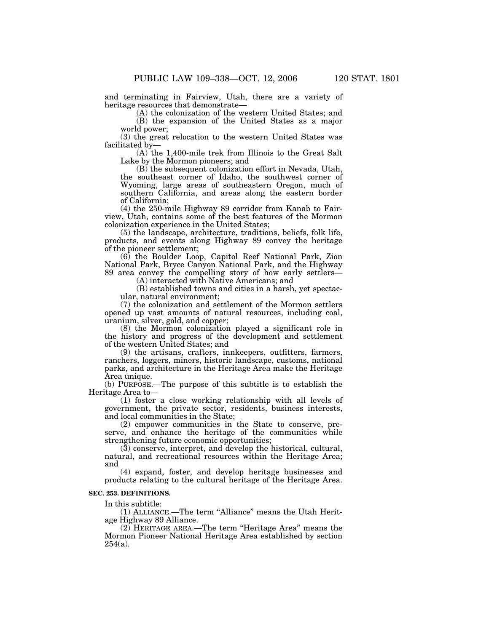and terminating in Fairview, Utah, there are a variety of heritage resources that demonstrate—

(A) the colonization of the western United States; and

(B) the expansion of the United States as a major world power;

(3) the great relocation to the western United States was facilitated by—

(A) the 1,400-mile trek from Illinois to the Great Salt Lake by the Mormon pioneers; and

(B) the subsequent colonization effort in Nevada, Utah, the southeast corner of Idaho, the southwest corner of Wyoming, large areas of southeastern Oregon, much of southern California, and areas along the eastern border of California;

(4) the 250-mile Highway 89 corridor from Kanab to Fairview, Utah, contains some of the best features of the Mormon colonization experience in the United States;

(5) the landscape, architecture, traditions, beliefs, folk life, products, and events along Highway 89 convey the heritage of the pioneer settlement;

(6) the Boulder Loop, Capitol Reef National Park, Zion National Park, Bryce Canyon National Park, and the Highway 89 area convey the compelling story of how early settlers—

(A) interacted with Native Americans; and

(B) established towns and cities in a harsh, yet spectacular, natural environment;

(7) the colonization and settlement of the Mormon settlers opened up vast amounts of natural resources, including coal, uranium, silver, gold, and copper;

(8) the Mormon colonization played a significant role in the history and progress of the development and settlement of the western United States; and

(9) the artisans, crafters, innkeepers, outfitters, farmers, ranchers, loggers, miners, historic landscape, customs, national parks, and architecture in the Heritage Area make the Heritage Area unique.

(b) PURPOSE.—The purpose of this subtitle is to establish the Heritage Area to—

(1) foster a close working relationship with all levels of government, the private sector, residents, business interests, and local communities in the State;

 $(2)$  empower communities in the State to conserve, preserve, and enhance the heritage of the communities while strengthening future economic opportunities;

(3) conserve, interpret, and develop the historical, cultural, natural, and recreational resources within the Heritage Area; and

(4) expand, foster, and develop heritage businesses and products relating to the cultural heritage of the Heritage Area.

# **SEC. 253. DEFINITIONS.**

In this subtitle:

(1) ALLIANCE.—The term ''Alliance'' means the Utah Heritage Highway 89 Alliance.

(2) HERITAGE AREA.—The term ''Heritage Area'' means the Mormon Pioneer National Heritage Area established by section 254(a).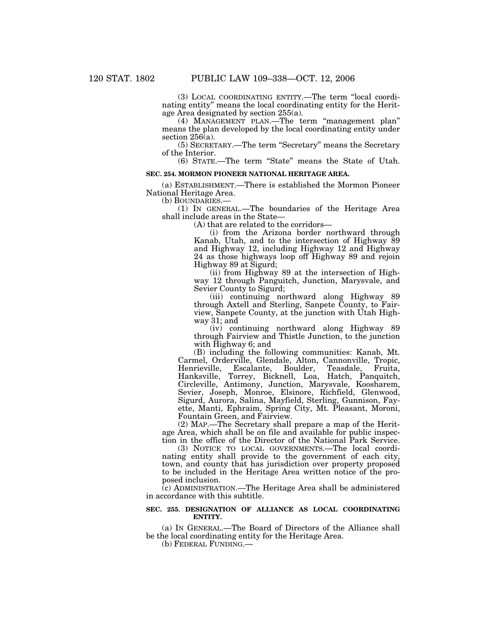(3) LOCAL COORDINATING ENTITY.—The term ''local coordinating entity'' means the local coordinating entity for the Heritage Area designated by section 255(a).

(4) MANAGEMENT PLAN.—The term ''management plan'' means the plan developed by the local coordinating entity under section 256(a).

(5) SECRETARY.—The term ''Secretary'' means the Secretary of the Interior.

(6) STATE.—The term ''State'' means the State of Utah.

# **SEC. 254. MORMON PIONEER NATIONAL HERITAGE AREA.**

(a) ESTABLISHMENT.—There is established the Mormon Pioneer National Heritage Area.<br>(b) BOUNDARIES.—

 $(1)$  IN GENERAL.—The boundaries of the Heritage Area shall include areas in the State—

(A) that are related to the corridors—

(i) from the Arizona border northward through Kanab, Utah, and to the intersection of Highway 89 and Highway 12, including Highway 12 and Highway 24 as those highways loop off Highway 89 and rejoin Highway 89 at Sigurd;

(ii) from Highway 89 at the intersection of Highway 12 through Panguitch, Junction, Marysvale, and Sevier County to Sigurd;

(iii) continuing northward along Highway 89 through Axtell and Sterling, Sanpete County, to Fairview, Sanpete County, at the junction with Utah Highway 31; and

(iv) continuing northward along Highway 89 through Fairview and Thistle Junction, to the junction with Highway 6; and

(B) including the following communities: Kanab, Mt. Carmel, Orderville, Glendale, Alton, Cannonville, Tropic, Teasdale, Fruita, Hanksville, Torrey, Bicknell, Loa, Hatch, Panquitch, Circleville, Antimony, Junction, Marysvale, Koosharem, Sevier, Joseph, Monroe, Elsinore, Richfield, Glenwood, Sigurd, Aurora, Salina, Mayfield, Sterling, Gunnison, Fayette, Manti, Ephraim, Spring City, Mt. Pleasant, Moroni, Fountain Green, and Fairview.

(2) MAP.—The Secretary shall prepare a map of the Heritage Area, which shall be on file and available for public inspection in the office of the Director of the National Park Service.

(3) NOTICE TO LOCAL GOVERNMENTS.—The local coordinating entity shall provide to the government of each city, town, and county that has jurisdiction over property proposed to be included in the Heritage Area written notice of the proposed inclusion.

(c) ADMINISTRATION.—The Heritage Area shall be administered in accordance with this subtitle.

# **SEC. 255. DESIGNATION OF ALLIANCE AS LOCAL COORDINATING ENTITY.**

(a) IN GENERAL.—The Board of Directors of the Alliance shall be the local coordinating entity for the Heritage Area.

(b) FEDERAL FUNDING.—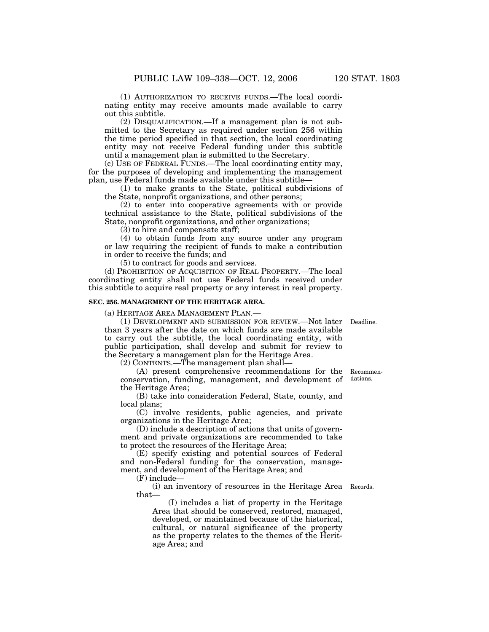(1) AUTHORIZATION TO RECEIVE FUNDS.—The local coordinating entity may receive amounts made available to carry out this subtitle.

(2) DISQUALIFICATION.—If a management plan is not submitted to the Secretary as required under section 256 within the time period specified in that section, the local coordinating entity may not receive Federal funding under this subtitle until a management plan is submitted to the Secretary.

(c) USE OF FEDERAL FUNDS.—The local coordinating entity may, for the purposes of developing and implementing the management plan, use Federal funds made available under this subtitle—

(1) to make grants to the State, political subdivisions of the State, nonprofit organizations, and other persons;

(2) to enter into cooperative agreements with or provide technical assistance to the State, political subdivisions of the State, nonprofit organizations, and other organizations;

(3) to hire and compensate staff;

(4) to obtain funds from any source under any program or law requiring the recipient of funds to make a contribution in order to receive the funds; and

(5) to contract for goods and services.

(d) PROHIBITION OF ACQUISITION OF REAL PROPERTY.—The local coordinating entity shall not use Federal funds received under this subtitle to acquire real property or any interest in real property.

# **SEC. 256. MANAGEMENT OF THE HERITAGE AREA.**

(a) HERITAGE AREA MANAGEMENT PLAN.—

(1) DEVELOPMENT AND SUBMISSION FOR REVIEW.—Not later Deadline. than 3 years after the date on which funds are made available to carry out the subtitle, the local coordinating entity, with public participation, shall develop and submit for review to the Secretary a management plan for the Heritage Area.

(2) CONTENTS.—The management plan shall—

(A) present comprehensive recommendations for the Recommenconservation, funding, management, and development of dations. the Heritage Area;

(B) take into consideration Federal, State, county, and local plans;

(C) involve residents, public agencies, and private organizations in the Heritage Area;

(D) include a description of actions that units of government and private organizations are recommended to take to protect the resources of the Heritage Area;

(E) specify existing and potential sources of Federal and non-Federal funding for the conservation, management, and development of the Heritage Area; and

(F) include—

(i) an inventory of resources in the Heritage Area Records. that—

(I) includes a list of property in the Heritage Area that should be conserved, restored, managed, developed, or maintained because of the historical, cultural, or natural significance of the property as the property relates to the themes of the Heritage Area; and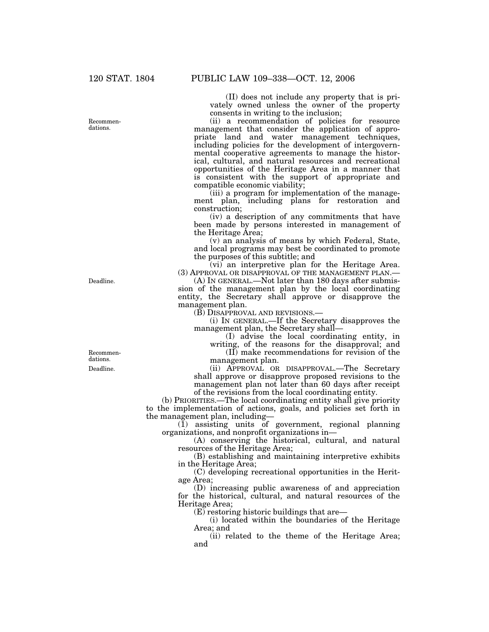Recommendations.

Deadline.

Deadline. Recommendations.

(II) does not include any property that is privately owned unless the owner of the property consents in writing to the inclusion;

(ii) a recommendation of policies for resource management that consider the application of appropriate land and water management techniques, including policies for the development of intergovernmental cooperative agreements to manage the historical, cultural, and natural resources and recreational opportunities of the Heritage Area in a manner that is consistent with the support of appropriate and compatible economic viability;

(iii) a program for implementation of the management plan, including plans for restoration and construction;

(iv) a description of any commitments that have been made by persons interested in management of the Heritage Area;

(v) an analysis of means by which Federal, State, and local programs may best be coordinated to promote the purposes of this subtitle; and

(vi) an interpretive plan for the Heritage Area. (3) APPROVAL OR DISAPPROVAL OF THE MANAGEMENT PLAN.—

(A) IN GENERAL.—Not later than 180 days after submission of the management plan by the local coordinating entity, the Secretary shall approve or disapprove the management plan.

(B) DISAPPROVAL AND REVISIONS.—

(i) IN GENERAL.—If the Secretary disapproves the management plan, the Secretary shall—

(I) advise the local coordinating entity, in writing, of the reasons for the disapproval; and (II) make recommendations for revision of the management plan.

(ii) APPROVAL OR DISAPPROVAL.—The Secretary shall approve or disapprove proposed revisions to the management plan not later than 60 days after receipt of the revisions from the local coordinating entity.

(b) PRIORITIES.—The local coordinating entity shall give priority to the implementation of actions, goals, and policies set forth in the management plan, including—

(1) assisting units of government, regional planning organizations, and nonprofit organizations in—

(A) conserving the historical, cultural, and natural resources of the Heritage Area;

(B) establishing and maintaining interpretive exhibits in the Heritage Area;

(C) developing recreational opportunities in the Heritage Area;

(D) increasing public awareness of and appreciation for the historical, cultural, and natural resources of the Heritage Area;

 $(E)$  restoring historic buildings that are—

(i) located within the boundaries of the Heritage Area; and

(ii) related to the theme of the Heritage Area; and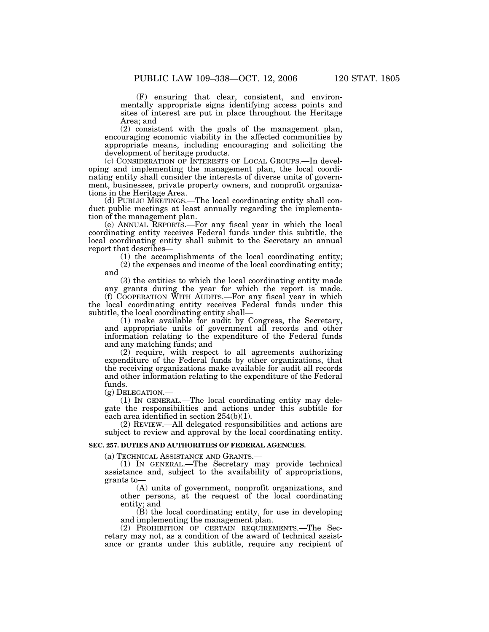(F) ensuring that clear, consistent, and environmentally appropriate signs identifying access points and sites of interest are put in place throughout the Heritage Area; and

(2) consistent with the goals of the management plan, encouraging economic viability in the affected communities by appropriate means, including encouraging and soliciting the development of heritage products.

(c) CONSIDERATION OF INTERESTS OF LOCAL GROUPS.—In developing and implementing the management plan, the local coordinating entity shall consider the interests of diverse units of government, businesses, private property owners, and nonprofit organizations in the Heritage Area.

(d) PUBLIC MEETINGS.—The local coordinating entity shall conduct public meetings at least annually regarding the implementation of the management plan.

(e) ANNUAL REPORTS.—For any fiscal year in which the local coordinating entity receives Federal funds under this subtitle, the local coordinating entity shall submit to the Secretary an annual report that describes—

(1) the accomplishments of the local coordinating entity;

(2) the expenses and income of the local coordinating entity; and

(3) the entities to which the local coordinating entity made

any grants during the year for which the report is made. (f) COOPERATION WITH AUDITS.—For any fiscal year in which the local coordinating entity receives Federal funds under this subtitle, the local coordinating entity shall—

(1) make available for audit by Congress, the Secretary, and appropriate units of government all records and other information relating to the expenditure of the Federal funds and any matching funds; and

(2) require, with respect to all agreements authorizing expenditure of the Federal funds by other organizations, that the receiving organizations make available for audit all records and other information relating to the expenditure of the Federal funds.

(g) DELEGATION.—

(1) IN GENERAL.—The local coordinating entity may delegate the responsibilities and actions under this subtitle for each area identified in section 254(b)(1).

(2) REVIEW.—All delegated responsibilities and actions are subject to review and approval by the local coordinating entity.

# **SEC. 257. DUTIES AND AUTHORITIES OF FEDERAL AGENCIES.**

(a) TECHNICAL ASSISTANCE AND GRANTS.—

(1) IN GENERAL.—The Secretary may provide technical assistance and, subject to the availability of appropriations, grants to—

(A) units of government, nonprofit organizations, and other persons, at the request of the local coordinating entity; and

(B) the local coordinating entity, for use in developing and implementing the management plan.

(2) PROHIBITION OF CERTAIN REQUIREMENTS.—The Secretary may not, as a condition of the award of technical assistance or grants under this subtitle, require any recipient of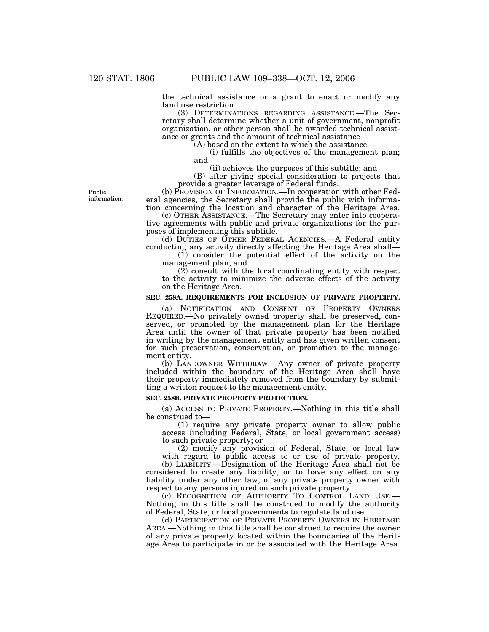the technical assistance or a grant to enact or modify any land use restriction.

(3) DETERMINATIONS REGARDING ASSISTANCE.—The Secretary shall determine whether a unit of government, nonprofit organization, or other person shall be awarded technical assistance or grants and the amount of technical assistance—

(A) based on the extent to which the assistance—

(i) fulfills the objectives of the management plan; and

(ii) achieves the purposes of this subtitle; and

(B) after giving special consideration to projects that provide a greater leverage of Federal funds.

Public information.

(b) PROVISION OF INFORMATION.—In cooperation with other Federal agencies, the Secretary shall provide the public with information concerning the location and character of the Heritage Area.

(c) OTHER ASSISTANCE.—The Secretary may enter into cooperative agreements with public and private organizations for the purposes of implementing this subtitle.

(d) DUTIES OF OTHER FEDERAL AGENCIES.—A Federal entity conducting any activity directly affecting the Heritage Area shall—

(1) consider the potential effect of the activity on the management plan; and

(2) consult with the local coordinating entity with respect to the activity to minimize the adverse effects of the activity on the Heritage Area.

# **SEC. 258A. REQUIREMENTS FOR INCLUSION OF PRIVATE PROPERTY.**

(a) NOTIFICATION AND CONSENT OF PROPERTY OWNERS REQUIRED.—No privately owned property shall be preserved, conserved, or promoted by the management plan for the Heritage Area until the owner of that private property has been notified in writing by the management entity and has given written consent for such preservation, conservation, or promotion to the management entity.

(b) LANDOWNER WITHDRAW.—Any owner of private property included within the boundary of the Heritage Area shall have their property immediately removed from the boundary by submitting a written request to the management entity.

#### **SEC. 258B. PRIVATE PROPERTY PROTECTION.**

(a) ACCESS TO PRIVATE PROPERTY.—Nothing in this title shall be construed to—

(1) require any private property owner to allow public access (including Federal, State, or local government access) to such private property; or

(2) modify any provision of Federal, State, or local law with regard to public access to or use of private property.

(b) LIABILITY.—Designation of the Heritage Area shall not be considered to create any liability, or to have any effect on any liability under any other law, of any private property owner with respect to any persons injured on such private property.

(c) RECOGNITION OF AUTHORITY TO CONTROL LAND USE.— Nothing in this title shall be construed to modify the authority of Federal, State, or local governments to regulate land use.

(d) PARTICIPATION OF PRIVATE PROPERTY OWNERS IN HERITAGE AREA.—Nothing in this title shall be construed to require the owner of any private property located within the boundaries of the Heritage Area to participate in or be associated with the Heritage Area.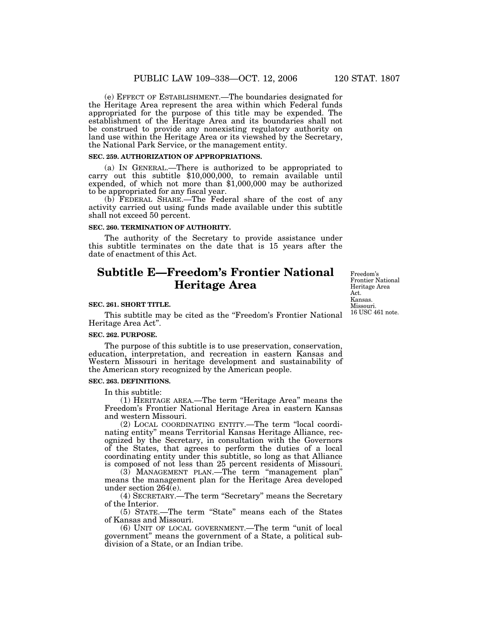(e) EFFECT OF ESTABLISHMENT.—The boundaries designated for the Heritage Area represent the area within which Federal funds appropriated for the purpose of this title may be expended. The establishment of the Heritage Area and its boundaries shall not be construed to provide any nonexisting regulatory authority on land use within the Heritage Area or its viewshed by the Secretary, the National Park Service, or the management entity.

# **SEC. 259. AUTHORIZATION OF APPROPRIATIONS.**

(a) IN GENERAL.—There is authorized to be appropriated to carry out this subtitle \$10,000,000, to remain available until expended, of which not more than \$1,000,000 may be authorized to be appropriated for any fiscal year.

(b) FEDERAL SHARE.—The Federal share of the cost of any activity carried out using funds made available under this subtitle shall not exceed 50 percent.

### **SEC. 260. TERMINATION OF AUTHORITY.**

The authority of the Secretary to provide assistance under this subtitle terminates on the date that is 15 years after the date of enactment of this Act.

# **Subtitle E—Freedom's Frontier National Heritage Area**

#### **SEC. 261. SHORT TITLE.**

This subtitle may be cited as the "Freedom's Frontier National Heritage Area Act''.

#### **SEC. 262. PURPOSE.**

The purpose of this subtitle is to use preservation, conservation, education, interpretation, and recreation in eastern Kansas and Western Missouri in heritage development and sustainability of the American story recognized by the American people.

# **SEC. 263. DEFINITIONS.**

In this subtitle:

(1) HERITAGE AREA.—The term ''Heritage Area'' means the Freedom's Frontier National Heritage Area in eastern Kansas and western Missouri.

(2) LOCAL COORDINATING ENTITY.—The term ''local coordinating entity'' means Territorial Kansas Heritage Alliance, recognized by the Secretary, in consultation with the Governors of the States, that agrees to perform the duties of a local coordinating entity under this subtitle, so long as that Alliance is composed of not less than 25 percent residents of Missouri.

(3) MANAGEMENT PLAN.—The term ''management plan'' means the management plan for the Heritage Area developed under section 264(e).

(4) SECRETARY.—The term ''Secretary'' means the Secretary of the Interior.

(5) STATE.—The term ''State'' means each of the States of Kansas and Missouri.

(6) UNIT OF LOCAL GOVERNMENT.—The term ''unit of local government'' means the government of a State, a political subdivision of a State, or an Indian tribe.

Freedom's Frontier National Heritage Area Act. Kansas. Missouri. 16 USC 461 note.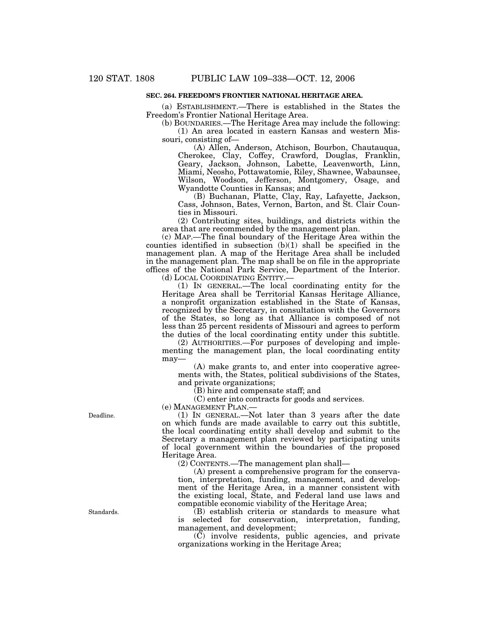# **SEC. 264. FREEDOM'S FRONTIER NATIONAL HERITAGE AREA.**

(a) ESTABLISHMENT.—There is established in the States the Freedom's Frontier National Heritage Area.

(b) BOUNDARIES.—The Heritage Area may include the following: (1) An area located in eastern Kansas and western Missouri, consisting of—

(A) Allen, Anderson, Atchison, Bourbon, Chautauqua, Cherokee, Clay, Coffey, Crawford, Douglas, Franklin, Geary, Jackson, Johnson, Labette, Leavenworth, Linn, Miami, Neosho, Pottawatomie, Riley, Shawnee, Wabaunsee, Wilson, Woodson, Jefferson, Montgomery, Osage, and Wyandotte Counties in Kansas; and

(B) Buchanan, Platte, Clay, Ray, Lafayette, Jackson, Cass, Johnson, Bates, Vernon, Barton, and St. Clair Counties in Missouri.

(2) Contributing sites, buildings, and districts within the area that are recommended by the management plan.

(c) MAP.—The final boundary of the Heritage Area within the counties identified in subsection (b)(1) shall be specified in the management plan. A map of the Heritage Area shall be included in the management plan. The map shall be on file in the appropriate offices of the National Park Service, Department of the Interior.

(d) LOCAL COORDINATING ENTITY.—

(1) IN GENERAL.—The local coordinating entity for the Heritage Area shall be Territorial Kansas Heritage Alliance, a nonprofit organization established in the State of Kansas, recognized by the Secretary, in consultation with the Governors of the States, so long as that Alliance is composed of not less than 25 percent residents of Missouri and agrees to perform the duties of the local coordinating entity under this subtitle.

(2) AUTHORITIES.—For purposes of developing and implementing the management plan, the local coordinating entity may—

(A) make grants to, and enter into cooperative agreements with, the States, political subdivisions of the States, and private organizations;

(B) hire and compensate staff; and

(C) enter into contracts for goods and services.

(e) MANAGEMENT PLAN.—

(1) IN GENERAL.—Not later than 3 years after the date on which funds are made available to carry out this subtitle, the local coordinating entity shall develop and submit to the Secretary a management plan reviewed by participating units of local government within the boundaries of the proposed Heritage Area.

(2) CONTENTS.—The management plan shall—

(A) present a comprehensive program for the conservation, interpretation, funding, management, and development of the Heritage Area, in a manner consistent with the existing local, State, and Federal land use laws and compatible economic viability of the Heritage Area;

(B) establish criteria or standards to measure what is selected for conservation, interpretation, funding, management, and development;

 $(\tilde{C})$  involve residents, public agencies, and private organizations working in the Heritage Area;

Deadline.

Standards.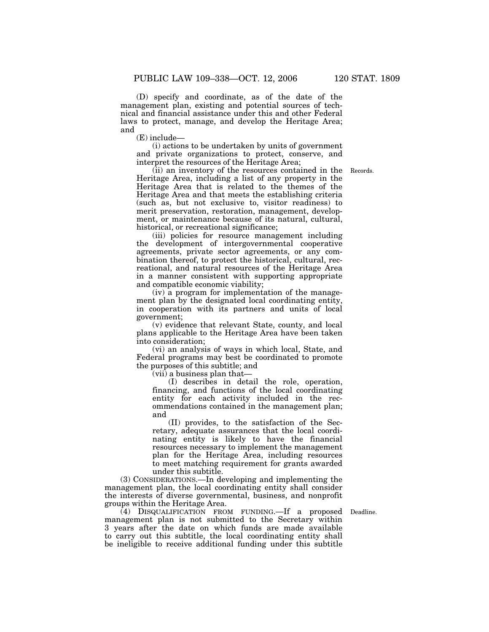(D) specify and coordinate, as of the date of the management plan, existing and potential sources of technical and financial assistance under this and other Federal laws to protect, manage, and develop the Heritage Area; and

(E) include—

(i) actions to be undertaken by units of government and private organizations to protect, conserve, and interpret the resources of the Heritage Area;

(ii) an inventory of the resources contained in the Records. Heritage Area, including a list of any property in the Heritage Area that is related to the themes of the Heritage Area and that meets the establishing criteria (such as, but not exclusive to, visitor readiness) to merit preservation, restoration, management, development, or maintenance because of its natural, cultural, historical, or recreational significance;

(iii) policies for resource management including the development of intergovernmental cooperative agreements, private sector agreements, or any combination thereof, to protect the historical, cultural, recreational, and natural resources of the Heritage Area in a manner consistent with supporting appropriate and compatible economic viability;

(iv) a program for implementation of the management plan by the designated local coordinating entity, in cooperation with its partners and units of local government;

(v) evidence that relevant State, county, and local plans applicable to the Heritage Area have been taken into consideration;

(vi) an analysis of ways in which local, State, and Federal programs may best be coordinated to promote the purposes of this subtitle; and

(vii) a business plan that—

(I) describes in detail the role, operation, financing, and functions of the local coordinating entity for each activity included in the recommendations contained in the management plan; and

(II) provides, to the satisfaction of the Secretary, adequate assurances that the local coordinating entity is likely to have the financial resources necessary to implement the management plan for the Heritage Area, including resources to meet matching requirement for grants awarded under this subtitle.

(3) CONSIDERATIONS.—In developing and implementing the management plan, the local coordinating entity shall consider the interests of diverse governmental, business, and nonprofit groups within the Heritage Area.

(4) DISQUALIFICATION FROM FUNDING.—If a proposed Deadline. management plan is not submitted to the Secretary within 3 years after the date on which funds are made available to carry out this subtitle, the local coordinating entity shall be ineligible to receive additional funding under this subtitle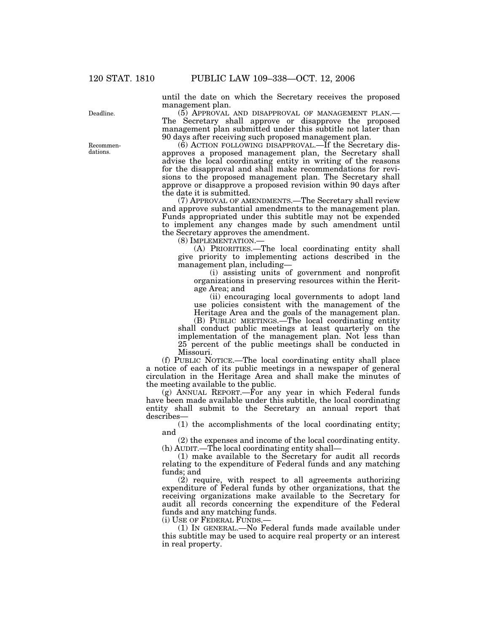until the date on which the Secretary receives the proposed management plan.

(5) APPROVAL AND DISAPPROVAL OF MANAGEMENT PLAN.— The Secretary shall approve or disapprove the proposed management plan submitted under this subtitle not later than 90 days after receiving such proposed management plan.

(6) ACTION FOLLOWING DISAPPROVAL.—If the Secretary disapproves a proposed management plan, the Secretary shall advise the local coordinating entity in writing of the reasons for the disapproval and shall make recommendations for revisions to the proposed management plan. The Secretary shall approve or disapprove a proposed revision within 90 days after the date it is submitted.

(7) APPROVAL OF AMENDMENTS.—The Secretary shall review and approve substantial amendments to the management plan. Funds appropriated under this subtitle may not be expended to implement any changes made by such amendment until the Secretary approves the amendment.

(8) IMPLEMENTATION.—

(A) PRIORITIES.—The local coordinating entity shall give priority to implementing actions described in the management plan, including—

(i) assisting units of government and nonprofit organizations in preserving resources within the Heritage Area; and

(ii) encouraging local governments to adopt land use policies consistent with the management of the Heritage Area and the goals of the management plan.

(B) PUBLIC MEETINGS.—The local coordinating entity shall conduct public meetings at least quarterly on the implementation of the management plan. Not less than 25 percent of the public meetings shall be conducted in Missouri.

(f) PUBLIC NOTICE.—The local coordinating entity shall place a notice of each of its public meetings in a newspaper of general circulation in the Heritage Area and shall make the minutes of the meeting available to the public.

(g) ANNUAL REPORT.—For any year in which Federal funds have been made available under this subtitle, the local coordinating entity shall submit to the Secretary an annual report that describes—

(1) the accomplishments of the local coordinating entity; and

(2) the expenses and income of the local coordinating entity. (h) AUDIT.—The local coordinating entity shall—

(1) make available to the Secretary for audit all records relating to the expenditure of Federal funds and any matching funds; and

(2) require, with respect to all agreements authorizing expenditure of Federal funds by other organizations, that the receiving organizations make available to the Secretary for audit all records concerning the expenditure of the Federal funds and any matching funds.

(i) USE OF FEDERAL FUNDS.—

(1) IN GENERAL.—No Federal funds made available under this subtitle may be used to acquire real property or an interest in real property.

Deadline.

Recommendations.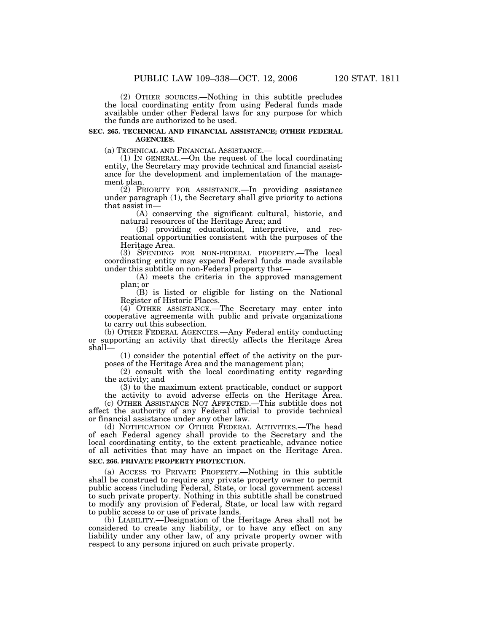(2) OTHER SOURCES.—Nothing in this subtitle precludes the local coordinating entity from using Federal funds made available under other Federal laws for any purpose for which the funds are authorized to be used.

### **SEC. 265. TECHNICAL AND FINANCIAL ASSISTANCE; OTHER FEDERAL AGENCIES.**

(a) TECHNICAL AND FINANCIAL ASSISTANCE.— (1) IN GENERAL.—On the request of the local coordinating entity, the Secretary may provide technical and financial assistance for the development and implementation of the management plan.

(2) PRIORITY FOR ASSISTANCE.—In providing assistance under paragraph (1), the Secretary shall give priority to actions that assist in—

(A) conserving the significant cultural, historic, and natural resources of the Heritage Area; and

(B) providing educational, interpretive, and recreational opportunities consistent with the purposes of the Heritage Area.

(3) SPENDING FOR NON-FEDERAL PROPERTY.—The local coordinating entity may expend Federal funds made available under this subtitle on non-Federal property that—

(A) meets the criteria in the approved management plan; or

(B) is listed or eligible for listing on the National Register of Historic Places.

(4) OTHER ASSISTANCE.—The Secretary may enter into cooperative agreements with public and private organizations to carry out this subsection.

(b) OTHER FEDERAL AGENCIES.—Any Federal entity conducting or supporting an activity that directly affects the Heritage Area shall—

(1) consider the potential effect of the activity on the purposes of the Heritage Area and the management plan;

(2) consult with the local coordinating entity regarding the activity; and

(3) to the maximum extent practicable, conduct or support

the activity to avoid adverse effects on the Heritage Area. (c) OTHER ASSISTANCE NOT AFFECTED.—This subtitle does not affect the authority of any Federal official to provide technical or financial assistance under any other law.

(d) NOTIFICATION OF OTHER FEDERAL ACTIVITIES.—The head of each Federal agency shall provide to the Secretary and the local coordinating entity, to the extent practicable, advance notice of all activities that may have an impact on the Heritage Area.

# **SEC. 266. PRIVATE PROPERTY PROTECTION.**

(a) ACCESS TO PRIVATE PROPERTY.—Nothing in this subtitle shall be construed to require any private property owner to permit public access (including Federal, State, or local government access) to such private property. Nothing in this subtitle shall be construed to modify any provision of Federal, State, or local law with regard to public access to or use of private lands.

(b) LIABILITY.—Designation of the Heritage Area shall not be considered to create any liability, or to have any effect on any liability under any other law, of any private property owner with respect to any persons injured on such private property.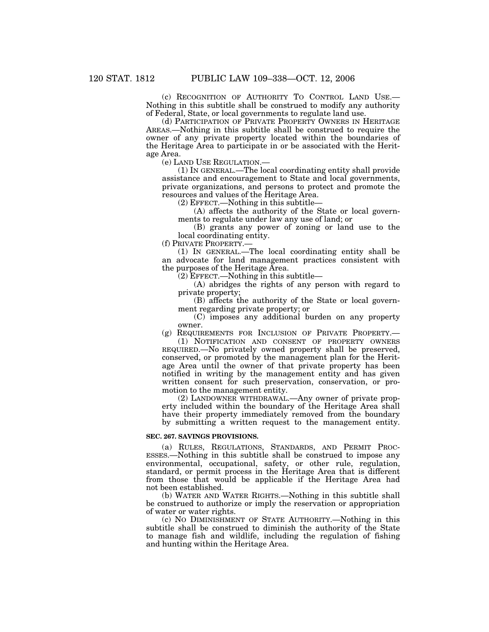(c) RECOGNITION OF AUTHORITY TO CONTROL LAND USE.— Nothing in this subtitle shall be construed to modify any authority of Federal, State, or local governments to regulate land use.

(d) PARTICIPATION OF PRIVATE PROPERTY OWNERS IN HERITAGE AREAS.—Nothing in this subtitle shall be construed to require the owner of any private property located within the boundaries of the Heritage Area to participate in or be associated with the Heritage Area.

(e) LAND USE REGULATION.—

(1) IN GENERAL.—The local coordinating entity shall provide assistance and encouragement to State and local governments, private organizations, and persons to protect and promote the resources and values of the Heritage Area.

(2) EFFECT.—Nothing in this subtitle—

(A) affects the authority of the State or local governments to regulate under law any use of land; or

(B) grants any power of zoning or land use to the local coordinating entity.

(f) PRIVATE PROPERTY.—

(1) IN GENERAL.—The local coordinating entity shall be an advocate for land management practices consistent with the purposes of the Heritage Area.

(2) EFFECT.—Nothing in this subtitle—

(A) abridges the rights of any person with regard to private property;

(B) affects the authority of the State or local government regarding private property; or

(C) imposes any additional burden on any property owner.

(g) REQUIREMENTS FOR INCLUSION OF PRIVATE PROPERTY.— (1) NOTIFICATION AND CONSENT OF PROPERTY OWNERS

REQUIRED.—No privately owned property shall be preserved, conserved, or promoted by the management plan for the Heritage Area until the owner of that private property has been notified in writing by the management entity and has given written consent for such preservation, conservation, or promotion to the management entity.

(2) LANDOWNER WITHDRAWAL.—Any owner of private property included within the boundary of the Heritage Area shall have their property immediately removed from the boundary by submitting a written request to the management entity.

#### **SEC. 267. SAVINGS PROVISIONS.**

(a) RULES, REGULATIONS, STANDARDS, AND PERMIT PROC-ESSES.—Nothing in this subtitle shall be construed to impose any environmental, occupational, safety, or other rule, regulation, standard, or permit process in the Heritage Area that is different from those that would be applicable if the Heritage Area had not been established.

(b) WATER AND WATER RIGHTS.—Nothing in this subtitle shall be construed to authorize or imply the reservation or appropriation of water or water rights.

(c) NO DIMINISHMENT OF STATE AUTHORITY.—Nothing in this subtitle shall be construed to diminish the authority of the State to manage fish and wildlife, including the regulation of fishing and hunting within the Heritage Area.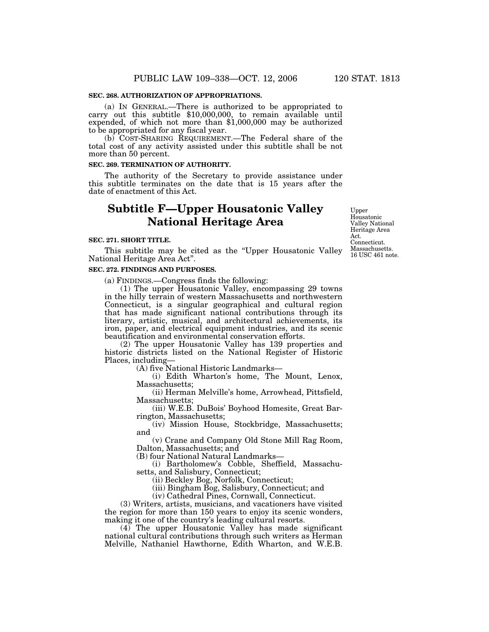(a) IN GENERAL.—There is authorized to be appropriated to carry out this subtitle \$10,000,000, to remain available until expended, of which not more than \$1,000,000 may be authorized to be appropriated for any fiscal year.

(b) COST-SHARING REQUIREMENT.—The Federal share of the total cost of any activity assisted under this subtitle shall be not more than 50 percent.

#### **SEC. 269. TERMINATION OF AUTHORITY.**

The authority of the Secretary to provide assistance under this subtitle terminates on the date that is 15 years after the date of enactment of this Act.

# **Subtitle F—Upper Housatonic Valley National Heritage Area**

# **SEC. 271. SHORT TITLE.**

This subtitle may be cited as the "Upper Housatonic Valley" National Heritage Area Act''.

#### **SEC. 272. FINDINGS AND PURPOSES.**

(a) FINDINGS.—Congress finds the following:

(1) The upper Housatonic Valley, encompassing 29 towns in the hilly terrain of western Massachusetts and northwestern Connecticut, is a singular geographical and cultural region that has made significant national contributions through its literary, artistic, musical, and architectural achievements, its iron, paper, and electrical equipment industries, and its scenic beautification and environmental conservation efforts.

(2) The upper Housatonic Valley has 139 properties and historic districts listed on the National Register of Historic Places, including—

(A) five National Historic Landmarks—

(i) Edith Wharton's home, The Mount, Lenox, Massachusetts;

(ii) Herman Melville's home, Arrowhead, Pittsfield, Massachusetts;

(iii) W.E.B. DuBois' Boyhood Homesite, Great Barrington, Massachusetts;

(iv) Mission House, Stockbridge, Massachusetts; and

(v) Crane and Company Old Stone Mill Rag Room, Dalton, Massachusetts; and

(B) four National Natural Landmarks—

(i) Bartholomew's Cobble, Sheffield, Massachusetts, and Salisbury, Connecticut;

(ii) Beckley Bog, Norfolk, Connecticut;

(iii) Bingham Bog, Salisbury, Connecticut; and

(iv) Cathedral Pines, Cornwall, Connecticut.

(3) Writers, artists, musicians, and vacationers have visited the region for more than 150 years to enjoy its scenic wonders, making it one of the country's leading cultural resorts.

(4) The upper Housatonic Valley has made significant national cultural contributions through such writers as Herman Melville, Nathaniel Hawthorne, Edith Wharton, and W.E.B.

Upper Housatonic Valley National Heritage Area Act. Connecticut. Massachusetts. 16 USC 461 note.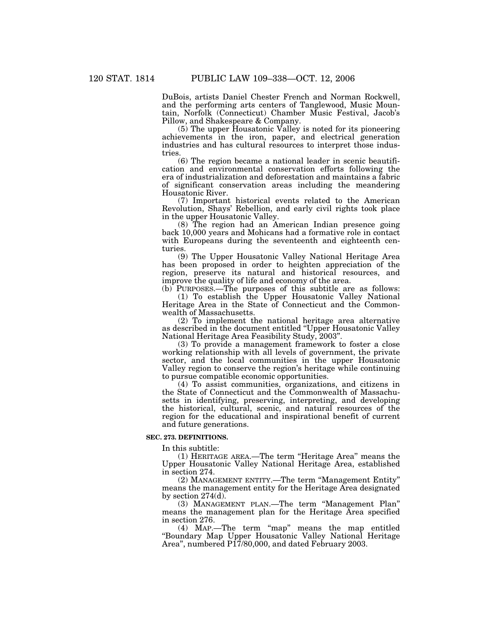DuBois, artists Daniel Chester French and Norman Rockwell, and the performing arts centers of Tanglewood, Music Mountain, Norfolk (Connecticut) Chamber Music Festival, Jacob's Pillow, and Shakespeare & Company.

(5) The upper Housatonic Valley is noted for its pioneering achievements in the iron, paper, and electrical generation industries and has cultural resources to interpret those industries.

(6) The region became a national leader in scenic beautification and environmental conservation efforts following the era of industrialization and deforestation and maintains a fabric of significant conservation areas including the meandering Housatonic River.

(7) Important historical events related to the American Revolution, Shays' Rebellion, and early civil rights took place in the upper Housatonic Valley.

(8) The region had an American Indian presence going back 10,000 years and Mohicans had a formative role in contact with Europeans during the seventeenth and eighteenth centuries.

(9) The Upper Housatonic Valley National Heritage Area has been proposed in order to heighten appreciation of the region, preserve its natural and historical resources, and improve the quality of life and economy of the area.

(b) PURPOSES.—The purposes of this subtitle are as follows: (1) To establish the Upper Housatonic Valley National Heritage Area in the State of Connecticut and the Commonwealth of Massachusetts.

(2) To implement the national heritage area alternative as described in the document entitled ''Upper Housatonic Valley National Heritage Area Feasibility Study, 2003''.

(3) To provide a management framework to foster a close working relationship with all levels of government, the private sector, and the local communities in the upper Housatonic Valley region to conserve the region's heritage while continuing to pursue compatible economic opportunities.

(4) To assist communities, organizations, and citizens in the State of Connecticut and the Commonwealth of Massachusetts in identifying, preserving, interpreting, and developing the historical, cultural, scenic, and natural resources of the region for the educational and inspirational benefit of current and future generations.

#### **SEC. 273. DEFINITIONS.**

In this subtitle:

(1) HERITAGE AREA.—The term ''Heritage Area'' means the Upper Housatonic Valley National Heritage Area, established in section 274.

(2) MANAGEMENT ENTITY.—The term ''Management Entity'' means the management entity for the Heritage Area designated by section 274(d).

(3) MANAGEMENT PLAN.—The term ''Management Plan'' means the management plan for the Heritage Area specified in section 276.

(4) MAP.—The term ''map'' means the map entitled ''Boundary Map Upper Housatonic Valley National Heritage Area'', numbered P17/80,000, and dated February 2003.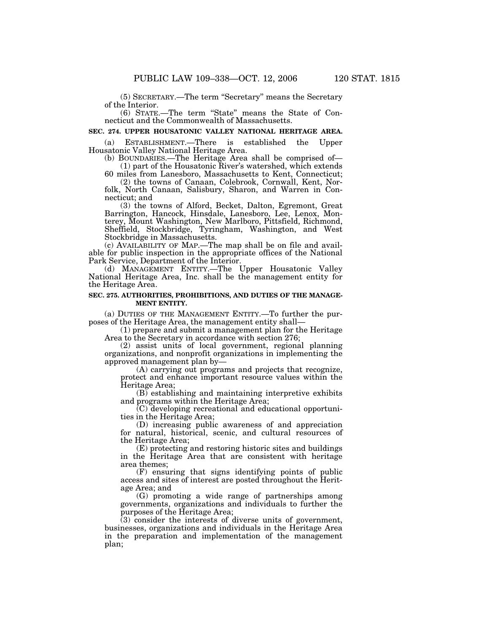(5) SECRETARY.—The term ''Secretary'' means the Secretary of the Interior.

(6) STATE.—The term ''State'' means the State of Connecticut and the Commonwealth of Massachusetts.

# **SEC. 274. UPPER HOUSATONIC VALLEY NATIONAL HERITAGE AREA.**

(a) ESTABLISHMENT.—There is established the Upper Housatonic Valley National Heritage Area.

(b) BOUNDARIES.—The Heritage Area shall be comprised of— (1) part of the Housatonic River's watershed, which extends

60 miles from Lanesboro, Massachusetts to Kent, Connecticut; (2) the towns of Canaan, Colebrook, Cornwall, Kent, Nor-

folk, North Canaan, Salisbury, Sharon, and Warren in Connecticut; and

(3) the towns of Alford, Becket, Dalton, Egremont, Great Barrington, Hancock, Hinsdale, Lanesboro, Lee, Lenox, Monterey, Mount Washington, New Marlboro, Pittsfield, Richmond, Sheffield, Stockbridge, Tyringham, Washington, and West Stockbridge in Massachusetts.

(c) AVAILABILITY OF MAP.—The map shall be on file and available for public inspection in the appropriate offices of the National Park Service, Department of the Interior.

(d) MANAGEMENT ENTITY.—The Upper Housatonic Valley National Heritage Area, Inc. shall be the management entity for the Heritage Area.

# **SEC. 275. AUTHORITIES, PROHIBITIONS, AND DUTIES OF THE MANAGE-MENT ENTITY.**

(a) DUTIES OF THE MANAGEMENT ENTITY.—To further the purposes of the Heritage Area, the management entity shall—

(1) prepare and submit a management plan for the Heritage Area to the Secretary in accordance with section 276;

(2) assist units of local government, regional planning organizations, and nonprofit organizations in implementing the approved management plan by—

(A) carrying out programs and projects that recognize, protect and enhance important resource values within the Heritage Area;

(B) establishing and maintaining interpretive exhibits and programs within the Heritage Area;

(C) developing recreational and educational opportunities in the Heritage Area;

(D) increasing public awareness of and appreciation for natural, historical, scenic, and cultural resources of the Heritage Area;

(E) protecting and restoring historic sites and buildings in the Heritage Area that are consistent with heritage area themes;

(F) ensuring that signs identifying points of public access and sites of interest are posted throughout the Heritage Area; and

(G) promoting a wide range of partnerships among governments, organizations and individuals to further the purposes of the Heritage Area;

(3) consider the interests of diverse units of government, businesses, organizations and individuals in the Heritage Area in the preparation and implementation of the management plan;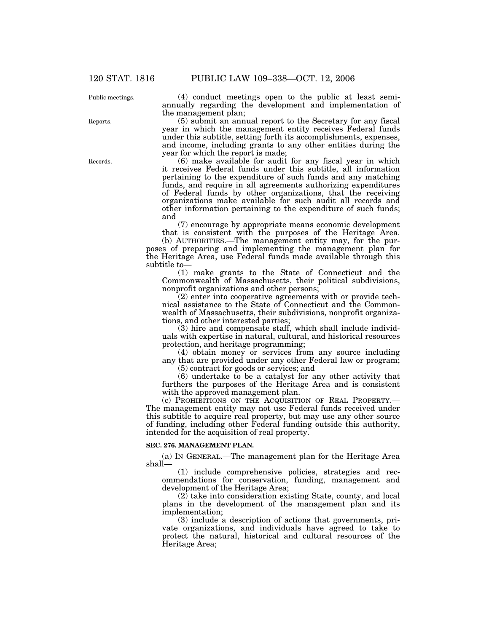Public meetings.

(4) conduct meetings open to the public at least semiannually regarding the development and implementation of the management plan;

(5) submit an annual report to the Secretary for any fiscal year in which the management entity receives Federal funds under this subtitle, setting forth its accomplishments, expenses, and income, including grants to any other entities during the year for which the report is made;

(6) make available for audit for any fiscal year in which it receives Federal funds under this subtitle, all information pertaining to the expenditure of such funds and any matching funds, and require in all agreements authorizing expenditures of Federal funds by other organizations, that the receiving organizations make available for such audit all records and other information pertaining to the expenditure of such funds; and

(7) encourage by appropriate means economic development that is consistent with the purposes of the Heritage Area.

(b) AUTHORITIES.—The management entity may, for the purposes of preparing and implementing the management plan for the Heritage Area, use Federal funds made available through this subtitle to—

(1) make grants to the State of Connecticut and the Commonwealth of Massachusetts, their political subdivisions, nonprofit organizations and other persons;

(2) enter into cooperative agreements with or provide technical assistance to the State of Connecticut and the Commonwealth of Massachusetts, their subdivisions, nonprofit organizations, and other interested parties;

(3) hire and compensate staff, which shall include individuals with expertise in natural, cultural, and historical resources protection, and heritage programming;

(4) obtain money or services from any source including any that are provided under any other Federal law or program;

(5) contract for goods or services; and

(6) undertake to be a catalyst for any other activity that furthers the purposes of the Heritage Area and is consistent with the approved management plan.

(c) PROHIBITIONS ON THE ACQUISITION OF REAL PROPERTY.— The management entity may not use Federal funds received under this subtitle to acquire real property, but may use any other source of funding, including other Federal funding outside this authority, intended for the acquisition of real property.

#### **SEC. 276. MANAGEMENT PLAN.**

(a) IN GENERAL.—The management plan for the Heritage Area shall—

(1) include comprehensive policies, strategies and recommendations for conservation, funding, management and development of the Heritage Area;

(2) take into consideration existing State, county, and local plans in the development of the management plan and its implementation;

(3) include a description of actions that governments, private organizations, and individuals have agreed to take to protect the natural, historical and cultural resources of the Heritage Area;

Records.

Reports.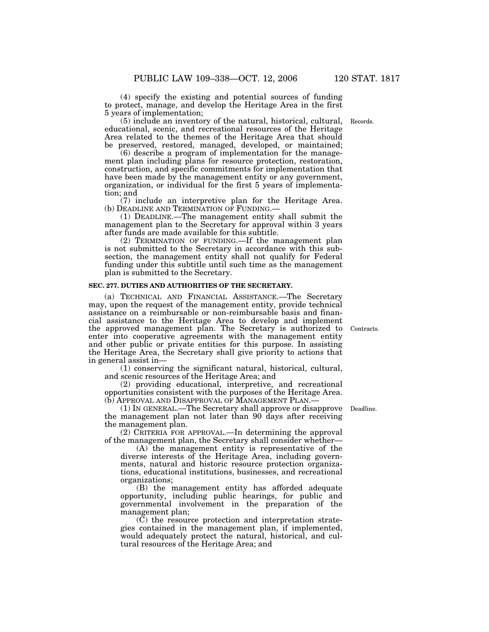(4) specify the existing and potential sources of funding to protect, manage, and develop the Heritage Area in the first 5 years of implementation;

(5) include an inventory of the natural, historical, cultural, educational, scenic, and recreational resources of the Heritage Area related to the themes of the Heritage Area that should be preserved, restored, managed, developed, or maintained;

(6) describe a program of implementation for the management plan including plans for resource protection, restoration, construction, and specific commitments for implementation that have been made by the management entity or any government, organization, or individual for the first 5 years of implementation; and

(7) include an interpretive plan for the Heritage Area.<br>(b)  $DEADLINE AND TERMINATION OF FUNDING.$ 

 $(1)$  DEADLINE.—The management entity shall submit the management plan to the Secretary for approval within 3 years after funds are made available for this subtitle.

(2) TERMINATION OF FUNDING.—If the management plan is not submitted to the Secretary in accordance with this subsection, the management entity shall not qualify for Federal funding under this subtitle until such time as the management plan is submitted to the Secretary.

# **SEC. 277. DUTIES AND AUTHORITIES OF THE SECRETARY.**

(a) TECHNICAL AND FINANCIAL ASSISTANCE.—The Secretary may, upon the request of the management entity, provide technical assistance on a reimbursable or non-reimbursable basis and financial assistance to the Heritage Area to develop and implement the approved management plan. The Secretary is authorized to enter into cooperative agreements with the management entity and other public or private entities for this purpose. In assisting the Heritage Area, the Secretary shall give priority to actions that in general assist in—

(1) conserving the significant natural, historical, cultural, and scenic resources of the Heritage Area; and

(2) providing educational, interpretive, and recreational opportunities consistent with the purposes of the Heritage Area. (b) APPROVAL AND DISAPPROVAL OF MANAGEMENT PLAN.—

(1) IN GENERAL.—The Secretary shall approve or disapprove Deadline. the management plan not later than 90 days after receiving the management plan.

(2) CRITERIA FOR APPROVAL.—In determining the approval of the management plan, the Secretary shall consider whether—

(A) the management entity is representative of the diverse interests of the Heritage Area, including governments, natural and historic resource protection organizations, educational institutions, businesses, and recreational organizations;

(B) the management entity has afforded adequate opportunity, including public hearings, for public and governmental involvement in the preparation of the management plan;

(C) the resource protection and interpretation strategies contained in the management plan, if implemented, would adequately protect the natural, historical, and cultural resources of the Heritage Area; and

Contracts.

Records.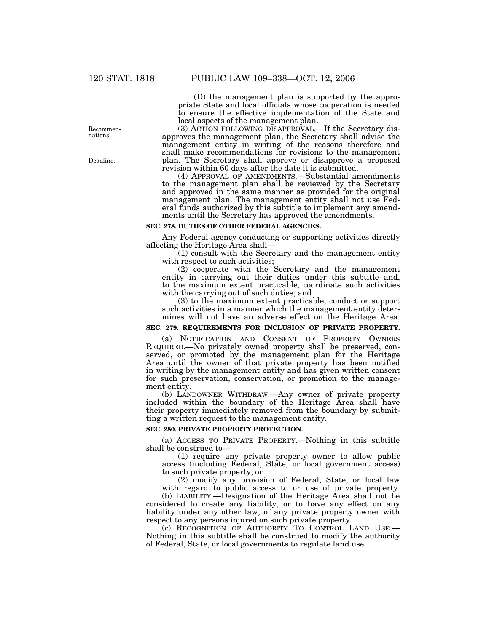(D) the management plan is supported by the appropriate State and local officials whose cooperation is needed to ensure the effective implementation of the State and local aspects of the management plan.

(3) ACTION FOLLOWING DISAPPROVAL.—If the Secretary disapproves the management plan, the Secretary shall advise the management entity in writing of the reasons therefore and shall make recommendations for revisions to the management plan. The Secretary shall approve or disapprove a proposed revision within 60 days after the date it is submitted.

(4) APPROVAL OF AMENDMENTS.—Substantial amendments to the management plan shall be reviewed by the Secretary and approved in the same manner as provided for the original management plan. The management entity shall not use Federal funds authorized by this subtitle to implement any amendments until the Secretary has approved the amendments.

# **SEC. 278. DUTIES OF OTHER FEDERAL AGENCIES.**

Any Federal agency conducting or supporting activities directly affecting the Heritage Area shall—

(1) consult with the Secretary and the management entity with respect to such activities;

(2) cooperate with the Secretary and the management entity in carrying out their duties under this subtitle and, to the maximum extent practicable, coordinate such activities with the carrying out of such duties; and

(3) to the maximum extent practicable, conduct or support such activities in a manner which the management entity determines will not have an adverse effect on the Heritage Area.

## **SEC. 279. REQUIREMENTS FOR INCLUSION OF PRIVATE PROPERTY.**

(a) NOTIFICATION AND CONSENT OF PROPERTY OWNERS REQUIRED.—No privately owned property shall be preserved, conserved, or promoted by the management plan for the Heritage Area until the owner of that private property has been notified in writing by the management entity and has given written consent for such preservation, conservation, or promotion to the management entity.

(b) LANDOWNER WITHDRAW.—Any owner of private property included within the boundary of the Heritage Area shall have their property immediately removed from the boundary by submitting a written request to the management entity.

# **SEC. 280. PRIVATE PROPERTY PROTECTION.**

(a) ACCESS TO PRIVATE PROPERTY.—Nothing in this subtitle shall be construed to—

(1) require any private property owner to allow public access (including Federal, State, or local government access) to such private property; or

(2) modify any provision of Federal, State, or local law with regard to public access to or use of private property. (b) LIABILITY.—Designation of the Heritage Area shall not be considered to create any liability, or to have any effect on any liability under any other law, of any private property owner with respect to any persons injured on such private property.

(c) RECOGNITION OF AUTHORITY TO CONTROL LAND USE.— Nothing in this subtitle shall be construed to modify the authority of Federal, State, or local governments to regulate land use.

Deadline.

Recommendations.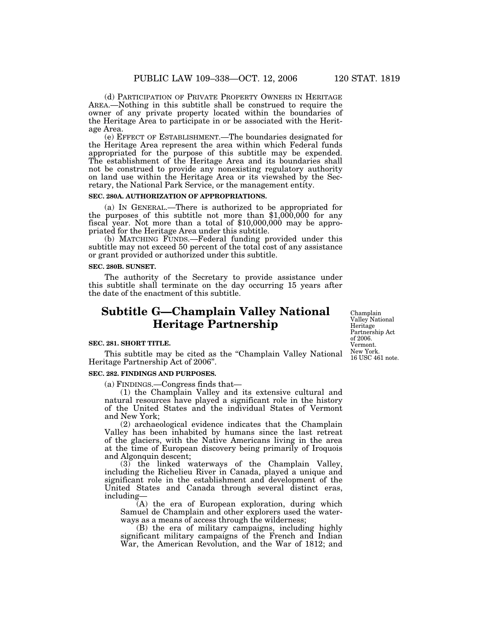(d) PARTICIPATION OF PRIVATE PROPERTY OWNERS IN HERITAGE AREA.—Nothing in this subtitle shall be construed to require the owner of any private property located within the boundaries of the Heritage Area to participate in or be associated with the Heritage Area.

(e) EFFECT OF ESTABLISHMENT.—The boundaries designated for the Heritage Area represent the area within which Federal funds appropriated for the purpose of this subtitle may be expended. The establishment of the Heritage Area and its boundaries shall not be construed to provide any nonexisting regulatory authority on land use within the Heritage Area or its viewshed by the Secretary, the National Park Service, or the management entity.

## **SEC. 280A. AUTHORIZATION OF APPROPRIATIONS.**

(a) IN GENERAL.—There is authorized to be appropriated for the purposes of this subtitle not more than \$1,000,000 for any fiscal year. Not more than a total of \$10,000,000 may be appropriated for the Heritage Area under this subtitle.

(b) MATCHING FUNDS.—Federal funding provided under this subtitle may not exceed 50 percent of the total cost of any assistance or grant provided or authorized under this subtitle.

### **SEC. 280B. SUNSET.**

The authority of the Secretary to provide assistance under this subtitle shall terminate on the day occurring 15 years after the date of the enactment of this subtitle.

# **Subtitle G—Champlain Valley National Heritage Partnership**

### **SEC. 281. SHORT TITLE.**

This subtitle may be cited as the "Champlain Valley National" Heritage Partnership Act of 2006''.

### **SEC. 282. FINDINGS AND PURPOSES.**

(a) FINDINGS.—Congress finds that—

(1) the Champlain Valley and its extensive cultural and natural resources have played a significant role in the history of the United States and the individual States of Vermont and New York;

(2) archaeological evidence indicates that the Champlain Valley has been inhabited by humans since the last retreat of the glaciers, with the Native Americans living in the area at the time of European discovery being primarily of Iroquois and Algonquin descent;

(3) the linked waterways of the Champlain Valley, including the Richelieu River in Canada, played a unique and significant role in the establishment and development of the United States and Canada through several distinct eras, including—

(A) the era of European exploration, during which Samuel de Champlain and other explorers used the waterways as a means of access through the wilderness;

(B) the era of military campaigns, including highly significant military campaigns of the French and Indian War, the American Revolution, and the War of 1812; and

Champlain Valley National Heritage Partnership Act of 2006. Vermont. New York. 16 USC 461 note.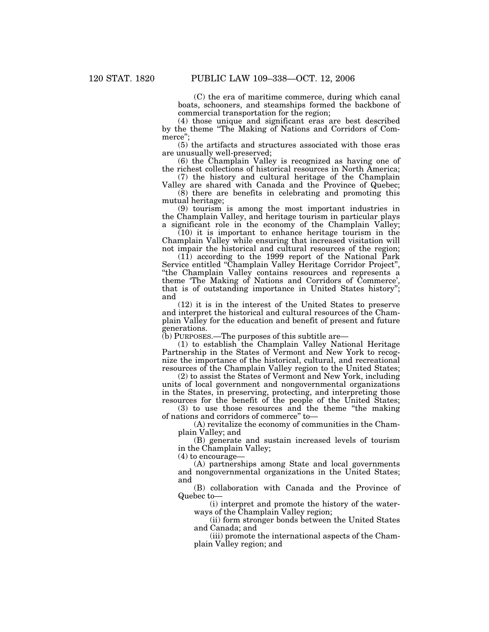(C) the era of maritime commerce, during which canal boats, schooners, and steamships formed the backbone of commercial transportation for the region;

(4) those unique and significant eras are best described by the theme ''The Making of Nations and Corridors of Commerce'';

(5) the artifacts and structures associated with those eras are unusually well-preserved;

(6) the Champlain Valley is recognized as having one of the richest collections of historical resources in North America;

(7) the history and cultural heritage of the Champlain Valley are shared with Canada and the Province of Quebec; (8) there are benefits in celebrating and promoting this

mutual heritage;

(9) tourism is among the most important industries in the Champlain Valley, and heritage tourism in particular plays a significant role in the economy of the Champlain Valley;

 $(10)$  it is important to enhance heritage tourism in the Champlain Valley while ensuring that increased visitation will not impair the historical and cultural resources of the region;

(11) according to the 1999 report of the National Park Service entitled ''Champlain Valley Heritage Corridor Project'', ''the Champlain Valley contains resources and represents a theme 'The Making of Nations and Corridors of Commerce', that is of outstanding importance in United States history''; and

(12) it is in the interest of the United States to preserve and interpret the historical and cultural resources of the Champlain Valley for the education and benefit of present and future generations.

(b) PURPOSES.—The purposes of this subtitle are—

(1) to establish the Champlain Valley National Heritage Partnership in the States of Vermont and New York to recognize the importance of the historical, cultural, and recreational resources of the Champlain Valley region to the United States;

(2) to assist the States of Vermont and New York, including units of local government and nongovernmental organizations in the States, in preserving, protecting, and interpreting those resources for the benefit of the people of the United States;

(3) to use those resources and the theme ''the making of nations and corridors of commerce'' to—

(A) revitalize the economy of communities in the Champlain Valley; and

(B) generate and sustain increased levels of tourism in the Champlain Valley;

(4) to encourage—

(A) partnerships among State and local governments and nongovernmental organizations in the United States; and

(B) collaboration with Canada and the Province of Quebec to—

(i) interpret and promote the history of the waterways of the Champlain Valley region;

(ii) form stronger bonds between the United States and Canada; and

(iii) promote the international aspects of the Champlain Valley region; and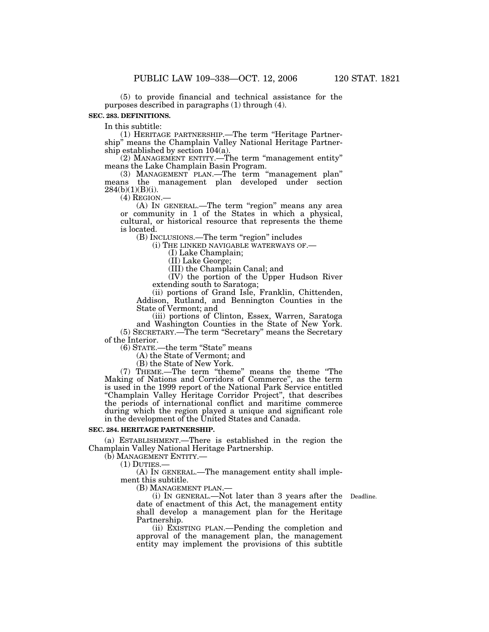purposes described in paragraphs (1) through (4). **SEC. 283. DEFINITIONS.**

In this subtitle:

(1) HERITAGE PARTNERSHIP.—The term ''Heritage Partnership'' means the Champlain Valley National Heritage Partnership established by section 104(a).

(2) MANAGEMENT ENTITY.—The term ''management entity'' means the Lake Champlain Basin Program.

(3) MANAGEMENT PLAN.—The term ''management plan'' means the management plan developed under section  $284(b)(1)(B)(i).$ <br>(4) REGION.

(A) IN GENERAL.—The term "region" means any area or community in 1 of the States in which a physical, cultural, or historical resource that represents the theme is located.

(B) INCLUSIONS.—The term ''region'' includes

(i) THE LINKED NAVIGABLE WATERWAYS OF.— (I) Lake Champlain;

(II) Lake George;

(III) the Champlain Canal; and

(IV) the portion of the Upper Hudson River extending south to Saratoga;

(ii) portions of Grand Isle, Franklin, Chittenden, Addison, Rutland, and Bennington Counties in the State of Vermont; and

(iii) portions of Clinton, Essex, Warren, Saratoga and Washington Counties in the State of New York.

(5) SECRETARY.—The term ''Secretary'' means the Secretary of the Interior.

(6) STATE.—the term ''State'' means

(A) the State of Vermont; and

(B) the State of New York.

(7) THEME.—The term ''theme'' means the theme ''The Making of Nations and Corridors of Commerce'', as the term is used in the 1999 report of the National Park Service entitled ''Champlain Valley Heritage Corridor Project'', that describes the periods of international conflict and maritime commerce during which the region played a unique and significant role in the development of the United States and Canada.

### **SEC. 284. HERITAGE PARTNERSHIP.**

(a) ESTABLISHMENT.—There is established in the region the Champlain Valley National Heritage Partnership.

(b) MANAGEMENT ENTITY.—<br>(1) DUTIES.—<br>(A) IN GENERAL.—The management entity shall implement this subtitle.

(B) MANAGEMENT PLAN.—

(i) IN GENERAL.—Not later than 3 years after the Deadline. date of enactment of this Act, the management entity shall develop a management plan for the Heritage Partnership.

(ii) EXISTING PLAN.—Pending the completion and approval of the management plan, the management entity may implement the provisions of this subtitle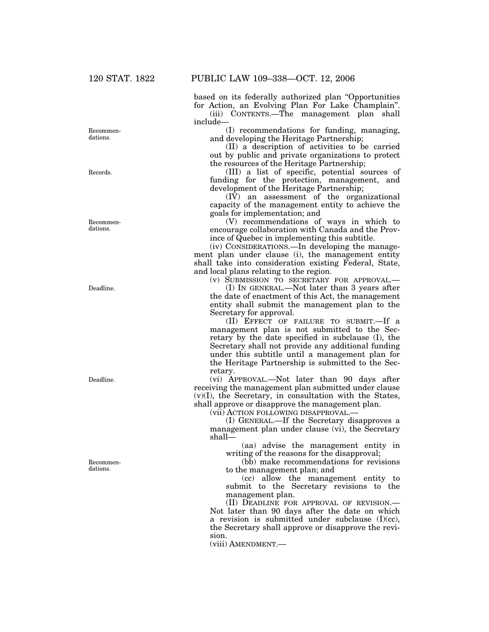Recommendations.

Records.

Recommendations.

Deadline.

Deadline.

Recommendations.

based on its federally authorized plan ''Opportunities for Action, an Evolving Plan For Lake Champlain''. (iii) CONTENTS.—The management plan shall include—

(I) recommendations for funding, managing, and developing the Heritage Partnership;

(II) a description of activities to be carried out by public and private organizations to protect the resources of the Heritage Partnership;

(III) a list of specific, potential sources of funding for the protection, management, and development of the Heritage Partnership;

(IV) an assessment of the organizational capacity of the management entity to achieve the goals for implementation; and

(V) recommendations of ways in which to encourage collaboration with Canada and the Province of Quebec in implementing this subtitle.

(iv) CONSIDERATIONS.—In developing the management plan under clause (i), the management entity shall take into consideration existing Federal, State, and local plans relating to the region.

(v) SUBMISSION TO SECRETARY FOR APPROVAL.—

(I) IN GENERAL.—Not later than 3 years after the date of enactment of this Act, the management entity shall submit the management plan to the Secretary for approval.

(II) EFFECT OF FAILURE TO SUBMIT.—If a management plan is not submitted to the Secretary by the date specified in subclause (I), the Secretary shall not provide any additional funding under this subtitle until a management plan for the Heritage Partnership is submitted to the Secretary.

(vi) APPROVAL.—Not later than 90 days after receiving the management plan submitted under clause (v)(I), the Secretary, in consultation with the States, shall approve or disapprove the management plan.

(vii) ACTION FOLLOWING DISAPPROVAL.—

(I) GENERAL.—If the Secretary disapproves a management plan under clause (vi), the Secretary shall—

(aa) advise the management entity in writing of the reasons for the disapproval;

(bb) make recommendations for revisions to the management plan; and

(cc) allow the management entity to submit to the Secretary revisions to the management plan.

(II) DEADLINE FOR APPROVAL OF REVISION.— Not later than 90 days after the date on which a revision is submitted under subclause (I)(cc), the Secretary shall approve or disapprove the revision.

(viii) AMENDMENT.—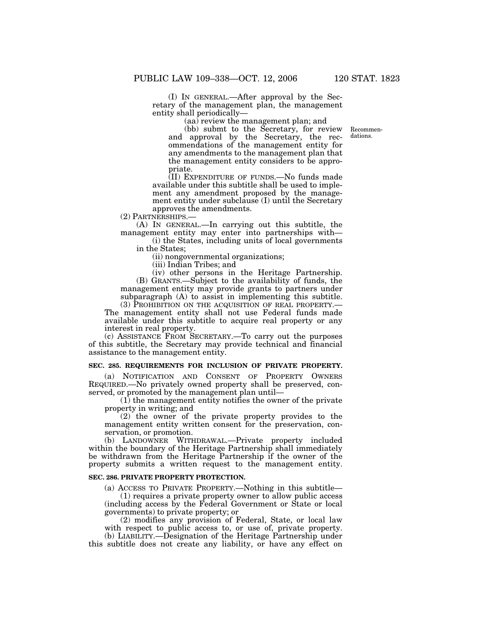(I) IN GENERAL.—After approval by the Secretary of the management plan, the management entity shall periodically—

(aa) review the management plan; and

(bb) submt to the Secretary, for review and approval by the Secretary, the recommendations of the management entity for any amendments to the management plan that the management entity considers to be appropriate.

(II) EXPENDITURE OF FUNDS.—No funds made available under this subtitle shall be used to implement any amendment proposed by the management entity under subclause (I) until the Secretary approves the amendments.<br>(2) PARTNERSHIPS.—

 $(A)$  In GENERAL.—In carrying out this subtitle, the management entity may enter into partnerships with—

(i) the States, including units of local governments in the States;

(ii) nongovernmental organizations;

(iii) Indian Tribes; and

(iv) other persons in the Heritage Partnership. (B) GRANTS.—Subject to the availability of funds, the management entity may provide grants to partners under subparagraph (A) to assist in implementing this subtitle.

(3) PROHIBITION ON THE ACQUISITION OF REAL PROPERTY.— The management entity shall not use Federal funds made available under this subtitle to acquire real property or any interest in real property.

(c) ASSISTANCE FROM SECRETARY.—To carry out the purposes of this subtitle, the Secretary may provide technical and financial assistance to the management entity.

# **SEC. 285. REQUIREMENTS FOR INCLUSION OF PRIVATE PROPERTY.**

(a) NOTIFICATION AND CONSENT OF PROPERTY OWNERS REQUIRED.—No privately owned property shall be preserved, conserved, or promoted by the management plan until—

(1) the management entity notifies the owner of the private property in writing; and

(2) the owner of the private property provides to the management entity written consent for the preservation, conservation, or promotion.

(b) LANDOWNER WITHDRAWAL.—Private property included within the boundary of the Heritage Partnership shall immediately be withdrawn from the Heritage Partnership if the owner of the property submits a written request to the management entity.

### **SEC. 286. PRIVATE PROPERTY PROTECTION.**

(a) ACCESS TO PRIVATE PROPERTY.—Nothing in this subtitle— (1) requires a private property owner to allow public access (including access by the Federal Government or State or local governments) to private property; or

(2) modifies any provision of Federal, State, or local law with respect to public access to, or use of, private property. (b) LIABILITY.—Designation of the Heritage Partnership under this subtitle does not create any liability, or have any effect on

Recommendations.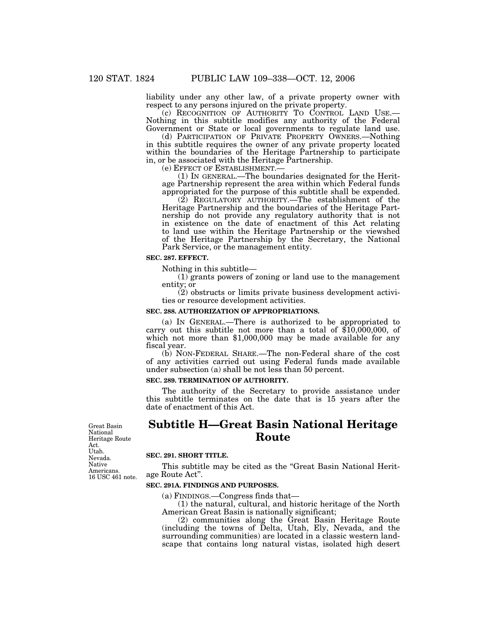liability under any other law, of a private property owner with respect to any persons injured on the private property.

(c) RECOGNITION OF AUTHORITY TO CONTROL LAND USE.— Nothing in this subtitle modifies any authority of the Federal Government or State or local governments to regulate land use.

(d) PARTICIPATION OF PRIVATE PROPERTY OWNERS.—Nothing in this subtitle requires the owner of any private property located within the boundaries of the Heritage Partnership to participate in, or be associated with the Heritage Partnership.<br>(e) EFFECT OF ESTABLISHMENT.—

 $(1)$  In GENERAL.—The boundaries designated for the Heritage Partnership represent the area within which Federal funds appropriated for the purpose of this subtitle shall be expended.

 $(2)$  REGULATORY AUTHORITY.—The establishment of the Heritage Partnership and the boundaries of the Heritage Partnership do not provide any regulatory authority that is not in existence on the date of enactment of this Act relating to land use within the Heritage Partnership or the viewshed of the Heritage Partnership by the Secretary, the National Park Service, or the management entity.

### **SEC. 287. EFFECT.**

Nothing in this subtitle—

(1) grants powers of zoning or land use to the management entity; or

(2) obstructs or limits private business development activities or resource development activities.

### **SEC. 288. AUTHORIZATION OF APPROPRIATIONS.**

(a) IN GENERAL.—There is authorized to be appropriated to carry out this subtitle not more than a total of \$10,000,000, of which not more than \$1,000,000 may be made available for any fiscal year.

(b) NON-FEDERAL SHARE.—The non-Federal share of the cost of any activities carried out using Federal funds made available under subsection (a) shall be not less than 50 percent.

### **SEC. 289. TERMINATION OF AUTHORITY.**

The authority of the Secretary to provide assistance under this subtitle terminates on the date that is 15 years after the date of enactment of this Act.

Great Basin National Heritage Route Act. Utah. Nevada. Native Americans. 16 USC 461 note.

# **Subtitle H—Great Basin National Heritage Route**

## **SEC. 291. SHORT TITLE.**

This subtitle may be cited as the "Great Basin National Heritage Route Act''.

## **SEC. 291A. FINDINGS AND PURPOSES.**

(a) FINDINGS.—Congress finds that—

(1) the natural, cultural, and historic heritage of the North American Great Basin is nationally significant;

(2) communities along the Great Basin Heritage Route (including the towns of Delta, Utah, Ely, Nevada, and the surrounding communities) are located in a classic western landscape that contains long natural vistas, isolated high desert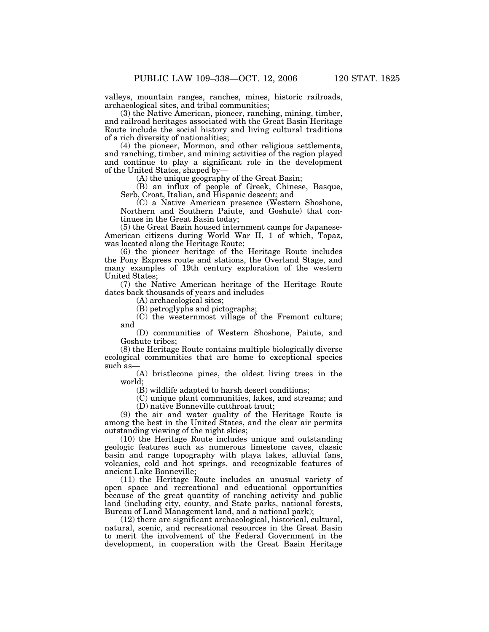valleys, mountain ranges, ranches, mines, historic railroads, archaeological sites, and tribal communities;

(3) the Native American, pioneer, ranching, mining, timber, and railroad heritages associated with the Great Basin Heritage Route include the social history and living cultural traditions of a rich diversity of nationalities;

(4) the pioneer, Mormon, and other religious settlements, and ranching, timber, and mining activities of the region played and continue to play a significant role in the development of the United States, shaped by—

(A) the unique geography of the Great Basin;

(B) an influx of people of Greek, Chinese, Basque, Serb, Croat, Italian, and Hispanic descent; and

(C) a Native American presence (Western Shoshone, Northern and Southern Paiute, and Goshute) that continues in the Great Basin today;

(5) the Great Basin housed internment camps for Japanese-American citizens during World War II, 1 of which, Topaz, was located along the Heritage Route;

(6) the pioneer heritage of the Heritage Route includes the Pony Express route and stations, the Overland Stage, and many examples of 19th century exploration of the western United States;

(7) the Native American heritage of the Heritage Route dates back thousands of years and includes—

(A) archaeological sites;

(B) petroglyphs and pictographs;

(C) the westernmost village of the Fremont culture; and

(D) communities of Western Shoshone, Paiute, and Goshute tribes;

(8) the Heritage Route contains multiple biologically diverse ecological communities that are home to exceptional species such as—

(A) bristlecone pines, the oldest living trees in the world;

(B) wildlife adapted to harsh desert conditions;

(C) unique plant communities, lakes, and streams; and (D) native Bonneville cutthroat trout;

(9) the air and water quality of the Heritage Route is among the best in the United States, and the clear air permits outstanding viewing of the night skies;

(10) the Heritage Route includes unique and outstanding geologic features such as numerous limestone caves, classic basin and range topography with playa lakes, alluvial fans, volcanics, cold and hot springs, and recognizable features of ancient Lake Bonneville;

(11) the Heritage Route includes an unusual variety of open space and recreational and educational opportunities because of the great quantity of ranching activity and public land (including city, county, and State parks, national forests, Bureau of Land Management land, and a national park);

(12) there are significant archaeological, historical, cultural, natural, scenic, and recreational resources in the Great Basin to merit the involvement of the Federal Government in the development, in cooperation with the Great Basin Heritage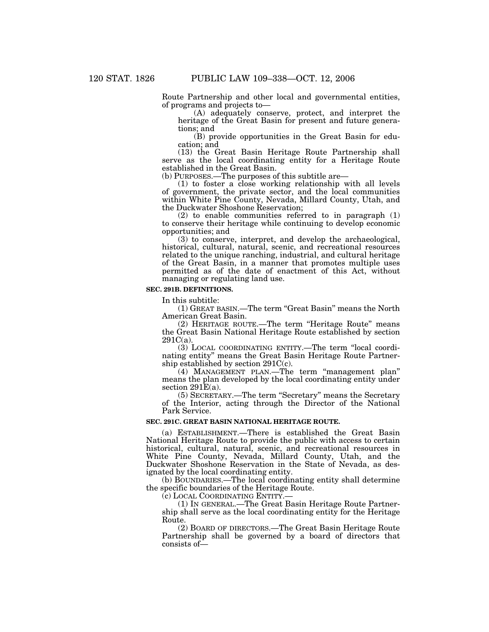Route Partnership and other local and governmental entities, of programs and projects to—

(A) adequately conserve, protect, and interpret the heritage of the Great Basin for present and future generations; and

(B) provide opportunities in the Great Basin for education; and

(13) the Great Basin Heritage Route Partnership shall serve as the local coordinating entity for a Heritage Route established in the Great Basin.

(b) PURPOSES.—The purposes of this subtitle are—

(1) to foster a close working relationship with all levels of government, the private sector, and the local communities within White Pine County, Nevada, Millard County, Utah, and the Duckwater Shoshone Reservation;

(2) to enable communities referred to in paragraph (1) to conserve their heritage while continuing to develop economic opportunities; and

(3) to conserve, interpret, and develop the archaeological, historical, cultural, natural, scenic, and recreational resources related to the unique ranching, industrial, and cultural heritage of the Great Basin, in a manner that promotes multiple uses permitted as of the date of enactment of this Act, without managing or regulating land use.

### **SEC. 291B. DEFINITIONS.**

In this subtitle:

(1) GREAT BASIN.—The term ''Great Basin'' means the North American Great Basin.

(2) HERITAGE ROUTE.—The term ''Heritage Route'' means the Great Basin National Heritage Route established by section  $291C(a)$ .

(3) LOCAL COORDINATING ENTITY.—The term ''local coordinating entity'' means the Great Basin Heritage Route Partnership established by section 291C(c).

(4) MANAGEMENT PLAN.—The term ''management plan'' means the plan developed by the local coordinating entity under section  $291E(a)$ .

(5) SECRETARY.—The term ''Secretary'' means the Secretary of the Interior, acting through the Director of the National Park Service.

### **SEC. 291C. GREAT BASIN NATIONAL HERITAGE ROUTE.**

(a) ESTABLISHMENT.—There is established the Great Basin National Heritage Route to provide the public with access to certain historical, cultural, natural, scenic, and recreational resources in White Pine County, Nevada, Millard County, Utah, and the Duckwater Shoshone Reservation in the State of Nevada, as designated by the local coordinating entity.

(b) BOUNDARIES.—The local coordinating entity shall determine the specific boundaries of the Heritage Route.<br>(c) LOCAL COORDINATING ENTITY.—

(1) IN GENERAL.—The Great Basin Heritage Route Partnership shall serve as the local coordinating entity for the Heritage Route.

(2) BOARD OF DIRECTORS.—The Great Basin Heritage Route Partnership shall be governed by a board of directors that consists of—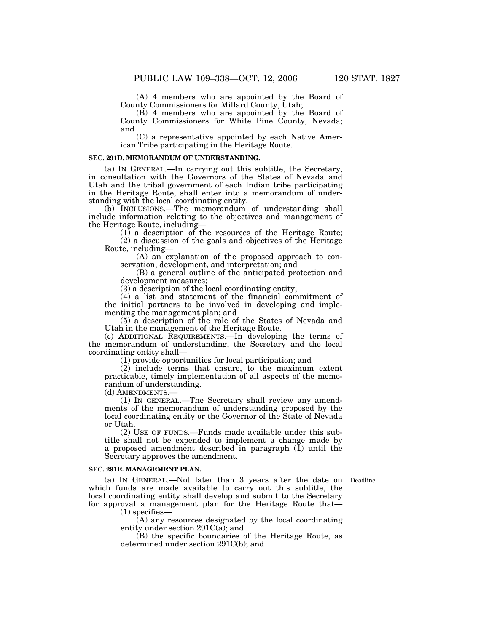(A) 4 members who are appointed by the Board of County Commissioners for Millard County, Utah;

(B) 4 members who are appointed by the Board of County Commissioners for White Pine County, Nevada; and

(C) a representative appointed by each Native American Tribe participating in the Heritage Route.

### **SEC. 291D. MEMORANDUM OF UNDERSTANDING.**

(a) IN GENERAL.—In carrying out this subtitle, the Secretary, in consultation with the Governors of the States of Nevada and Utah and the tribal government of each Indian tribe participating in the Heritage Route, shall enter into a memorandum of understanding with the local coordinating entity.

(b) INCLUSIONS.—The memorandum of understanding shall include information relating to the objectives and management of the Heritage Route, including—

(1) a description of the resources of the Heritage Route; (2) a discussion of the goals and objectives of the Heritage Route, including—

(A) an explanation of the proposed approach to conservation, development, and interpretation; and

(B) a general outline of the anticipated protection and development measures;

(3) a description of the local coordinating entity;

(4) a list and statement of the financial commitment of the initial partners to be involved in developing and implementing the management plan; and

(5) a description of the role of the States of Nevada and Utah in the management of the Heritage Route.

(c) ADDITIONAL REQUIREMENTS.—In developing the terms of the memorandum of understanding, the Secretary and the local coordinating entity shall—

(1) provide opportunities for local participation; and

(2) include terms that ensure, to the maximum extent practicable, timely implementation of all aspects of the memorandum of understanding.

(d) AMENDMENTS.—

(1) IN GENERAL.—The Secretary shall review any amendments of the memorandum of understanding proposed by the local coordinating entity or the Governor of the State of Nevada or Utah.

(2) USE OF FUNDS.—Funds made available under this subtitle shall not be expended to implement a change made by a proposed amendment described in paragraph  $(1)$  until the Secretary approves the amendment.

### **SEC. 291E. MANAGEMENT PLAN.**

Deadline.

(a) IN GENERAL.—Not later than 3 years after the date on which funds are made available to carry out this subtitle, the local coordinating entity shall develop and submit to the Secretary for approval a management plan for the Heritage Route that—

(1) specifies—

(A) any resources designated by the local coordinating entity under section 291C(a); and

(B) the specific boundaries of the Heritage Route, as determined under section 291C(b); and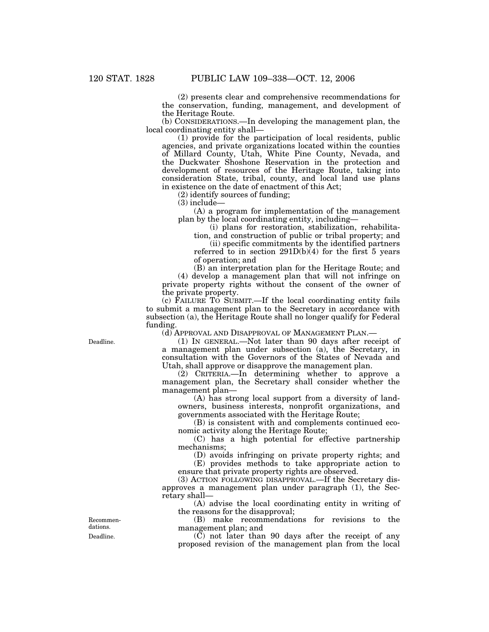(2) presents clear and comprehensive recommendations for the conservation, funding, management, and development of the Heritage Route.

(b) CONSIDERATIONS.—In developing the management plan, the local coordinating entity shall—

(1) provide for the participation of local residents, public agencies, and private organizations located within the counties of Millard County, Utah, White Pine County, Nevada, and the Duckwater Shoshone Reservation in the protection and development of resources of the Heritage Route, taking into consideration State, tribal, county, and local land use plans in existence on the date of enactment of this Act;

(2) identify sources of funding;

(3) include—

(A) a program for implementation of the management plan by the local coordinating entity, including—

(i) plans for restoration, stabilization, rehabilita-

tion, and construction of public or tribal property; and (ii) specific commitments by the identified partners referred to in section  $291D(b)(4)$  for the first 5 years

of operation; and (B) an interpretation plan for the Heritage Route; and

(4) develop a management plan that will not infringe on private property rights without the consent of the owner of the private property.

(c) FAILURE TO SUBMIT.—If the local coordinating entity fails to submit a management plan to the Secretary in accordance with subsection (a), the Heritage Route shall no longer qualify for Federal funding.

(d) APPROVAL AND DISAPPROVAL OF MANAGEMENT PLAN.—

(1) IN GENERAL.—Not later than 90 days after receipt of a management plan under subsection (a), the Secretary, in consultation with the Governors of the States of Nevada and Utah, shall approve or disapprove the management plan.

(2) CRITERIA.—In determining whether to approve a management plan, the Secretary shall consider whether the management plan—

(A) has strong local support from a diversity of landowners, business interests, nonprofit organizations, and governments associated with the Heritage Route;

(B) is consistent with and complements continued economic activity along the Heritage Route;

(C) has a high potential for effective partnership mechanisms;

(D) avoids infringing on private property rights; and (E) provides methods to take appropriate action to

ensure that private property rights are observed.

(3) ACTION FOLLOWING DISAPPROVAL.—If the Secretary disapproves a management plan under paragraph (1), the Secretary shall—

(A) advise the local coordinating entity in writing of the reasons for the disapproval;

(B) make recommendations for revisions to the management plan; and

 $(\check{C})$  not later than 90 days after the receipt of any proposed revision of the management plan from the local

Deadline.

Deadline. Recommendations.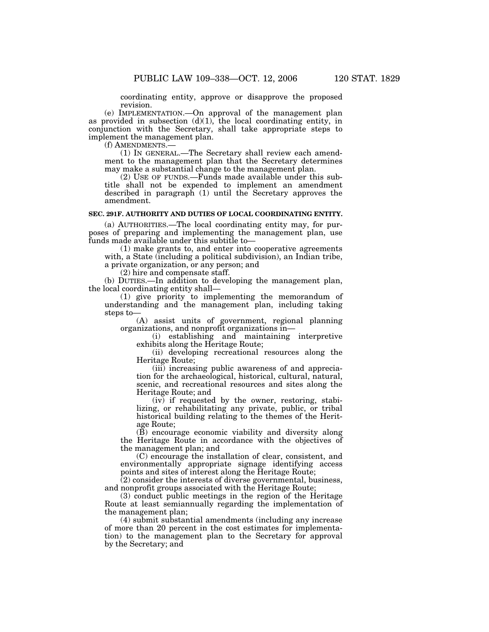coordinating entity, approve or disapprove the proposed revision.

(e) IMPLEMENTATION.—On approval of the management plan as provided in subsection  $(d)(1)$ , the local coordinating entity, in conjunction with the Secretary, shall take appropriate steps to implement the management plan.<br>
(f) AMENDMENTS.—

(1) IN GENERAL.—The Secretary shall review each amendment to the management plan that the Secretary determines may make a substantial change to the management plan.

(2) USE OF FUNDS.—Funds made available under this subtitle shall not be expended to implement an amendment described in paragraph (1) until the Secretary approves the amendment.

# **SEC. 291F. AUTHORITY AND DUTIES OF LOCAL COORDINATING ENTITY.**

(a) AUTHORITIES.—The local coordinating entity may, for purposes of preparing and implementing the management plan, use funds made available under this subtitle to—

(1) make grants to, and enter into cooperative agreements with, a State (including a political subdivision), an Indian tribe, a private organization, or any person; and

(2) hire and compensate staff.

(b) DUTIES.—In addition to developing the management plan, the local coordinating entity shall—

(1) give priority to implementing the memorandum of understanding and the management plan, including taking steps to—

(A) assist units of government, regional planning organizations, and nonprofit organizations in—

(i) establishing and maintaining interpretive exhibits along the Heritage Route;

(ii) developing recreational resources along the Heritage Route;

(iii) increasing public awareness of and appreciation for the archaeological, historical, cultural, natural, scenic, and recreational resources and sites along the Heritage Route; and

 $(iv)$  if requested by the owner, restoring, stabilizing, or rehabilitating any private, public, or tribal historical building relating to the themes of the Heritage Route;

(B) encourage economic viability and diversity along the Heritage Route in accordance with the objectives of the management plan; and

(C) encourage the installation of clear, consistent, and environmentally appropriate signage identifying access points and sites of interest along the Heritage Route;

(2) consider the interests of diverse governmental, business, and nonprofit groups associated with the Heritage Route;

(3) conduct public meetings in the region of the Heritage Route at least semiannually regarding the implementation of the management plan;

(4) submit substantial amendments (including any increase of more than 20 percent in the cost estimates for implementation) to the management plan to the Secretary for approval by the Secretary; and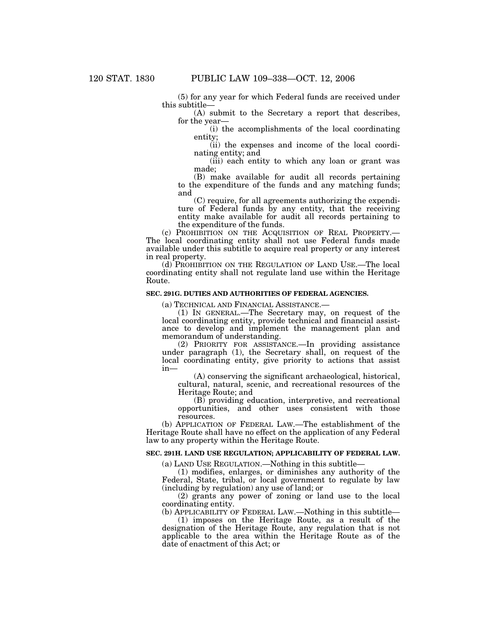(5) for any year for which Federal funds are received under this subtitle—

(A) submit to the Secretary a report that describes, for the year—

(i) the accomplishments of the local coordinating entity;

(ii) the expenses and income of the local coordinating entity; and

(iii) each entity to which any loan or grant was made;

(B) make available for audit all records pertaining to the expenditure of the funds and any matching funds; and

(C) require, for all agreements authorizing the expenditure of Federal funds by any entity, that the receiving entity make available for audit all records pertaining to the expenditure of the funds.

(c) PROHIBITION ON THE ACQUISITION OF REAL PROPERTY.— The local coordinating entity shall not use Federal funds made available under this subtitle to acquire real property or any interest in real property.

(d) PROHIBITION ON THE REGULATION OF LAND USE.—The local coordinating entity shall not regulate land use within the Heritage Route.

# **SEC. 291G. DUTIES AND AUTHORITIES OF FEDERAL AGENCIES.**

(a) TECHNICAL AND FINANCIAL ASSISTANCE.—

(1) IN GENERAL.—The Secretary may, on request of the local coordinating entity, provide technical and financial assistance to develop and implement the management plan and memorandum of understanding.

(2) PRIORITY FOR ASSISTANCE.—In providing assistance under paragraph (1), the Secretary shall, on request of the local coordinating entity, give priority to actions that assist in—

(A) conserving the significant archaeological, historical, cultural, natural, scenic, and recreational resources of the Heritage Route; and

 $(B)$  providing education, interpretive, and recreational opportunities, and other uses consistent with those resources.

(b) APPLICATION OF FEDERAL LAW.—The establishment of the Heritage Route shall have no effect on the application of any Federal law to any property within the Heritage Route.

# **SEC. 291H. LAND USE REGULATION; APPLICABILITY OF FEDERAL LAW.**

(a) LAND USE REGULATION.—Nothing in this subtitle—

(1) modifies, enlarges, or diminishes any authority of the Federal, State, tribal, or local government to regulate by law (including by regulation) any use of land; or

(2) grants any power of zoning or land use to the local coordinating entity.

(b) APPLICABILITY OF FEDERAL LAW.—Nothing in this subtitle—

(1) imposes on the Heritage Route, as a result of the designation of the Heritage Route, any regulation that is not applicable to the area within the Heritage Route as of the date of enactment of this Act; or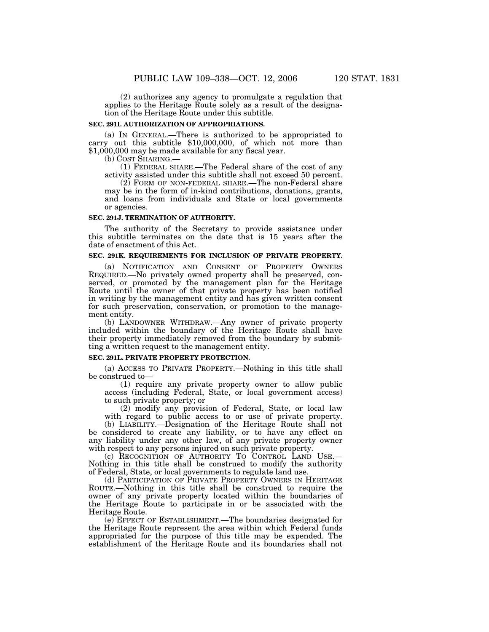(2) authorizes any agency to promulgate a regulation that applies to the Heritage Route solely as a result of the designation of the Heritage Route under this subtitle.

### **SEC. 291I. AUTHORIZATION OF APPROPRIATIONS.**

(a) IN GENERAL.—There is authorized to be appropriated to carry out this subtitle \$10,000,000, of which not more than \$1,000,000 may be made available for any fiscal year.

(1) FEDERAL SHARE.—The Federal share of the cost of any activity assisted under this subtitle shall not exceed 50 percent.

(2) FORM OF NON-FEDERAL SHARE.—The non-Federal share may be in the form of in-kind contributions, donations, grants, and loans from individuals and State or local governments or agencies.

### **SEC. 291J. TERMINATION OF AUTHORITY.**

The authority of the Secretary to provide assistance under this subtitle terminates on the date that is 15 years after the date of enactment of this Act.

## **SEC. 291K. REQUIREMENTS FOR INCLUSION OF PRIVATE PROPERTY.**

(a) NOTIFICATION AND CONSENT OF PROPERTY OWNERS REQUIRED.—No privately owned property shall be preserved, conserved, or promoted by the management plan for the Heritage Route until the owner of that private property has been notified in writing by the management entity and has given written consent for such preservation, conservation, or promotion to the management entity.

(b) LANDOWNER WITHDRAW.—Any owner of private property included within the boundary of the Heritage Route shall have their property immediately removed from the boundary by submitting a written request to the management entity.

### **SEC. 291L. PRIVATE PROPERTY PROTECTION.**

(a) ACCESS TO PRIVATE PROPERTY.—Nothing in this title shall be construed to—

(1) require any private property owner to allow public access (including Federal, State, or local government access) to such private property; or

(2) modify any provision of Federal, State, or local law with regard to public access to or use of private property.

(b) LIABILITY.—Designation of the Heritage Route shall not be considered to create any liability, or to have any effect on any liability under any other law, of any private property owner with respect to any persons injured on such private property.

(c) RECOGNITION OF AUTHORITY TO CONTROL LAND USE.— Nothing in this title shall be construed to modify the authority of Federal, State, or local governments to regulate land use.

(d) PARTICIPATION OF PRIVATE PROPERTY OWNERS IN HERITAGE ROUTE.—Nothing in this title shall be construed to require the owner of any private property located within the boundaries of the Heritage Route to participate in or be associated with the Heritage Route.

(e) EFFECT OF ESTABLISHMENT.—The boundaries designated for the Heritage Route represent the area within which Federal funds appropriated for the purpose of this title may be expended. The establishment of the Heritage Route and its boundaries shall not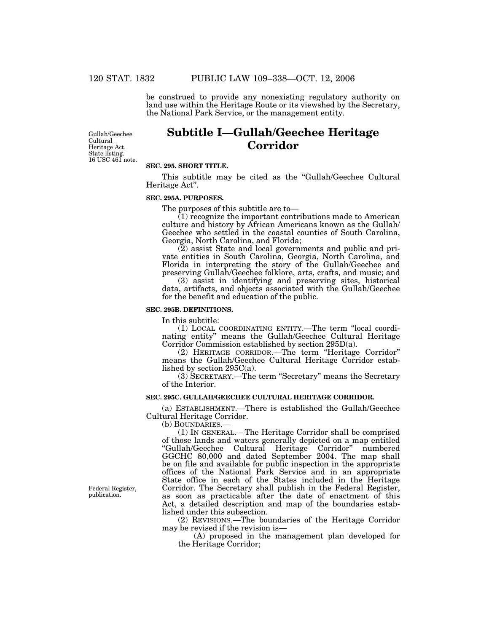be construed to provide any nonexisting regulatory authority on land use within the Heritage Route or its viewshed by the Secretary, the National Park Service, or the management entity.

Gullah/Geechee Cultural Heritage Act. State listing. 16 USC 461 note.

# **Subtitle I—Gullah/Geechee Heritage Corridor**

### **SEC. 295. SHORT TITLE.**

This subtitle may be cited as the "Gullah/Geechee Cultural" Heritage Act''.

### **SEC. 295A. PURPOSES.**

The purposes of this subtitle are to—

(1) recognize the important contributions made to American culture and history by African Americans known as the Gullah/ Geechee who settled in the coastal counties of South Carolina, Georgia, North Carolina, and Florida;

(2) assist State and local governments and public and private entities in South Carolina, Georgia, North Carolina, and Florida in interpreting the story of the Gullah/Geechee and preserving Gullah/Geechee folklore, arts, crafts, and music; and

(3) assist in identifying and preserving sites, historical data, artifacts, and objects associated with the Gullah/Geechee for the benefit and education of the public.

### **SEC. 295B. DEFINITIONS.**

In this subtitle:

(1) LOCAL COORDINATING ENTITY.—The term ''local coordinating entity'' means the Gullah/Geechee Cultural Heritage Corridor Commission established by section 295D(a).

(2) HERITAGE CORRIDOR.—The term ''Heritage Corridor'' means the Gullah/Geechee Cultural Heritage Corridor established by section  $295C(a)$ .

(3) SECRETARY.—The term ''Secretary'' means the Secretary of the Interior.

# **SEC. 295C. GULLAH/GEECHEE CULTURAL HERITAGE CORRIDOR.**

(a) ESTABLISHMENT.—There is established the Gullah/Geechee Cultural Heritage Corridor.

(b) BOUNDARIES.—

(1) IN GENERAL.—The Heritage Corridor shall be comprised of those lands and waters generally depicted on a map entitled ''Gullah/Geechee Cultural Heritage Corridor'' numbered GGCHC 80,000 and dated September 2004. The map shall be on file and available for public inspection in the appropriate offices of the National Park Service and in an appropriate State office in each of the States included in the Heritage Corridor. The Secretary shall publish in the Federal Register, as soon as practicable after the date of enactment of this Act, a detailed description and map of the boundaries established under this subsection.

(2) REVISIONS.—The boundaries of the Heritage Corridor may be revised if the revision is—

(A) proposed in the management plan developed for the Heritage Corridor;

Federal Register, publication.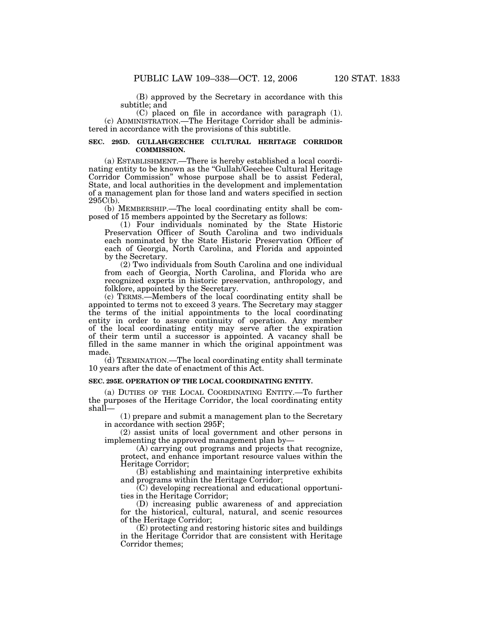(B) approved by the Secretary in accordance with this subtitle; and

(C) placed on file in accordance with paragraph (1). (c) ADMINISTRATION.—The Heritage Corridor shall be administered in accordance with the provisions of this subtitle.

### **SEC. 295D. GULLAH/GEECHEE CULTURAL HERITAGE CORRIDOR COMMISSION.**

(a) ESTABLISHMENT.—There is hereby established a local coordinating entity to be known as the "Gullah/Geechee Cultural Heritage Corridor Commission'' whose purpose shall be to assist Federal, State, and local authorities in the development and implementation of a management plan for those land and waters specified in section 295C(b).

(b) MEMBERSHIP.—The local coordinating entity shall be composed of 15 members appointed by the Secretary as follows:

(1) Four individuals nominated by the State Historic Preservation Officer of South Carolina and two individuals each nominated by the State Historic Preservation Officer of each of Georgia, North Carolina, and Florida and appointed by the Secretary.

(2) Two individuals from South Carolina and one individual from each of Georgia, North Carolina, and Florida who are recognized experts in historic preservation, anthropology, and folklore, appointed by the Secretary.

(c) TERMS.—Members of the local coordinating entity shall be appointed to terms not to exceed 3 years. The Secretary may stagger the terms of the initial appointments to the local coordinating entity in order to assure continuity of operation. Any member of the local coordinating entity may serve after the expiration of their term until a successor is appointed. A vacancy shall be filled in the same manner in which the original appointment was made.

(d) TERMINATION.—The local coordinating entity shall terminate 10 years after the date of enactment of this Act.

### **SEC. 295E. OPERATION OF THE LOCAL COORDINATING ENTITY.**

(a) DUTIES OF THE LOCAL COORDINATING ENTITY.—To further the purposes of the Heritage Corridor, the local coordinating entity shall—

(1) prepare and submit a management plan to the Secretary in accordance with section 295F;

(2) assist units of local government and other persons in implementing the approved management plan by—

(A) carrying out programs and projects that recognize, protect, and enhance important resource values within the Heritage Corridor;

 $(B)$  establishing and maintaining interpretive exhibits and programs within the Heritage Corridor;

(C) developing recreational and educational opportunities in the Heritage Corridor;

(D) increasing public awareness of and appreciation for the historical, cultural, natural, and scenic resources of the Heritage Corridor;

(E) protecting and restoring historic sites and buildings in the Heritage Corridor that are consistent with Heritage Corridor themes;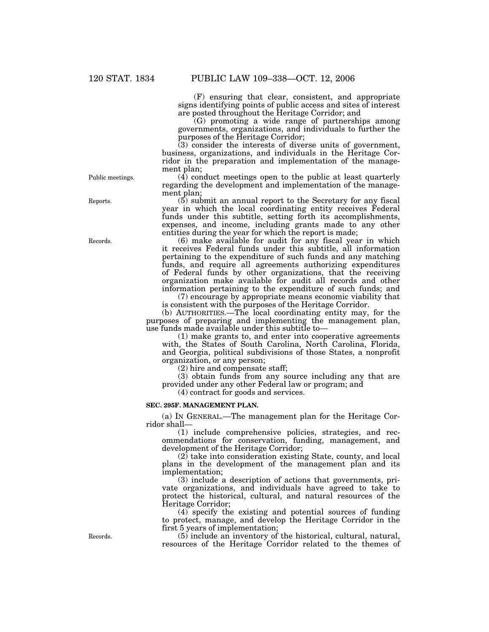(F) ensuring that clear, consistent, and appropriate signs identifying points of public access and sites of interest are posted throughout the Heritage Corridor; and

(G) promoting a wide range of partnerships among governments, organizations, and individuals to further the purposes of the Heritage Corridor;

(3) consider the interests of diverse units of government, business, organizations, and individuals in the Heritage Corridor in the preparation and implementation of the management plan;

(4) conduct meetings open to the public at least quarterly regarding the development and implementation of the management plan;

(5) submit an annual report to the Secretary for any fiscal year in which the local coordinating entity receives Federal funds under this subtitle, setting forth its accomplishments, expenses, and income, including grants made to any other entities during the year for which the report is made;

(6) make available for audit for any fiscal year in which it receives Federal funds under this subtitle, all information pertaining to the expenditure of such funds and any matching funds, and require all agreements authorizing expenditures of Federal funds by other organizations, that the receiving organization make available for audit all records and other information pertaining to the expenditure of such funds; and

(7) encourage by appropriate means economic viability that is consistent with the purposes of the Heritage Corridor.

(b) AUTHORITIES.—The local coordinating entity may, for the purposes of preparing and implementing the management plan, use funds made available under this subtitle to—

(1) make grants to, and enter into cooperative agreements with, the States of South Carolina, North Carolina, Florida, and Georgia, political subdivisions of those States, a nonprofit organization, or any person;

(2) hire and compensate staff;

(3) obtain funds from any source including any that are provided under any other Federal law or program; and

(4) contract for goods and services.

## **SEC. 295F. MANAGEMENT PLAN.**

(a) IN GENERAL.—The management plan for the Heritage Corridor shall—

(1) include comprehensive policies, strategies, and recommendations for conservation, funding, management, and development of the Heritage Corridor;

(2) take into consideration existing State, county, and local plans in the development of the management plan and its implementation;

(3) include a description of actions that governments, private organizations, and individuals have agreed to take to protect the historical, cultural, and natural resources of the Heritage Corridor;

(4) specify the existing and potential sources of funding to protect, manage, and develop the Heritage Corridor in the first 5 years of implementation;

(5) include an inventory of the historical, cultural, natural, resources of the Heritage Corridor related to the themes of

Public meetings.

Reports.

Records.

Records.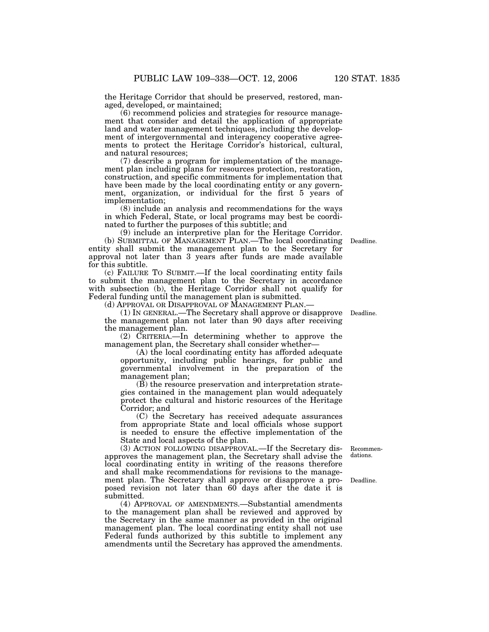the Heritage Corridor that should be preserved, restored, managed, developed, or maintained;

(6) recommend policies and strategies for resource management that consider and detail the application of appropriate land and water management techniques, including the development of intergovernmental and interagency cooperative agreements to protect the Heritage Corridor's historical, cultural, and natural resources;

(7) describe a program for implementation of the management plan including plans for resources protection, restoration, construction, and specific commitments for implementation that have been made by the local coordinating entity or any government, organization, or individual for the first 5 years of implementation;

(8) include an analysis and recommendations for the ways in which Federal, State, or local programs may best be coordinated to further the purposes of this subtitle; and

(9) include an interpretive plan for the Heritage Corridor. (b) SUBMITTAL OF MANAGEMENT PLAN.—The local coordinating Deadline. entity shall submit the management plan to the Secretary for approval not later than 3 years after funds are made available for this subtitle.

(c) FAILURE TO SUBMIT.—If the local coordinating entity fails to submit the management plan to the Secretary in accordance with subsection (b), the Heritage Corridor shall not qualify for Federal funding until the management plan is submitted.

(d) APPROVAL OR DISAPPROVAL OF MANAGEMENT PLAN.

(1) IN GENERAL.—The Secretary shall approve or disapprove Deadline. the management plan not later than 90 days after receiving the management plan.

(2) CRITERIA.—In determining whether to approve the management plan, the Secretary shall consider whether—

(A) the local coordinating entity has afforded adequate opportunity, including public hearings, for public and governmental involvement in the preparation of the management plan;

(B) the resource preservation and interpretation strategies contained in the management plan would adequately protect the cultural and historic resources of the Heritage Corridor; and

(C) the Secretary has received adequate assurances from appropriate State and local officials whose support is needed to ensure the effective implementation of the State and local aspects of the plan.

(3) ACTION FOLLOWING DISAPPROVAL.—If the Secretary disapproves the management plan, the Secretary shall advise the local coordinating entity in writing of the reasons therefore and shall make recommendations for revisions to the management plan. The Secretary shall approve or disapprove a proposed revision not later than 60 days after the date it is submitted.

(4) APPROVAL OF AMENDMENTS.—Substantial amendments to the management plan shall be reviewed and approved by the Secretary in the same manner as provided in the original management plan. The local coordinating entity shall not use Federal funds authorized by this subtitle to implement any amendments until the Secretary has approved the amendments.

Recommendations.

Deadline.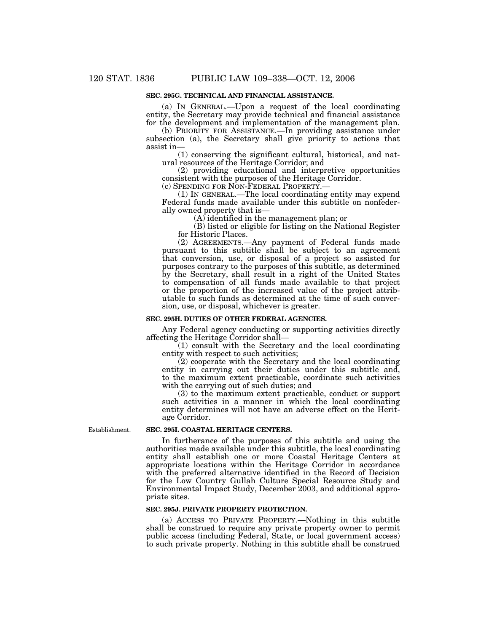# **SEC. 295G. TECHNICAL AND FINANCIAL ASSISTANCE.**

(a) IN GENERAL.—Upon a request of the local coordinating entity, the Secretary may provide technical and financial assistance for the development and implementation of the management plan.

(b) PRIORITY FOR ASSISTANCE.—In providing assistance under subsection (a), the Secretary shall give priority to actions that assist in—

(1) conserving the significant cultural, historical, and natural resources of the Heritage Corridor; and

(2) providing educational and interpretive opportunities consistent with the purposes of the Heritage Corridor.

(c) SPENDING FOR NON-FEDERAL PROPERTY.—

(1) IN GENERAL.—The local coordinating entity may expend Federal funds made available under this subtitle on nonfederally owned property that is—

(A) identified in the management plan; or

(B) listed or eligible for listing on the National Register for Historic Places.

(2) AGREEMENTS.—Any payment of Federal funds made pursuant to this subtitle shall be subject to an agreement that conversion, use, or disposal of a project so assisted for purposes contrary to the purposes of this subtitle, as determined by the Secretary, shall result in a right of the United States to compensation of all funds made available to that project or the proportion of the increased value of the project attributable to such funds as determined at the time of such conversion, use, or disposal, whichever is greater.

# **SEC. 295H. DUTIES OF OTHER FEDERAL AGENCIES.**

Any Federal agency conducting or supporting activities directly affecting the Heritage Corridor shall—

(1) consult with the Secretary and the local coordinating entity with respect to such activities;

(2) cooperate with the Secretary and the local coordinating entity in carrying out their duties under this subtitle and, to the maximum extent practicable, coordinate such activities with the carrying out of such duties; and

(3) to the maximum extent practicable, conduct or support such activities in a manner in which the local coordinating entity determines will not have an adverse effect on the Heritage Corridor.

Establishment.

### **SEC. 295I. COASTAL HERITAGE CENTERS.**

In furtherance of the purposes of this subtitle and using the authorities made available under this subtitle, the local coordinating entity shall establish one or more Coastal Heritage Centers at appropriate locations within the Heritage Corridor in accordance with the preferred alternative identified in the Record of Decision for the Low Country Gullah Culture Special Resource Study and Environmental Impact Study, December 2003, and additional appropriate sites.

### **SEC. 295J. PRIVATE PROPERTY PROTECTION.**

(a) ACCESS TO PRIVATE PROPERTY.—Nothing in this subtitle shall be construed to require any private property owner to permit public access (including Federal, State, or local government access) to such private property. Nothing in this subtitle shall be construed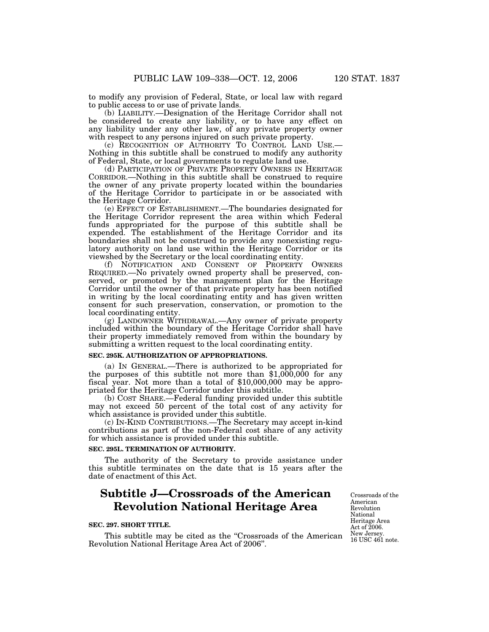to modify any provision of Federal, State, or local law with regard to public access to or use of private lands.

(b) LIABILITY.—Designation of the Heritage Corridor shall not be considered to create any liability, or to have any effect on any liability under any other law, of any private property owner with respect to any persons injured on such private property.<br>
(c) RECOGNITION OF AUTHORITY TO CONTROL LAND USE.—

Nothing in this subtitle shall be construed to modify any authority of Federal, State, or local governments to regulate land use.

(d) PARTICIPATION OF PRIVATE PROPERTY OWNERS IN HERITAGE CORRIDOR.—Nothing in this subtitle shall be construed to require the owner of any private property located within the boundaries of the Heritage Corridor to participate in or be associated with the Heritage Corridor.

(e) EFFECT OF ESTABLISHMENT.—The boundaries designated for the Heritage Corridor represent the area within which Federal funds appropriated for the purpose of this subtitle shall be expended. The establishment of the Heritage Corridor and its boundaries shall not be construed to provide any nonexisting regulatory authority on land use within the Heritage Corridor or its viewshed by the Secretary or the local coordinating entity.

(f) NOTIFICATION AND CONSENT OF PROPERTY OWNERS REQUIRED.—No privately owned property shall be preserved, conserved, or promoted by the management plan for the Heritage Corridor until the owner of that private property has been notified in writing by the local coordinating entity and has given written consent for such preservation, conservation, or promotion to the local coordinating entity.

(g) LANDOWNER WITHDRAWAL.—Any owner of private property included within the boundary of the Heritage Corridor shall have their property immediately removed from within the boundary by submitting a written request to the local coordinating entity.

# **SEC. 295K. AUTHORIZATION OF APPROPRIATIONS.**

(a) IN GENERAL.—There is authorized to be appropriated for the purposes of this subtitle not more than \$1,000,000 for any fiscal year. Not more than a total of \$10,000,000 may be appropriated for the Heritage Corridor under this subtitle.

(b) COST SHARE.—Federal funding provided under this subtitle may not exceed 50 percent of the total cost of any activity for which assistance is provided under this subtitle.

(c) IN-KIND CONTRIBUTIONS.—The Secretary may accept in-kind contributions as part of the non-Federal cost share of any activity for which assistance is provided under this subtitle.

### **SEC. 295L. TERMINATION OF AUTHORITY.**

The authority of the Secretary to provide assistance under this subtitle terminates on the date that is 15 years after the date of enactment of this Act.

# **Subtitle J—Crossroads of the American Revolution National Heritage Area**

### **SEC. 297. SHORT TITLE.**

This subtitle may be cited as the "Crossroads of the American Revolution National Heritage Area Act of 2006''.

Crossroads of the American Revolution National Heritage Area Act of 2006. New Jersey. 16 USC 461 note.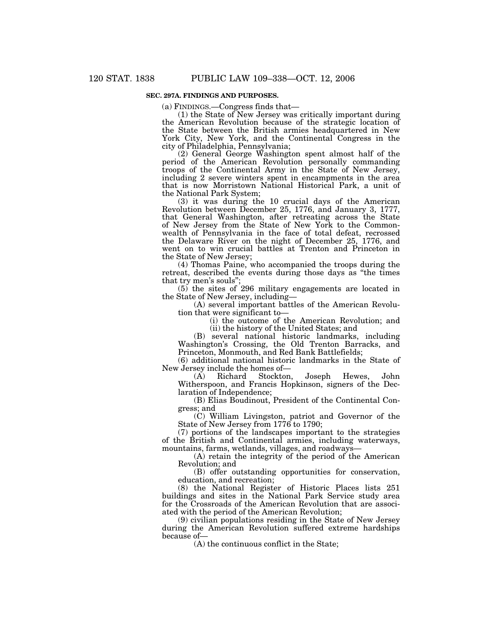### **SEC. 297A. FINDINGS AND PURPOSES.**

(a) FINDINGS.—Congress finds that—

(1) the State of New Jersey was critically important during the American Revolution because of the strategic location of the State between the British armies headquartered in New York City, New York, and the Continental Congress in the city of Philadelphia, Pennsylvania;

(2) General George Washington spent almost half of the period of the American Revolution personally commanding troops of the Continental Army in the State of New Jersey, including 2 severe winters spent in encampments in the area that is now Morristown National Historical Park, a unit of the National Park System;

(3) it was during the 10 crucial days of the American Revolution between December 25, 1776, and January 3, 1777, that General Washington, after retreating across the State of New Jersey from the State of New York to the Commonwealth of Pennsylvania in the face of total defeat, recrossed the Delaware River on the night of December 25, 1776, and went on to win crucial battles at Trenton and Princeton in the State of New Jersey;

(4) Thomas Paine, who accompanied the troops during the retreat, described the events during those days as "the times that try men's souls'';

(5) the sites of 296 military engagements are located in the State of New Jersey, including—

(A) several important battles of the American Revolution that were significant to—

(i) the outcome of the American Revolution; and (ii) the history of the United States; and

(B) several national historic landmarks, including Washington's Crossing, the Old Trenton Barracks, and Princeton, Monmouth, and Red Bank Battlefields;

(6) additional national historic landmarks in the State of New Jersey include the homes of—

(A) Richard Stockton, Joseph Hewes, John Witherspoon, and Francis Hopkinson, signers of the Declaration of Independence;

(B) Elias Boudinout, President of the Continental Congress; and

(C) William Livingston, patriot and Governor of the State of New Jersey from 1776 to 1790;

(7) portions of the landscapes important to the strategies of the British and Continental armies, including waterways, mountains, farms, wetlands, villages, and roadways—

(A) retain the integrity of the period of the American Revolution; and

(B) offer outstanding opportunities for conservation, education, and recreation;

(8) the National Register of Historic Places lists 251 buildings and sites in the National Park Service study area for the Crossroads of the American Revolution that are associated with the period of the American Revolution;

(9) civilian populations residing in the State of New Jersey during the American Revolution suffered extreme hardships because of—

(A) the continuous conflict in the State;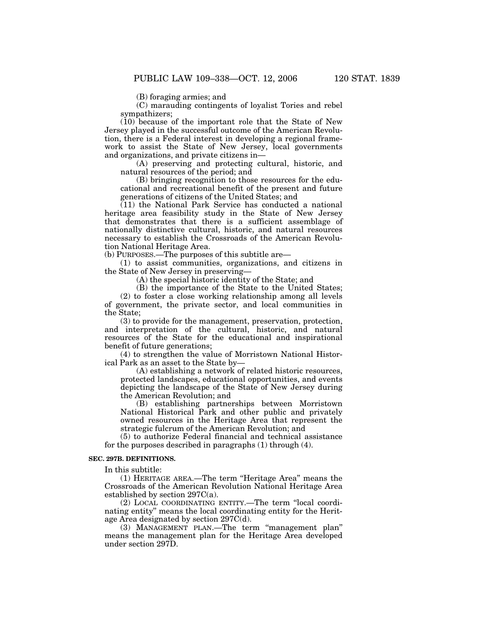(B) foraging armies; and

(C) marauding contingents of loyalist Tories and rebel sympathizers;

(10) because of the important role that the State of New Jersey played in the successful outcome of the American Revolution, there is a Federal interest in developing a regional framework to assist the State of New Jersey, local governments and organizations, and private citizens in—

(A) preserving and protecting cultural, historic, and natural resources of the period; and

(B) bringing recognition to those resources for the educational and recreational benefit of the present and future generations of citizens of the United States; and

(11) the National Park Service has conducted a national heritage area feasibility study in the State of New Jersey that demonstrates that there is a sufficient assemblage of nationally distinctive cultural, historic, and natural resources necessary to establish the Crossroads of the American Revolution National Heritage Area.

(b) PURPOSES.—The purposes of this subtitle are—

(1) to assist communities, organizations, and citizens in the State of New Jersey in preserving—

(A) the special historic identity of the State; and

(B) the importance of the State to the United States;

(2) to foster a close working relationship among all levels of government, the private sector, and local communities in the State;

(3) to provide for the management, preservation, protection, and interpretation of the cultural, historic, and natural resources of the State for the educational and inspirational benefit of future generations;

(4) to strengthen the value of Morristown National Historical Park as an asset to the State by—

(A) establishing a network of related historic resources, protected landscapes, educational opportunities, and events depicting the landscape of the State of New Jersey during the American Revolution; and

(B) establishing partnerships between Morristown National Historical Park and other public and privately owned resources in the Heritage Area that represent the strategic fulcrum of the American Revolution; and

(5) to authorize Federal financial and technical assistance for the purposes described in paragraphs (1) through (4).

#### **SEC. 297B. DEFINITIONS.**

In this subtitle:

(1) HERITAGE AREA.—The term ''Heritage Area'' means the Crossroads of the American Revolution National Heritage Area established by section 297C(a).

(2) LOCAL COORDINATING ENTITY.—The term ''local coordinating entity'' means the local coordinating entity for the Heritage Area designated by section 297C(d).

(3) MANAGEMENT PLAN.—The term ''management plan'' means the management plan for the Heritage Area developed under section 297D.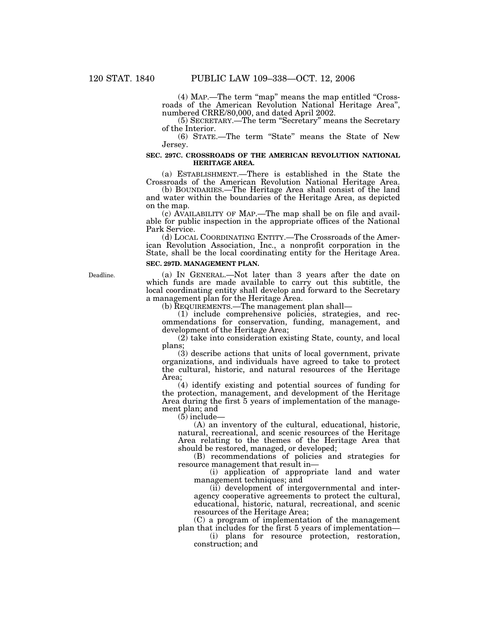(4) MAP.—The term ''map'' means the map entitled ''Crossroads of the American Revolution National Heritage Area'', numbered CRRE/80,000, and dated April 2002.

(5) SECRETARY.—The term ''Secretary'' means the Secretary of the Interior.

(6) STATE.—The term ''State'' means the State of New Jersey.

# **SEC. 297C. CROSSROADS OF THE AMERICAN REVOLUTION NATIONAL HERITAGE AREA.**

(a) ESTABLISHMENT.—There is established in the State the Crossroads of the American Revolution National Heritage Area.

(b) BOUNDARIES.—The Heritage Area shall consist of the land and water within the boundaries of the Heritage Area, as depicted on the map.

(c) AVAILABILITY OF MAP.—The map shall be on file and available for public inspection in the appropriate offices of the National Park Service.

(d) LOCAL COORDINATING ENTITY.—The Crossroads of the American Revolution Association, Inc., a nonprofit corporation in the State, shall be the local coordinating entity for the Heritage Area.

# **SEC. 297D. MANAGEMENT PLAN.**

(a) IN GENERAL.—Not later than 3 years after the date on which funds are made available to carry out this subtitle, the local coordinating entity shall develop and forward to the Secretary a management plan for the Heritage Area.

(b) REQUIREMENTS.—The management plan shall—

(1) include comprehensive policies, strategies, and recommendations for conservation, funding, management, and development of the Heritage Area;

(2) take into consideration existing State, county, and local plans;

(3) describe actions that units of local government, private organizations, and individuals have agreed to take to protect the cultural, historic, and natural resources of the Heritage Area;

(4) identify existing and potential sources of funding for the protection, management, and development of the Heritage Area during the first 5 years of implementation of the management plan; and

 $(5)$  include–

(A) an inventory of the cultural, educational, historic, natural, recreational, and scenic resources of the Heritage Area relating to the themes of the Heritage Area that should be restored, managed, or developed;

(B) recommendations of policies and strategies for resource management that result in—

(i) application of appropriate land and water management techniques; and

(ii) development of intergovernmental and interagency cooperative agreements to protect the cultural, educational, historic, natural, recreational, and scenic resources of the Heritage Area;

(C) a program of implementation of the management plan that includes for the first 5 years of implementation—

(i) plans for resource protection, restoration, construction; and

Deadline.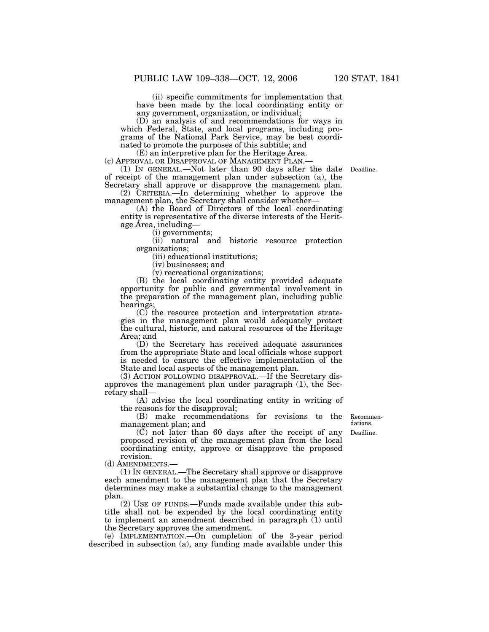(ii) specific commitments for implementation that have been made by the local coordinating entity or any government, organization, or individual;

(D) an analysis of and recommendations for ways in which Federal, State, and local programs, including programs of the National Park Service, may be best coordinated to promote the purposes of this subtitle; and

(E) an interpretive plan for the Heritage Area.<br>(c) APPROVAL OR DISAPPROVAL OF MANAGEMENT PLAN.—

(c) APPROVAL OR DISAPPROVAL OF MANAGEMENT PLAN.— (1) IN GENERAL.—Not later than 90 days after the date Deadline.

of receipt of the management plan under subsection (a), the Secretary shall approve or disapprove the management plan.

(2) CRITERIA.—In determining whether to approve the management plan, the Secretary shall consider whether-

(A) the Board of Directors of the local coordinating entity is representative of the diverse interests of the Heritage Area, including—

(i) governments;

(ii) natural and historic resource protection organizations;

(iii) educational institutions;

(iv) businesses; and

(v) recreational organizations;

(B) the local coordinating entity provided adequate opportunity for public and governmental involvement in the preparation of the management plan, including public hearings;

(C) the resource protection and interpretation strategies in the management plan would adequately protect the cultural, historic, and natural resources of the Heritage Area; and

(D) the Secretary has received adequate assurances from the appropriate State and local officials whose support is needed to ensure the effective implementation of the State and local aspects of the management plan.

(3) ACTION FOLLOWING DISAPPROVAL.—If the Secretary disapproves the management plan under paragraph (1), the Secretary shall—

(A) advise the local coordinating entity in writing of the reasons for the disapproval;

(B) make recommendations for revisions to the management plan; and

Deadline. Recommendations.

(C) not later than 60 days after the receipt of any proposed revision of the management plan from the local coordinating entity, approve or disapprove the proposed revision.

(d) AMENDMENTS.—

(1) IN GENERAL.—The Secretary shall approve or disapprove each amendment to the management plan that the Secretary determines may make a substantial change to the management plan.

(2) USE OF FUNDS.—Funds made available under this subtitle shall not be expended by the local coordinating entity to implement an amendment described in paragraph (1) until the Secretary approves the amendment.

(e) IMPLEMENTATION.—On completion of the 3-year period described in subsection (a), any funding made available under this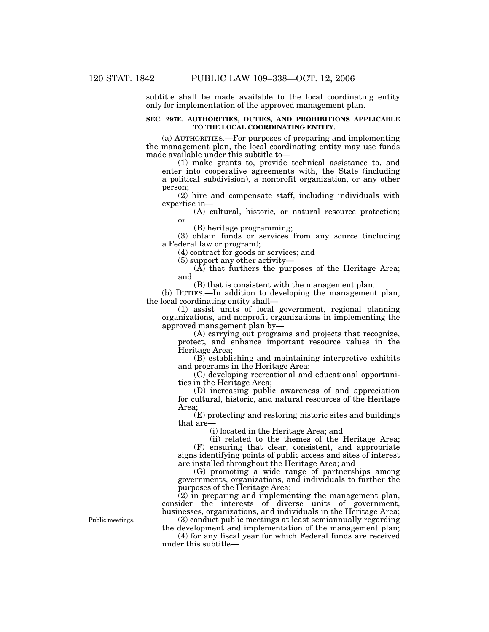subtitle shall be made available to the local coordinating entity only for implementation of the approved management plan.

# **SEC. 297E. AUTHORITIES, DUTIES, AND PROHIBITIONS APPLICABLE TO THE LOCAL COORDINATING ENTITY.**

(a) AUTHORITIES.—For purposes of preparing and implementing the management plan, the local coordinating entity may use funds made available under this subtitle to—

(1) make grants to, provide technical assistance to, and enter into cooperative agreements with, the State (including a political subdivision), a nonprofit organization, or any other person;

(2) hire and compensate staff, including individuals with expertise in—

(A) cultural, historic, or natural resource protection; or

(B) heritage programming;

(3) obtain funds or services from any source (including a Federal law or program);

(4) contract for goods or services; and

(5) support any other activity—

 $(\hat{A})$  that furthers the purposes of the Heritage Area; and

(B) that is consistent with the management plan.

(b) DUTIES.—In addition to developing the management plan, the local coordinating entity shall—

(1) assist units of local government, regional planning organizations, and nonprofit organizations in implementing the approved management plan by—

(A) carrying out programs and projects that recognize, protect, and enhance important resource values in the Heritage Area;

(B) establishing and maintaining interpretive exhibits and programs in the Heritage Area;

(C) developing recreational and educational opportunities in the Heritage Area;

(D) increasing public awareness of and appreciation for cultural, historic, and natural resources of the Heritage Area;

(E) protecting and restoring historic sites and buildings that are—

(i) located in the Heritage Area; and

(ii) related to the themes of the Heritage Area; (F) ensuring that clear, consistent, and appropriate signs identifying points of public access and sites of interest

are installed throughout the Heritage Area; and (G) promoting a wide range of partnerships among governments, organizations, and individuals to further the purposes of the Heritage Area;

(2) in preparing and implementing the management plan, consider the interests of diverse units of government, businesses, organizations, and individuals in the Heritage Area;

(3) conduct public meetings at least semiannually regarding the development and implementation of the management plan;

(4) for any fiscal year for which Federal funds are received under this subtitle—

Public meetings.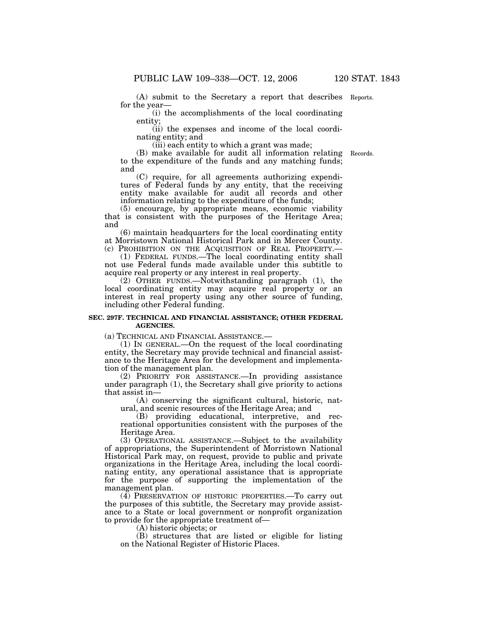(A) submit to the Secretary a report that describes Reports. for the year—

(i) the accomplishments of the local coordinating entity;

(ii) the expenses and income of the local coordinating entity; and

(iii) each entity to which a grant was made;

(B) make available for audit all information relating Records. to the expenditure of the funds and any matching funds; and

(C) require, for all agreements authorizing expenditures of Federal funds by any entity, that the receiving entity make available for audit all records and other information relating to the expenditure of the funds;

(5) encourage, by appropriate means, economic viability that is consistent with the purposes of the Heritage Area; and

(6) maintain headquarters for the local coordinating entity at Morristown National Historical Park and in Mercer County. (c) PROHIBITION ON THE ACQUISITION OF REAL PROPERTY.—

(1) FEDERAL FUNDS.—The local coordinating entity shall not use Federal funds made available under this subtitle to acquire real property or any interest in real property.

(2) OTHER FUNDS.—Notwithstanding paragraph (1), the local coordinating entity may acquire real property or an interest in real property using any other source of funding, including other Federal funding.

### **SEC. 297F. TECHNICAL AND FINANCIAL ASSISTANCE; OTHER FEDERAL AGENCIES.**

(a) TECHNICAL AND FINANCIAL ASSISTANCE.—

(1) IN GENERAL.—On the request of the local coordinating entity, the Secretary may provide technical and financial assistance to the Heritage Area for the development and implementation of the management plan.

(2) PRIORITY FOR ASSISTANCE.—In providing assistance under paragraph (1), the Secretary shall give priority to actions that assist in—

(A) conserving the significant cultural, historic, natural, and scenic resources of the Heritage Area; and

(B) providing educational, interpretive, and recreational opportunities consistent with the purposes of the Heritage Area.

(3) OPERATIONAL ASSISTANCE.—Subject to the availability of appropriations, the Superintendent of Morristown National Historical Park may, on request, provide to public and private organizations in the Heritage Area, including the local coordinating entity, any operational assistance that is appropriate for the purpose of supporting the implementation of the management plan.

(4) PRESERVATION OF HISTORIC PROPERTIES.—To carry out the purposes of this subtitle, the Secretary may provide assistance to a State or local government or nonprofit organization to provide for the appropriate treatment of—

(A) historic objects; or

(B) structures that are listed or eligible for listing on the National Register of Historic Places.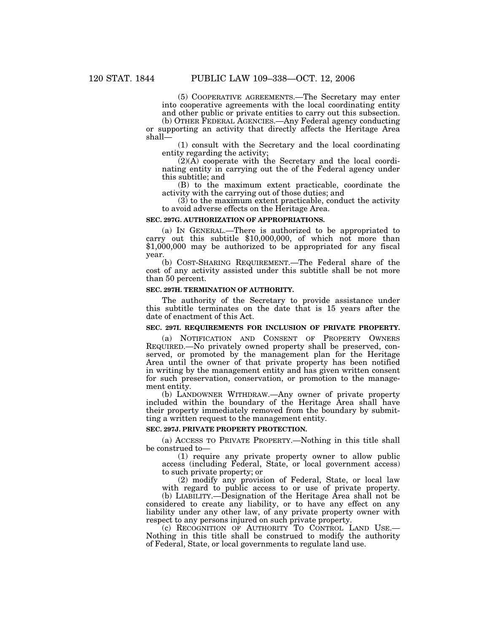(5) COOPERATIVE AGREEMENTS.—The Secretary may enter into cooperative agreements with the local coordinating entity and other public or private entities to carry out this subsection.

(b) OTHER FEDERAL AGENCIES.—Any Federal agency conducting or supporting an activity that directly affects the Heritage Area shall—

(1) consult with the Secretary and the local coordinating entity regarding the activity;

 $(2)(\overline{A})$  cooperate with the Secretary and the local coordinating entity in carrying out the of the Federal agency under this subtitle; and

(B) to the maximum extent practicable, coordinate the activity with the carrying out of those duties; and

(3) to the maximum extent practicable, conduct the activity to avoid adverse effects on the Heritage Area.

### **SEC. 297G. AUTHORIZATION OF APPROPRIATIONS.**

(a) IN GENERAL.—There is authorized to be appropriated to carry out this subtitle \$10,000,000, of which not more than \$1,000,000 may be authorized to be appropriated for any fiscal year.

(b) COST-SHARING REQUIREMENT.—The Federal share of the cost of any activity assisted under this subtitle shall be not more than 50 percent.

# **SEC. 297H. TERMINATION OF AUTHORITY.**

The authority of the Secretary to provide assistance under this subtitle terminates on the date that is 15 years after the date of enactment of this Act.

# **SEC. 297I. REQUIREMENTS FOR INCLUSION OF PRIVATE PROPERTY.**

(a) NOTIFICATION AND CONSENT OF PROPERTY OWNERS REQUIRED.—No privately owned property shall be preserved, conserved, or promoted by the management plan for the Heritage Area until the owner of that private property has been notified in writing by the management entity and has given written consent for such preservation, conservation, or promotion to the management entity.

(b) LANDOWNER WITHDRAW.—Any owner of private property included within the boundary of the Heritage Area shall have their property immediately removed from the boundary by submitting a written request to the management entity.

### **SEC. 297J. PRIVATE PROPERTY PROTECTION.**

(a) ACCESS TO PRIVATE PROPERTY.—Nothing in this title shall be construed to—

(1) require any private property owner to allow public access (including Federal, State, or local government access) to such private property; or

(2) modify any provision of Federal, State, or local law with regard to public access to or use of private property. (b) LIABILITY.—Designation of the Heritage Area shall not be considered to create any liability, or to have any effect on any liability under any other law, of any private property owner with

respect to any persons injured on such private property.<br>
(c) RECOGNITION OF AUTHORITY TO CONTROL LAND USE.— Nothing in this title shall be construed to modify the authority of Federal, State, or local governments to regulate land use.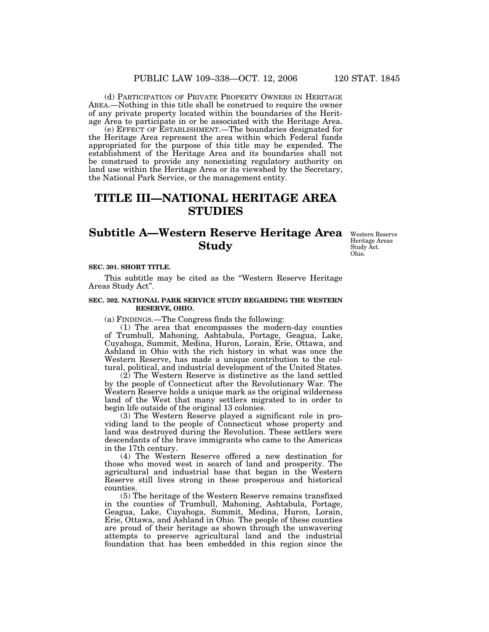(d) PARTICIPATION OF PRIVATE PROPERTY OWNERS IN HERITAGE AREA.—Nothing in this title shall be construed to require the owner of any private property located within the boundaries of the Heritage Area to participate in or be associated with the Heritage Area.

(e) EFFECT OF ESTABLISHMENT.—The boundaries designated for the Heritage Area represent the area within which Federal funds appropriated for the purpose of this title may be expended. The establishment of the Heritage Area and its boundaries shall not be construed to provide any nonexisting regulatory authority on land use within the Heritage Area or its viewshed by the Secretary, the National Park Service, or the management entity.

# **TITLE III—NATIONAL HERITAGE AREA STUDIES**

# **Subtitle A—Western Reserve Heritage Area Study**

Western Reserve Heritage Areas Study Act. Ohio.

# **SEC. 301. SHORT TITLE.**

This subtitle may be cited as the ''Western Reserve Heritage Areas Study Act''.

# **SEC. 302. NATIONAL PARK SERVICE STUDY REGARDING THE WESTERN RESERVE, OHIO.**

(a) FINDINGS.—The Congress finds the following:

(1) The area that encompasses the modern-day counties of Trumbull, Mahoning, Ashtabula, Portage, Geagua, Lake, Cuyahoga, Summit, Medina, Huron, Lorain, Erie, Ottawa, and Ashland in Ohio with the rich history in what was once the Western Reserve, has made a unique contribution to the cultural, political, and industrial development of the United States.

(2) The Western Reserve is distinctive as the land settled by the people of Connecticut after the Revolutionary War. The Western Reserve holds a unique mark as the original wilderness land of the West that many settlers migrated to in order to begin life outside of the original 13 colonies.

(3) The Western Reserve played a significant role in providing land to the people of Connecticut whose property and land was destroyed during the Revolution. These settlers were descendants of the brave immigrants who came to the Americas in the 17th century.

(4) The Western Reserve offered a new destination for those who moved west in search of land and prosperity. The agricultural and industrial base that began in the Western Reserve still lives strong in these prosperous and historical counties.

(5) The heritage of the Western Reserve remains transfixed in the counties of Trumbull, Mahoning, Ashtabula, Portage, Geagua, Lake, Cuyahoga, Summit, Medina, Huron, Lorain, Erie, Ottawa, and Ashland in Ohio. The people of these counties are proud of their heritage as shown through the unwavering attempts to preserve agricultural land and the industrial foundation that has been embedded in this region since the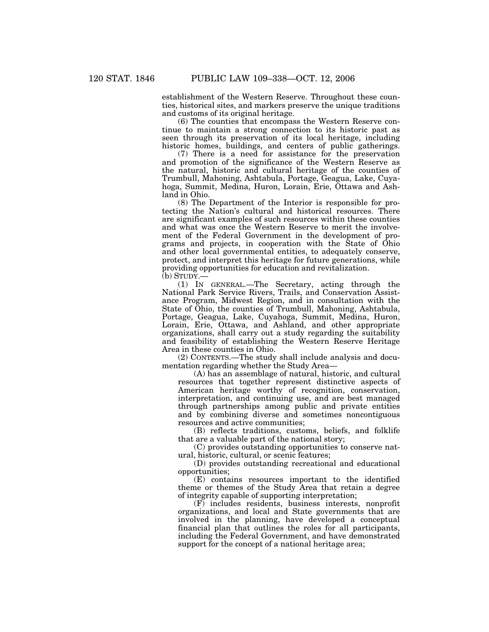establishment of the Western Reserve. Throughout these counties, historical sites, and markers preserve the unique traditions and customs of its original heritage.

(6) The counties that encompass the Western Reserve continue to maintain a strong connection to its historic past as seen through its preservation of its local heritage, including historic homes, buildings, and centers of public gatherings.

(7) There is a need for assistance for the preservation and promotion of the significance of the Western Reserve as the natural, historic and cultural heritage of the counties of Trumbull, Mahoning, Ashtabula, Portage, Geagua, Lake, Cuyahoga, Summit, Medina, Huron, Lorain, Erie, Ottawa and Ashland in Ohio.

(8) The Department of the Interior is responsible for protecting the Nation's cultural and historical resources. There are significant examples of such resources within these counties and what was once the Western Reserve to merit the involvement of the Federal Government in the development of programs and projects, in cooperation with the State of Ohio and other local governmental entities, to adequately conserve, protect, and interpret this heritage for future generations, while providing opportunities for education and revitalization.

 $(b)$  STUDY.-

(1) IN GENERAL.—The Secretary, acting through the National Park Service Rivers, Trails, and Conservation Assistance Program, Midwest Region, and in consultation with the State of Ohio, the counties of Trumbull, Mahoning, Ashtabula, Portage, Geagua, Lake, Cuyahoga, Summit, Medina, Huron, Lorain, Erie, Ottawa, and Ashland, and other appropriate organizations, shall carry out a study regarding the suitability and feasibility of establishing the Western Reserve Heritage Area in these counties in Ohio.

(2) CONTENTS.—The study shall include analysis and documentation regarding whether the Study Area-

(A) has an assemblage of natural, historic, and cultural resources that together represent distinctive aspects of American heritage worthy of recognition, conservation, interpretation, and continuing use, and are best managed through partnerships among public and private entities and by combining diverse and sometimes noncontiguous resources and active communities;

(B) reflects traditions, customs, beliefs, and folklife that are a valuable part of the national story;

(C) provides outstanding opportunities to conserve natural, historic, cultural, or scenic features;

(D) provides outstanding recreational and educational opportunities;

(E) contains resources important to the identified theme or themes of the Study Area that retain a degree of integrity capable of supporting interpretation;

(F) includes residents, business interests, nonprofit organizations, and local and State governments that are involved in the planning, have developed a conceptual financial plan that outlines the roles for all participants, including the Federal Government, and have demonstrated support for the concept of a national heritage area;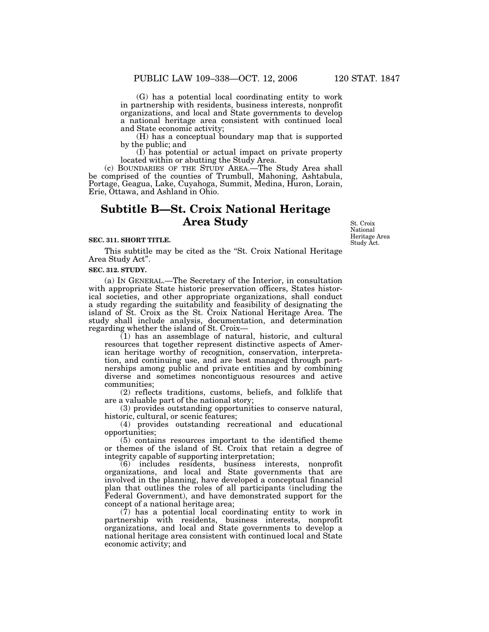(G) has a potential local coordinating entity to work in partnership with residents, business interests, nonprofit organizations, and local and State governments to develop a national heritage area consistent with continued local and State economic activity;

(H) has a conceptual boundary map that is supported by the public; and

(I) has potential or actual impact on private property located within or abutting the Study Area.

(c) BOUNDARIES OF THE STUDY AREA.—The Study Area shall be comprised of the counties of Trumbull, Mahoning, Ashtabula, Portage, Geagua, Lake, Cuyahoga, Summit, Medina, Huron, Lorain, Erie, Ottawa, and Ashland in Ohio.

# **Subtitle B—St. Croix National Heritage Area Study**

### **SEC. 311. SHORT TITLE.**

This subtitle may be cited as the ''St. Croix National Heritage Area Study Act''.

### **SEC. 312. STUDY.**

(a) IN GENERAL.—The Secretary of the Interior, in consultation with appropriate State historic preservation officers, States historical societies, and other appropriate organizations, shall conduct a study regarding the suitability and feasibility of designating the island of St. Croix as the St. Croix National Heritage Area. The study shall include analysis, documentation, and determination regarding whether the island of St. Croix—

(1) has an assemblage of natural, historic, and cultural resources that together represent distinctive aspects of American heritage worthy of recognition, conservation, interpretation, and continuing use, and are best managed through partnerships among public and private entities and by combining diverse and sometimes noncontiguous resources and active communities;

(2) reflects traditions, customs, beliefs, and folklife that are a valuable part of the national story;

(3) provides outstanding opportunities to conserve natural, historic, cultural, or scenic features;

(4) provides outstanding recreational and educational opportunities;

(5) contains resources important to the identified theme or themes of the island of St. Croix that retain a degree of integrity capable of supporting interpretation;

(6) includes residents, business interests, nonprofit organizations, and local and State governments that are involved in the planning, have developed a conceptual financial plan that outlines the roles of all participants (including the Federal Government), and have demonstrated support for the concept of a national heritage area;

(7) has a potential local coordinating entity to work in partnership with residents, business interests, nonprofit organizations, and local and State governments to develop a national heritage area consistent with continued local and State economic activity; and

St. Croix National Heritage Area Study Act.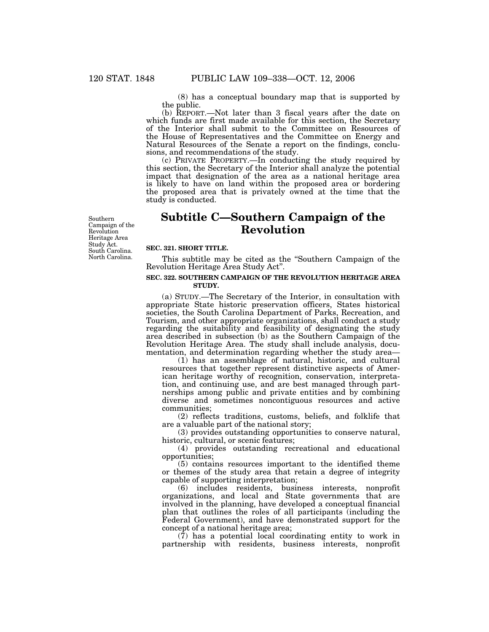(8) has a conceptual boundary map that is supported by the public.

(b) REPORT.—Not later than 3 fiscal years after the date on which funds are first made available for this section, the Secretary of the Interior shall submit to the Committee on Resources of the House of Representatives and the Committee on Energy and Natural Resources of the Senate a report on the findings, conclusions, and recommendations of the study.

(c) PRIVATE PROPERTY.—In conducting the study required by this section, the Secretary of the Interior shall analyze the potential impact that designation of the area as a national heritage area is likely to have on land within the proposed area or bordering the proposed area that is privately owned at the time that the study is conducted.

#### Southern Campaign of the Revolution Heritage Area Study Act. South Carolina. North Carolina.

# **Subtitle C—Southern Campaign of the Revolution**

### **SEC. 321. SHORT TITLE.**

This subtitle may be cited as the ''Southern Campaign of the Revolution Heritage Area Study Act''.

## **SEC. 322. SOUTHERN CAMPAIGN OF THE REVOLUTION HERITAGE AREA STUDY.**

(a) STUDY.—The Secretary of the Interior, in consultation with appropriate State historic preservation officers, States historical societies, the South Carolina Department of Parks, Recreation, and Tourism, and other appropriate organizations, shall conduct a study regarding the suitability and feasibility of designating the study area described in subsection (b) as the Southern Campaign of the Revolution Heritage Area. The study shall include analysis, documentation, and determination regarding whether the study area—

(1) has an assemblage of natural, historic, and cultural resources that together represent distinctive aspects of American heritage worthy of recognition, conservation, interpretation, and continuing use, and are best managed through partnerships among public and private entities and by combining diverse and sometimes noncontiguous resources and active communities;

(2) reflects traditions, customs, beliefs, and folklife that are a valuable part of the national story;

(3) provides outstanding opportunities to conserve natural, historic, cultural, or scenic features:

(4) provides outstanding recreational and educational opportunities;

(5) contains resources important to the identified theme or themes of the study area that retain a degree of integrity capable of supporting interpretation;

(6) includes residents, business interests, nonprofit organizations, and local and State governments that are involved in the planning, have developed a conceptual financial plan that outlines the roles of all participants (including the Federal Government), and have demonstrated support for the concept of a national heritage area;

 $(7)$  has a potential local coordinating entity to work in partnership with residents, business interests, nonprofit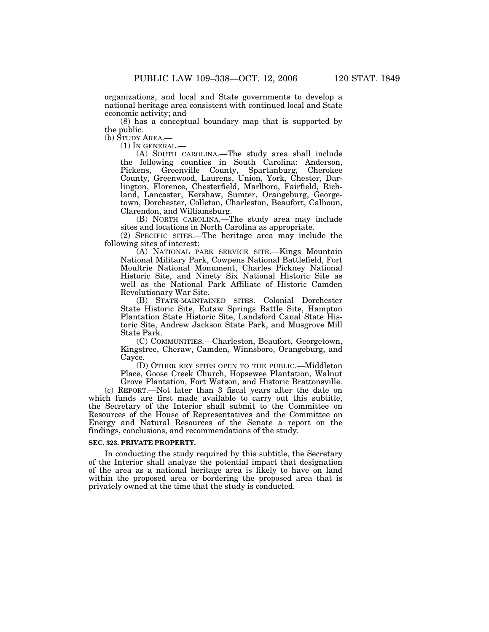organizations, and local and State governments to develop a national heritage area consistent with continued local and State economic activity; and

(8) has a conceptual boundary map that is supported by the public.

(b) STUDY AREA.—

(1) IN GENERAL.—

(A) SOUTH CAROLINA.—The study area shall include the following counties in South Carolina: Anderson, Greenville County, Spartanburg, Cherokee County, Greenwood, Laurens, Union, York, Chester, Darlington, Florence, Chesterfield, Marlboro, Fairfield, Richland, Lancaster, Kershaw, Sumter, Orangeburg, Georgetown, Dorchester, Colleton, Charleston, Beaufort, Calhoun, Clarendon, and Williamsburg.

(B) NORTH CAROLINA.—The study area may include sites and locations in North Carolina as appropriate.

(2) SPECIFIC SITES.—The heritage area may include the following sites of interest:

(A) NATIONAL PARK SERVICE SITE.—Kings Mountain National Military Park, Cowpens National Battlefield, Fort Moultrie National Monument, Charles Pickney National Historic Site, and Ninety Six National Historic Site as well as the National Park Affiliate of Historic Camden Revolutionary War Site.

(B) STATE-MAINTAINED SITES.—Colonial Dorchester State Historic Site, Eutaw Springs Battle Site, Hampton Plantation State Historic Site, Landsford Canal State Historic Site, Andrew Jackson State Park, and Musgrove Mill State Park.

(C) COMMUNITIES.—Charleston, Beaufort, Georgetown, Kingstree, Cheraw, Camden, Winnsboro, Orangeburg, and Cayce.

(D) OTHER KEY SITES OPEN TO THE PUBLIC.—Middleton Place, Goose Creek Church, Hopsewee Plantation, Walnut Grove Plantation, Fort Watson, and Historic Brattonsville.

(c) REPORT.—Not later than 3 fiscal years after the date on which funds are first made available to carry out this subtitle, the Secretary of the Interior shall submit to the Committee on Resources of the House of Representatives and the Committee on Energy and Natural Resources of the Senate a report on the findings, conclusions, and recommendations of the study.

# **SEC. 323. PRIVATE PROPERTY.**

In conducting the study required by this subtitle, the Secretary of the Interior shall analyze the potential impact that designation of the area as a national heritage area is likely to have on land within the proposed area or bordering the proposed area that is privately owned at the time that the study is conducted.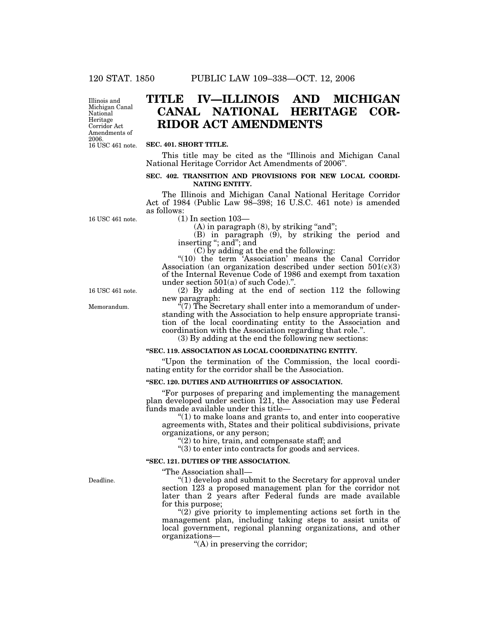Illinois and Michigan Canal National Heritage Corridor Act Amendments of 2006. 16 USC 461 note.

# 120 STAT. 1850 PUBLIC LAW 109–338—OCT. 12, 2006

# **TITLE IV—ILLINOIS AND MICHIGAN CANAL NATIONAL HERITAGE COR-RIDOR ACT AMENDMENTS**

### **SEC. 401. SHORT TITLE.**

This title may be cited as the ''Illinois and Michigan Canal National Heritage Corridor Act Amendments of 2006''.

# **SEC. 402. TRANSITION AND PROVISIONS FOR NEW LOCAL COORDI-NATING ENTITY.**

The Illinois and Michigan Canal National Heritage Corridor Act of 1984 (Public Law 98–398; 16 U.S.C. 461 note) is amended as follows:

16 USC 461 note.

Memorandum.

16 USC 461 note.

(1) In section 103—

 $(A)$  in paragraph  $(8)$ , by striking "and";

(B) in paragraph (9), by striking the period and inserting "; and"; and

(C) by adding at the end the following:

"(10) the term 'Association' means the Canal Corridor Association (an organization described under section 501(c)(3) of the Internal Revenue Code of 1986 and exempt from taxation under section 501(a) of such Code).''.

(2) By adding at the end of section 112 the following new paragraph:

 $\sqrt{7}$ (7) The Secretary shall enter into a memorandum of understanding with the Association to help ensure appropriate transition of the local coordinating entity to the Association and coordination with the Association regarding that role.''.

(3) By adding at the end the following new sections:

# **''SEC. 119. ASSOCIATION AS LOCAL COORDINATING ENTITY.**

''Upon the termination of the Commission, the local coordinating entity for the corridor shall be the Association.

# **''SEC. 120. DUTIES AND AUTHORITIES OF ASSOCIATION.**

''For purposes of preparing and implementing the management plan developed under section 121, the Association may use Federal funds made available under this title—

''(1) to make loans and grants to, and enter into cooperative agreements with, States and their political subdivisions, private organizations, or any person;

 $(2)$  to hire, train, and compensate staff; and

"(3) to enter into contracts for goods and services.

### **''SEC. 121. DUTIES OF THE ASSOCIATION.**

''The Association shall—

''(1) develop and submit to the Secretary for approval under section 123 a proposed management plan for the corridor not later than 2 years after Federal funds are made available for this purpose;

" $(2)$  give priority to implementing actions set forth in the management plan, including taking steps to assist units of local government, regional planning organizations, and other organizations—

''(A) in preserving the corridor;

Deadline.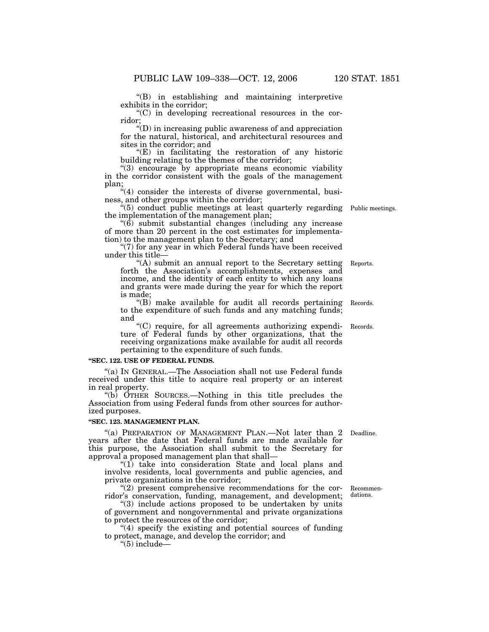''(B) in establishing and maintaining interpretive exhibits in the corridor;

''(C) in developing recreational resources in the corridor;

''(D) in increasing public awareness of and appreciation for the natural, historical, and architectural resources and sites in the corridor; and

''(E) in facilitating the restoration of any historic building relating to the themes of the corridor;

"(3) encourage by appropriate means economic viability in the corridor consistent with the goals of the management plan;

"(4) consider the interests of diverse governmental, business, and other groups within the corridor;

''(5) conduct public meetings at least quarterly regarding Public meetings. the implementation of the management plan;

''(6) submit substantial changes (including any increase of more than 20 percent in the cost estimates for implementation) to the management plan to the Secretary; and

''(7) for any year in which Federal funds have been received under this title—

"(A) submit an annual report to the Secretary setting Reports. forth the Association's accomplishments, expenses and income, and the identity of each entity to which any loans and grants were made during the year for which the report is made;

"(B) make available for audit all records pertaining to the expenditure of such funds and any matching funds; and Records.

''(C) require, for all agreements authorizing expenditure of Federal funds by other organizations, that the receiving organizations make available for audit all records pertaining to the expenditure of such funds. Records.

# **''SEC. 122. USE OF FEDERAL FUNDS.**

"(a) IN GENERAL.—The Association shall not use Federal funds received under this title to acquire real property or an interest in real property.

''(b) OTHER SOURCES.—Nothing in this title precludes the Association from using Federal funds from other sources for authorized purposes.

# **''SEC. 123. MANAGEMENT PLAN.**

"(a) PREPARATION OF MANAGEMENT PLAN.—Not later than 2 Deadline. years after the date that Federal funds are made available for this purpose, the Association shall submit to the Secretary for approval a proposed management plan that shall—

''(1) take into consideration State and local plans and involve residents, local governments and public agencies, and private organizations in the corridor;

 $''(2)$  present comprehensive recommendations for the corridor's conservation, funding, management, and development;

"(3) include actions proposed to be undertaken by units of government and nongovernmental and private organizations to protect the resources of the corridor;

"(4) specify the existing and potential sources of funding to protect, manage, and develop the corridor; and

 $"(5)$  include—

Recommendations.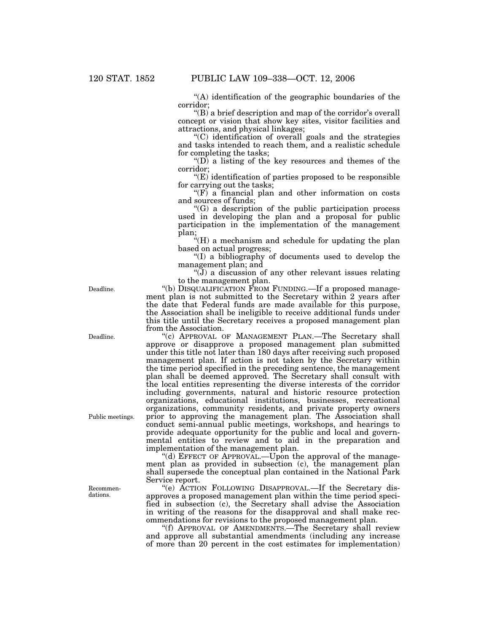''(A) identification of the geographic boundaries of the corridor;

''(B) a brief description and map of the corridor's overall concept or vision that show key sites, visitor facilities and attractions, and physical linkages;

''(C) identification of overall goals and the strategies and tasks intended to reach them, and a realistic schedule for completing the tasks;

" $(D)$  a listing of the key resources and themes of the corridor;

 $E(E)$  identification of parties proposed to be responsible for carrying out the tasks;

" $(F)$  a financial plan and other information on costs and sources of funds;

 $(G)$  a description of the public participation process used in developing the plan and a proposal for public participation in the implementation of the management plan;

 $H(H)$  a mechanism and schedule for updating the plan based on actual progress;

''(I) a bibliography of documents used to develop the management plan; and

 $\widetilde{J}$ ) a discussion of any other relevant issues relating to the management plan.

"(b) DISQUALIFICATION FROM FUNDING.—If a proposed management plan is not submitted to the Secretary within 2 years after the date that Federal funds are made available for this purpose, the Association shall be ineligible to receive additional funds under this title until the Secretary receives a proposed management plan from the Association.

"(c) APPROVAL OF MANAGEMENT PLAN.—The Secretary shall approve or disapprove a proposed management plan submitted under this title not later than 180 days after receiving such proposed management plan. If action is not taken by the Secretary within the time period specified in the preceding sentence, the management plan shall be deemed approved. The Secretary shall consult with the local entities representing the diverse interests of the corridor including governments, natural and historic resource protection organizations, educational institutions, businesses, recreational organizations, community residents, and private property owners prior to approving the management plan. The Association shall conduct semi-annual public meetings, workshops, and hearings to provide adequate opportunity for the public and local and governmental entities to review and to aid in the preparation and implementation of the management plan.

''(d) EFFECT OF APPROVAL.—Upon the approval of the management plan as provided in subsection (c), the management plan shall supersede the conceptual plan contained in the National Park Service report.

''(e) ACTION FOLLOWING DISAPPROVAL.—If the Secretary disapproves a proposed management plan within the time period specified in subsection (c), the Secretary shall advise the Association in writing of the reasons for the disapproval and shall make recommendations for revisions to the proposed management plan.

"(f) APPROVAL OF AMENDMENTS.—The Secretary shall review and approve all substantial amendments (including any increase of more than 20 percent in the cost estimates for implementation)

Deadline.

Deadline.

Recommendations.

Public meetings.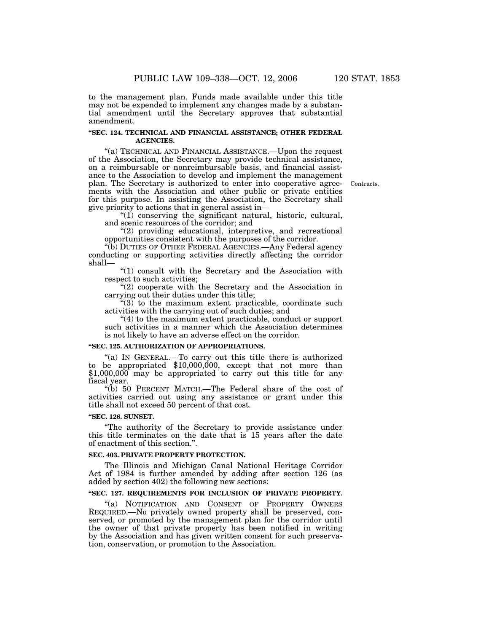to the management plan. Funds made available under this title may not be expended to implement any changes made by a substantial amendment until the Secretary approves that substantial amendment.

### **''SEC. 124. TECHNICAL AND FINANCIAL ASSISTANCE; OTHER FEDERAL AGENCIES.**

''(a) TECHNICAL AND FINANCIAL ASSISTANCE.—Upon the request of the Association, the Secretary may provide technical assistance, on a reimbursable or nonreimbursable basis, and financial assistance to the Association to develop and implement the management plan. The Secretary is authorized to enter into cooperative agreements with the Association and other public or private entities for this purpose. In assisting the Association, the Secretary shall give priority to actions that in general assist in—

Contracts.

" $(1)$  conserving the significant natural, historic, cultural, and scenic resources of the corridor; and

''(2) providing educational, interpretive, and recreational opportunities consistent with the purposes of the corridor.

''(b) DUTIES OF OTHER FEDERAL AGENCIES.—Any Federal agency conducting or supporting activities directly affecting the corridor shall—

''(1) consult with the Secretary and the Association with respect to such activities;

 $''(2)$  cooperate with the Secretary and the Association in carrying out their duties under this title;

 $\degree(3)$  to the maximum extent practicable, coordinate such activities with the carrying out of such duties; and

''(4) to the maximum extent practicable, conduct or support such activities in a manner which the Association determines is not likely to have an adverse effect on the corridor.

## **''SEC. 125. AUTHORIZATION OF APPROPRIATIONS.**

''(a) IN GENERAL.—To carry out this title there is authorized to be appropriated  $$10,000,000$ , except that not more than  $$1,000,000$  may be appropriated to carry out this title for any fiscal year.

''(b) 50 PERCENT MATCH.—The Federal share of the cost of activities carried out using any assistance or grant under this title shall not exceed 50 percent of that cost.

### **''SEC. 126. SUNSET.**

''The authority of the Secretary to provide assistance under this title terminates on the date that is 15 years after the date of enactment of this section.''.

### **SEC. 403. PRIVATE PROPERTY PROTECTION.**

The Illinois and Michigan Canal National Heritage Corridor Act of 1984 is further amended by adding after section 126 (as added by section 402) the following new sections:

# **''SEC. 127. REQUIREMENTS FOR INCLUSION OF PRIVATE PROPERTY.**

"(a) NOTIFICATION AND CONSENT OF PROPERTY OWNERS REQUIRED.—No privately owned property shall be preserved, conserved, or promoted by the management plan for the corridor until the owner of that private property has been notified in writing by the Association and has given written consent for such preservation, conservation, or promotion to the Association.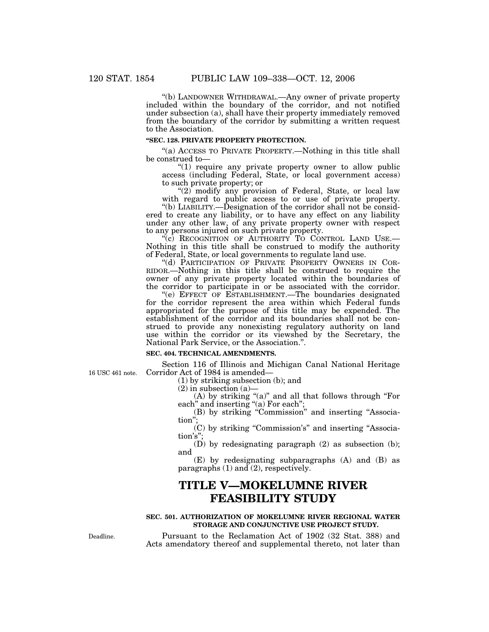''(b) LANDOWNER WITHDRAWAL.—Any owner of private property included within the boundary of the corridor, and not notified under subsection (a), shall have their property immediately removed from the boundary of the corridor by submitting a written request to the Association.

## **''SEC. 128. PRIVATE PROPERTY PROTECTION.**

''(a) ACCESS TO PRIVATE PROPERTY.—Nothing in this title shall be construed to—

" $(1)$  require any private property owner to allow public access (including Federal, State, or local government access) to such private property; or

"(2) modify any provision of Federal, State, or local law with regard to public access to or use of private property. ''(b) LIABILITY.—Designation of the corridor shall not be considered to create any liability, or to have any effect on any liability under any other law, of any private property owner with respect to any persons injured on such private property.

''(c) RECOGNITION OF AUTHORITY TO CONTROL LAND USE.— Nothing in this title shall be construed to modify the authority of Federal, State, or local governments to regulate land use.

''(d) PARTICIPATION OF PRIVATE PROPERTY OWNERS IN COR-RIDOR.—Nothing in this title shall be construed to require the owner of any private property located within the boundaries of the corridor to participate in or be associated with the corridor.

''(e) EFFECT OF ESTABLISHMENT.—The boundaries designated for the corridor represent the area within which Federal funds appropriated for the purpose of this title may be expended. The establishment of the corridor and its boundaries shall not be construed to provide any nonexisting regulatory authority on land use within the corridor or its viewshed by the Secretary, the National Park Service, or the Association.''.

## **SEC. 404. TECHNICAL AMENDMENTS.**

Section 116 of Illinois and Michigan Canal National Heritage Corridor Act of 1984 is amended—

(1) by striking subsection (b); and

 $(2)$  in subsection  $(a)$ —

(A) by striking "(a)" and all that follows through "For each" and inserting "(a) For each";

(B) by striking ''Commission'' and inserting ''Association'';

(C) by striking ''Commission's'' and inserting ''Association's'';

(D) by redesignating paragraph (2) as subsection (b); and

(E) by redesignating subparagraphs (A) and (B) as paragraphs (1) and (2), respectively.

# **TITLE V—MOKELUMNE RIVER FEASIBILITY STUDY**

## **SEC. 501. AUTHORIZATION OF MOKELUMNE RIVER REGIONAL WATER STORAGE AND CONJUNCTIVE USE PROJECT STUDY.**

Deadline.

Pursuant to the Reclamation Act of 1902 (32 Stat. 388) and Acts amendatory thereof and supplemental thereto, not later than

16 USC 461 note.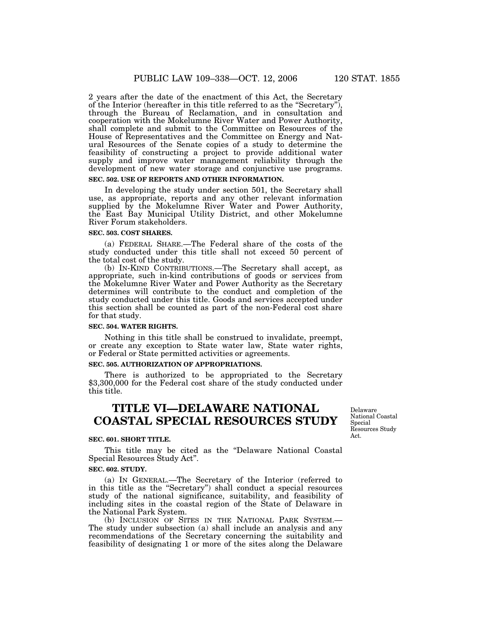2 years after the date of the enactment of this Act, the Secretary of the Interior (hereafter in this title referred to as the ''Secretary''), through the Bureau of Reclamation, and in consultation and cooperation with the Mokelumne River Water and Power Authority, shall complete and submit to the Committee on Resources of the House of Representatives and the Committee on Energy and Natural Resources of the Senate copies of a study to determine the feasibility of constructing a project to provide additional water supply and improve water management reliability through the development of new water storage and conjunctive use programs.

## **SEC. 502. USE OF REPORTS AND OTHER INFORMATION.**

In developing the study under section 501, the Secretary shall use, as appropriate, reports and any other relevant information supplied by the Mokelumne River Water and Power Authority, the East Bay Municipal Utility District, and other Mokelumne River Forum stakeholders.

## **SEC. 503. COST SHARES.**

(a) FEDERAL SHARE.—The Federal share of the costs of the study conducted under this title shall not exceed 50 percent of the total cost of the study.

(b) IN-KIND CONTRIBUTIONS.—The Secretary shall accept, as appropriate, such in-kind contributions of goods or services from the Mokelumne River Water and Power Authority as the Secretary determines will contribute to the conduct and completion of the study conducted under this title. Goods and services accepted under this section shall be counted as part of the non-Federal cost share for that study.

### **SEC. 504. WATER RIGHTS.**

Nothing in this title shall be construed to invalidate, preempt, or create any exception to State water law, State water rights, or Federal or State permitted activities or agreements.

# **SEC. 505. AUTHORIZATION OF APPROPRIATIONS.**

There is authorized to be appropriated to the Secretary \$3,300,000 for the Federal cost share of the study conducted under this title.

# **TITLE VI—DELAWARE NATIONAL COASTAL SPECIAL RESOURCES STUDY**

Delaware National Coastal Special Resources Study Act.

# **SEC. 601. SHORT TITLE.**

This title may be cited as the ''Delaware National Coastal Special Resources Study Act''.

## **SEC. 602. STUDY.**

(a) IN GENERAL.—The Secretary of the Interior (referred to in this title as the ''Secretary'') shall conduct a special resources study of the national significance, suitability, and feasibility of including sites in the coastal region of the State of Delaware in the National Park System.

(b) INCLUSION OF SITES IN THE NATIONAL PARK SYSTEM.— The study under subsection (a) shall include an analysis and any recommendations of the Secretary concerning the suitability and feasibility of designating 1 or more of the sites along the Delaware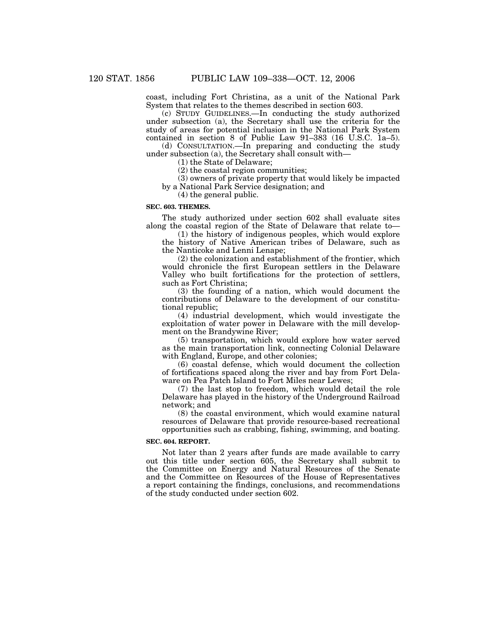coast, including Fort Christina, as a unit of the National Park System that relates to the themes described in section 603.

(c) STUDY GUIDELINES.—In conducting the study authorized under subsection (a), the Secretary shall use the criteria for the study of areas for potential inclusion in the National Park System contained in section 8 of Public Law 91–383 (16 U.S.C. 1a–5).

(d) CONSULTATION.—In preparing and conducting the study under subsection (a), the Secretary shall consult with—

(1) the State of Delaware;

(2) the coastal region communities;

(3) owners of private property that would likely be impacted by a National Park Service designation; and

(4) the general public.

## **SEC. 603. THEMES.**

The study authorized under section 602 shall evaluate sites along the coastal region of the State of Delaware that relate to—

(1) the history of indigenous peoples, which would explore the history of Native American tribes of Delaware, such as the Nanticoke and Lenni Lenape;

(2) the colonization and establishment of the frontier, which would chronicle the first European settlers in the Delaware Valley who built fortifications for the protection of settlers, such as Fort Christina;

(3) the founding of a nation, which would document the contributions of Delaware to the development of our constitutional republic;

(4) industrial development, which would investigate the exploitation of water power in Delaware with the mill development on the Brandywine River;

(5) transportation, which would explore how water served as the main transportation link, connecting Colonial Delaware with England, Europe, and other colonies;

(6) coastal defense, which would document the collection of fortifications spaced along the river and bay from Fort Delaware on Pea Patch Island to Fort Miles near Lewes;

(7) the last stop to freedom, which would detail the role Delaware has played in the history of the Underground Railroad network; and

(8) the coastal environment, which would examine natural resources of Delaware that provide resource-based recreational opportunities such as crabbing, fishing, swimming, and boating.

#### **SEC. 604. REPORT.**

Not later than 2 years after funds are made available to carry out this title under section 605, the Secretary shall submit to the Committee on Energy and Natural Resources of the Senate and the Committee on Resources of the House of Representatives a report containing the findings, conclusions, and recommendations of the study conducted under section 602.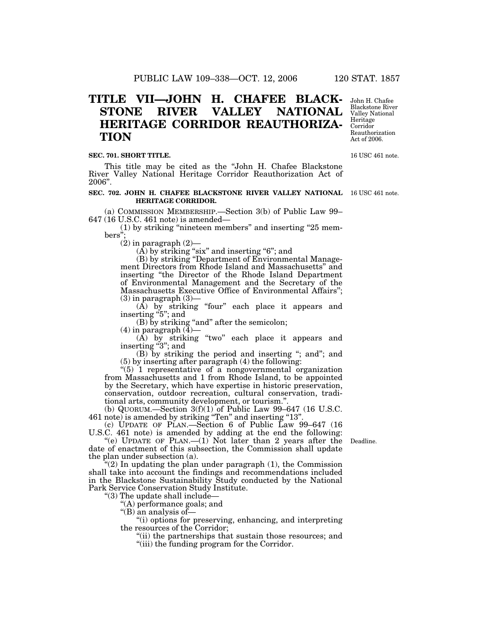# **TITLE VII—JOHN H. CHAFEE BLACK-STONE RIVER VALLEY NATIONAL HERITAGE CORRIDOR REAUTHORIZA-TION**

#### **SEC. 701. SHORT TITLE.**

This title may be cited as the ''John H. Chafee Blackstone River Valley National Heritage Corridor Reauthorization Act of 2006''.

### **SEC. 702. JOHN H. CHAFEE BLACKSTONE RIVER VALLEY NATIONAL** 16 USC 461 note. **HERITAGE CORRIDOR.**

(a) COMMISSION MEMBERSHIP.—Section 3(b) of Public Law 99– 647 (16 U.S.C. 461 note) is amended—

(1) by striking ''nineteen members'' and inserting ''25 members'

 $(2)$  in paragraph  $(2)$ —

 $(A)$  by striking "six" and inserting "6"; and

(B) by striking ''Department of Environmental Management Directors from Rhode Island and Massachusetts'' and inserting ''the Director of the Rhode Island Department of Environmental Management and the Secretary of the Massachusetts Executive Office of Environmental Affairs'';  $(3)$  in paragraph  $(3)$ —

(A) by striking ''four'' each place it appears and inserting "5"; and

(B) by striking "and" after the semicolon;

 $(4)$  in paragraph  $(\bar{4})$ —

(A) by striking "two" each place it appears and inserting "3"; and

(B) by striking the period and inserting "; and"; and (5) by inserting after paragraph (4) the following:

''(5) 1 representative of a nongovernmental organization from Massachusetts and 1 from Rhode Island, to be appointed by the Secretary, which have expertise in historic preservation, conservation, outdoor recreation, cultural conservation, traditional arts, community development, or tourism."

(b) QUORUM.—Section 3(f)(1) of Public Law 99–647 (16 U.S.C. 461 note) is amended by striking "Ten" and inserting "13".

(c) UPDATE OF PLAN.—Section 6 of Public Law 99–647 (16 U.S.C. 461 note) is amended by adding at the end the following:

"(e) UPDATE OF PLAN.—(1) Not later than 2 years after the date of enactment of this subsection, the Commission shall update the plan under subsection (a).

" $(2)$  In updating the plan under paragraph  $(1)$ , the Commission shall take into account the findings and recommendations included in the Blackstone Sustainability Study conducted by the National Park Service Conservation Study Institute.

"(3) The update shall include-

''(A) performance goals; and

"(B) an analysis of-

''(i) options for preserving, enhancing, and interpreting the resources of the Corridor;

"(ii) the partnerships that sustain those resources; and ''(iii) the funding program for the Corridor.

Deadline.

16 USC 461 note.

John H. Chafee

Blackstone River Valley National Heritage **Corridor** Reauthorization Act of 2006.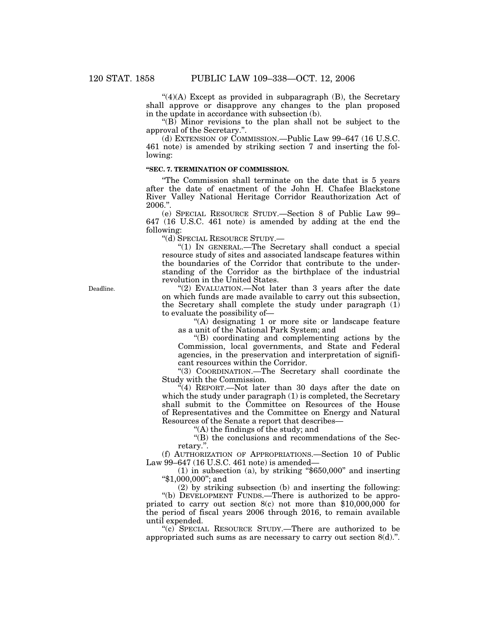" $(4)(A)$  Except as provided in subparagraph  $(B)$ , the Secretary shall approve or disapprove any changes to the plan proposed in the update in accordance with subsection (b).

" $(B)$  Minor revisions to the plan shall not be subject to the approval of the Secretary.''.

(d) EXTENSION OF COMMISSION.—Public Law 99–647 (16 U.S.C. 461 note) is amended by striking section 7 and inserting the following:

# **''SEC. 7. TERMINATION OF COMMISSION.**

''The Commission shall terminate on the date that is 5 years after the date of enactment of the John H. Chafee Blackstone River Valley National Heritage Corridor Reauthorization Act of  $2006."$ 

(e) SPECIAL RESOURCE STUDY.—Section 8 of Public Law 99– 647 (16 U.S.C. 461 note) is amended by adding at the end the following:

''(d) SPECIAL RESOURCE STUDY.—

''(1) IN GENERAL.—The Secretary shall conduct a special resource study of sites and associated landscape features within the boundaries of the Corridor that contribute to the understanding of the Corridor as the birthplace of the industrial revolution in the United States.

"(2) EVALUATION.—Not later than 3 years after the date on which funds are made available to carry out this subsection, the Secretary shall complete the study under paragraph (1) to evaluate the possibility of—

''(A) designating 1 or more site or landscape feature as a unit of the National Park System; and

''(B) coordinating and complementing actions by the Commission, local governments, and State and Federal agencies, in the preservation and interpretation of significant resources within the Corridor.

''(3) COORDINATION.—The Secretary shall coordinate the Study with the Commission.

"(4) REPORT.-Not later than 30 days after the date on which the study under paragraph (1) is completed, the Secretary shall submit to the Committee on Resources of the House of Representatives and the Committee on Energy and Natural Resources of the Senate a report that describes—

''(A) the findings of the study; and

''(B) the conclusions and recommendations of the Secretary.''.

(f) AUTHORIZATION OF APPROPRIATIONS.—Section 10 of Public Law 99–647 (16 U.S.C. 461 note) is amended—

 $(1)$  in subsection  $(a)$ , by striking "\$650,000" and inserting ''\$1,000,000''; and

(2) by striking subsection (b) and inserting the following: "(b) DEVELOPMENT FUNDS.—There is authorized to be appropriated to carry out section  $8(c)$  not more than  $$10,000,000$  for the period of fiscal years 2006 through 2016, to remain available until expended.

''(c) SPECIAL RESOURCE STUDY.—There are authorized to be appropriated such sums as are necessary to carry out section 8(d).''.

Deadline.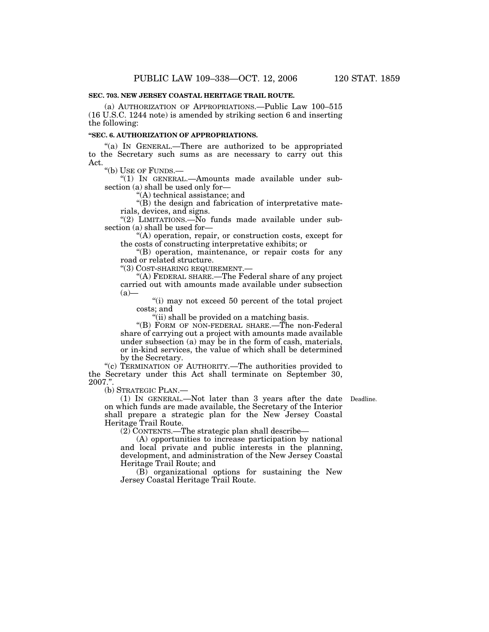# **SEC. 703. NEW JERSEY COASTAL HERITAGE TRAIL ROUTE.**

(a) AUTHORIZATION OF APPROPRIATIONS.—Public Law 100–515 (16 U.S.C. 1244 note) is amended by striking section 6 and inserting the following:

## **''SEC. 6. AUTHORIZATION OF APPROPRIATIONS.**

''(a) IN GENERAL.—There are authorized to be appropriated to the Secretary such sums as are necessary to carry out this Act.

"(b) USE OF FUNDS.-

''(1) IN GENERAL.—Amounts made available under subsection (a) shall be used only for—

''(A) technical assistance; and

''(B) the design and fabrication of interpretative materials, devices, and signs.

"(2) LIMITATIONS.—No funds made available under subsection (a) shall be used for—

''(A) operation, repair, or construction costs, except for the costs of constructing interpretative exhibits; or

''(B) operation, maintenance, or repair costs for any road or related structure.

''(3) COST-SHARING REQUIREMENT.—

''(A) FEDERAL SHARE.—The Federal share of any project carried out with amounts made available under subsection  $(a)$ 

''(i) may not exceed 50 percent of the total project costs; and

 $\mathcal{L}$ <sup>i</sup>(ii) shall be provided on a matching basis.

''(B) FORM OF NON-FEDERAL SHARE.—The non-Federal share of carrying out a project with amounts made available under subsection (a) may be in the form of cash, materials, or in-kind services, the value of which shall be determined by the Secretary.

"(c) TERMINATION OF AUTHORITY.—The authorities provided to the Secretary under this Act shall terminate on September 30, 2007.''.

(b) STRATEGIC PLAN.—

(1) IN GENERAL.—Not later than 3 years after the date Deadline. on which funds are made available, the Secretary of the Interior shall prepare a strategic plan for the New Jersey Coastal Heritage Trail Route.

(2) CONTENTS.—The strategic plan shall describe—

(A) opportunities to increase participation by national and local private and public interests in the planning, development, and administration of the New Jersey Coastal Heritage Trail Route; and

(B) organizational options for sustaining the New Jersey Coastal Heritage Trail Route.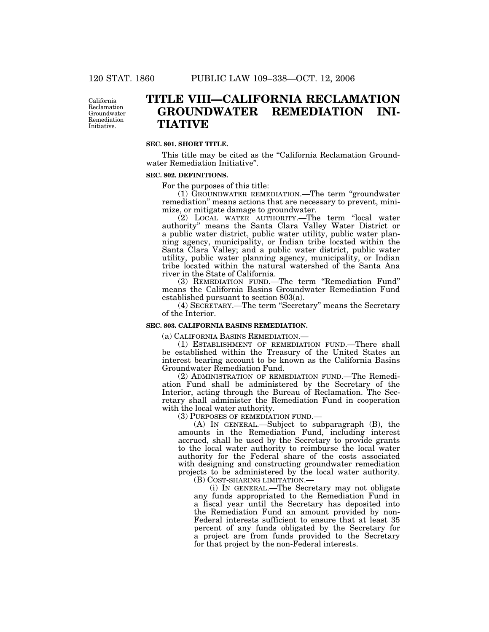California Reclamation Groundwater Remediation Initiative.

# **TITLE VIII—CALIFORNIA RECLAMATION GROUNDWATER REMEDIATION INI-TIATIVE**

### **SEC. 801. SHORT TITLE.**

This title may be cited as the "California Reclamation Groundwater Remediation Initiative''.

#### **SEC. 802. DEFINITIONS.**

For the purposes of this title:

(1) GROUNDWATER REMEDIATION.—The term ''groundwater remediation'' means actions that are necessary to prevent, minimize, or mitigate damage to groundwater.

(2) LOCAL WATER AUTHORITY.—The term ''local water authority'' means the Santa Clara Valley Water District or a public water district, public water utility, public water planning agency, municipality, or Indian tribe located within the Santa Clara Valley; and a public water district, public water utility, public water planning agency, municipality, or Indian tribe located within the natural watershed of the Santa Ana river in the State of California.

(3) REMEDIATION FUND.—The term ''Remediation Fund'' means the California Basins Groundwater Remediation Fund established pursuant to section 803(a).

(4) SECRETARY.—The term ''Secretary'' means the Secretary of the Interior.

#### **SEC. 803. CALIFORNIA BASINS REMEDIATION.**

(a) CALIFORNIA BASINS REMEDIATION.—

(1) ESTABLISHMENT OF REMEDIATION FUND.—There shall be established within the Treasury of the United States an interest bearing account to be known as the California Basins Groundwater Remediation Fund.

(2) ADMINISTRATION OF REMEDIATION FUND.—The Remediation Fund shall be administered by the Secretary of the Interior, acting through the Bureau of Reclamation. The Secretary shall administer the Remediation Fund in cooperation with the local water authority.

(3) PURPOSES OF REMEDIATION FUND.—

(A) IN GENERAL.—Subject to subparagraph (B), the amounts in the Remediation Fund, including interest accrued, shall be used by the Secretary to provide grants to the local water authority to reimburse the local water authority for the Federal share of the costs associated with designing and constructing groundwater remediation projects to be administered by the local water authority.

(B) COST-SHARING LIMITATION.—

(i) IN GENERAL.—The Secretary may not obligate any funds appropriated to the Remediation Fund in a fiscal year until the Secretary has deposited into the Remediation Fund an amount provided by non-Federal interests sufficient to ensure that at least 35 percent of any funds obligated by the Secretary for a project are from funds provided to the Secretary for that project by the non-Federal interests.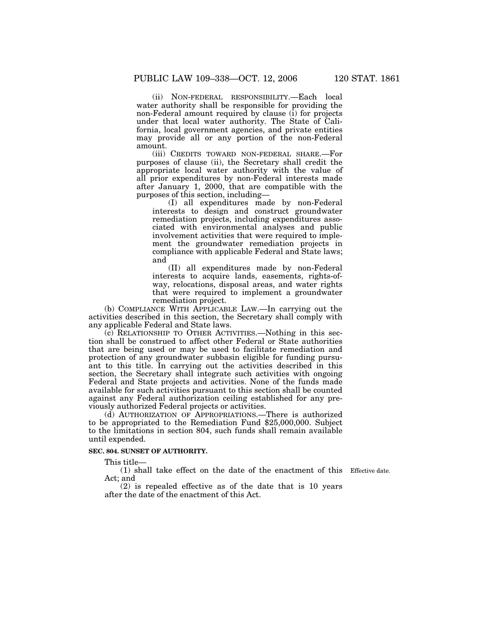(ii) NON-FEDERAL RESPONSIBILITY.—Each local water authority shall be responsible for providing the non-Federal amount required by clause (i) for projects under that local water authority. The State of California, local government agencies, and private entities may provide all or any portion of the non-Federal amount.

(iii) CREDITS TOWARD NON-FEDERAL SHARE.—For purposes of clause (ii), the Secretary shall credit the appropriate local water authority with the value of all prior expenditures by non-Federal interests made after January 1, 2000, that are compatible with the purposes of this section, including—

(I) all expenditures made by non-Federal interests to design and construct groundwater remediation projects, including expenditures associated with environmental analyses and public involvement activities that were required to implement the groundwater remediation projects in compliance with applicable Federal and State laws; and

(II) all expenditures made by non-Federal interests to acquire lands, easements, rights-ofway, relocations, disposal areas, and water rights that were required to implement a groundwater remediation project.

(b) COMPLIANCE WITH APPLICABLE LAW.—In carrying out the activities described in this section, the Secretary shall comply with any applicable Federal and State laws.

(c) RELATIONSHIP TO OTHER ACTIVITIES.—Nothing in this section shall be construed to affect other Federal or State authorities that are being used or may be used to facilitate remediation and protection of any groundwater subbasin eligible for funding pursuant to this title. In carrying out the activities described in this section, the Secretary shall integrate such activities with ongoing Federal and State projects and activities. None of the funds made available for such activities pursuant to this section shall be counted against any Federal authorization ceiling established for any previously authorized Federal projects or activities.

(d) AUTHORIZATION OF APPROPRIATIONS.—There is authorized to be appropriated to the Remediation Fund \$25,000,000. Subject to the limitations in section 804, such funds shall remain available until expended.

### **SEC. 804. SUNSET OF AUTHORITY.**

This title—

(1) shall take effect on the date of the enactment of this Effective date. Act; and

(2) is repealed effective as of the date that is 10 years after the date of the enactment of this Act.